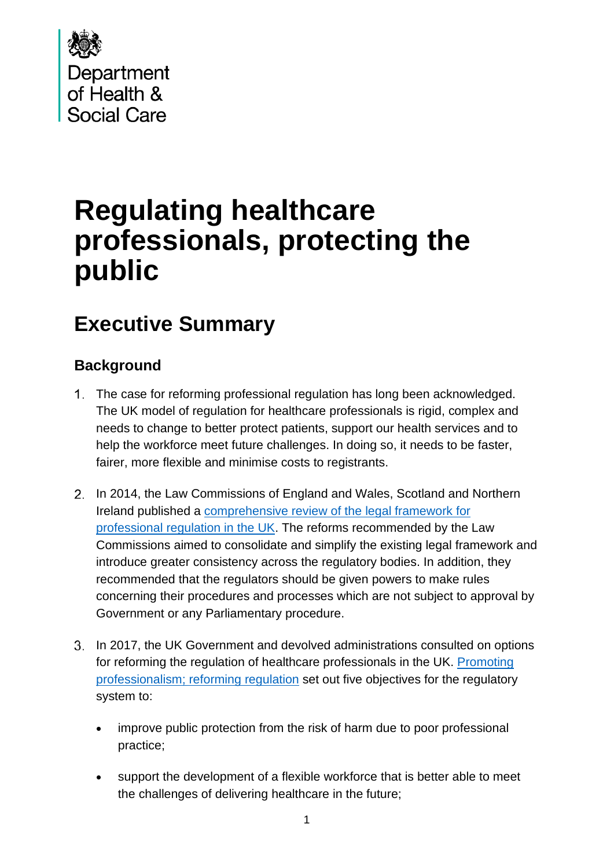

# **Regulating healthcare professionals, protecting the public**

# **Executive Summary**

# **Background**

- 1. The case for reforming professional regulation has long been acknowledged. The UK model of regulation for healthcare professionals is rigid, complex and needs to change to better protect patients, support our health services and to help the workforce meet future challenges. In doing so, it needs to be faster, fairer, more flexible and minimise costs to registrants.
- 2. In 2014, the Law Commissions of England and Wales, Scotland and Northern Ireland published a [comprehensive review of the legal framework for](http://lawcom.gov.uk/app/uploads/2015/03/lc345_regulation_of_healthcare_professionals.pdf)  [professional regulation in the UK.](http://lawcom.gov.uk/app/uploads/2015/03/lc345_regulation_of_healthcare_professionals.pdf) The reforms recommended by the Law Commissions aimed to consolidate and simplify the existing legal framework and introduce greater consistency across the regulatory bodies. In addition, they recommended that the regulators should be given powers to make rules concerning their procedures and processes which are not subject to approval by Government or any Parliamentary procedure.
- 3. In 2017, the UK Government and devolved administrations consulted on options for reforming the regulation of healthcare professionals in the UK. [Promoting](https://assets.publishing.service.gov.uk/government/uploads/system/uploads/attachment_data/file/655794/Regulatory_Reform_Consultation_Document.pdf)  [professionalism; reforming regulation](https://assets.publishing.service.gov.uk/government/uploads/system/uploads/attachment_data/file/655794/Regulatory_Reform_Consultation_Document.pdf) set out five objectives for the regulatory system to:
	- improve public protection from the risk of harm due to poor professional practice;
	- support the development of a flexible workforce that is better able to meet the challenges of delivering healthcare in the future;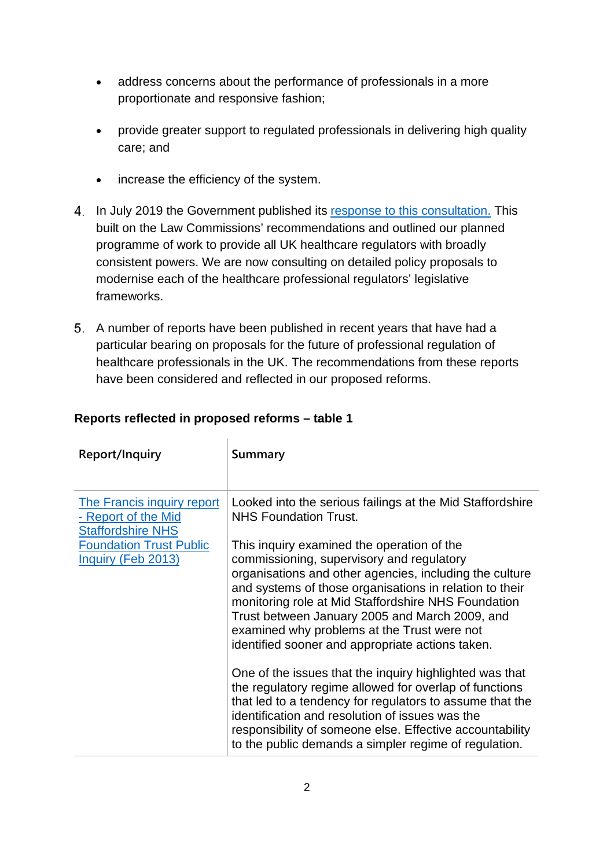- address concerns about the performance of professionals in a more proportionate and responsive fashion;
- provide greater support to regulated professionals in delivering high quality care; and
- increase the efficiency of the system.
- In July 2019 the Government published its [response to this consultation.](https://assets.publishing.service.gov.uk/government/uploads/system/uploads/attachment_data/file/820566/Promoting_professionalism_reforming_regulation_consultation_reponse.pdf) This built on the Law Commissions' recommendations and outlined our planned programme of work to provide all UK healthcare regulators with broadly consistent powers. We are now consulting on detailed policy proposals to modernise each of the healthcare professional regulators' legislative frameworks.
- A number of reports have been published in recent years that have had a particular bearing on proposals for the future of professional regulation of healthcare professionals in the UK. The recommendations from these reports have been considered and reflected in our proposed reforms.

| Report/Inquiry                                                                                                                               | Summary                                                                                                                                                                                                                                                                                                                                                                                                                   |
|----------------------------------------------------------------------------------------------------------------------------------------------|---------------------------------------------------------------------------------------------------------------------------------------------------------------------------------------------------------------------------------------------------------------------------------------------------------------------------------------------------------------------------------------------------------------------------|
| <b>The Francis inquiry report</b><br>- Report of the Mid<br><b>Staffordshire NHS</b><br><b>Foundation Trust Public</b><br>Inquiry (Feb 2013) | Looked into the serious failings at the Mid Staffordshire<br><b>NHS Foundation Trust.</b>                                                                                                                                                                                                                                                                                                                                 |
|                                                                                                                                              | This inquiry examined the operation of the<br>commissioning, supervisory and regulatory<br>organisations and other agencies, including the culture<br>and systems of those organisations in relation to their<br>monitoring role at Mid Staffordshire NHS Foundation<br>Trust between January 2005 and March 2009, and<br>examined why problems at the Trust were not<br>identified sooner and appropriate actions taken. |
|                                                                                                                                              | One of the issues that the inquiry highlighted was that<br>the regulatory regime allowed for overlap of functions<br>that led to a tendency for regulators to assume that the<br>identification and resolution of issues was the<br>responsibility of someone else. Effective accountability<br>to the public demands a simpler regime of regulation.                                                                     |

## **Reports reflected in proposed reforms – table 1**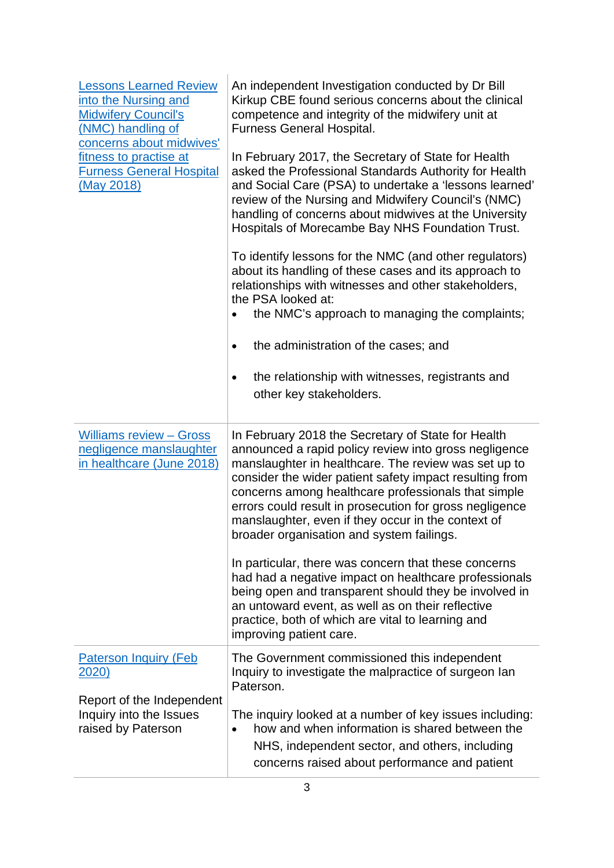| <b>Lessons Learned Review</b><br>into the Nursing and<br><b>Midwifery Council's</b><br>(NMC) handling of<br>concerns about midwives'<br>fitness to practise at<br><b>Furness General Hospital</b><br>(May 2018) | An independent Investigation conducted by Dr Bill<br>Kirkup CBE found serious concerns about the clinical<br>competence and integrity of the midwifery unit at<br><b>Furness General Hospital.</b><br>In February 2017, the Secretary of State for Health<br>asked the Professional Standards Authority for Health<br>and Social Care (PSA) to undertake a 'lessons learned'<br>review of the Nursing and Midwifery Council's (NMC)<br>handling of concerns about midwives at the University<br>Hospitals of Morecambe Bay NHS Foundation Trust.<br>To identify lessons for the NMC (and other regulators)<br>about its handling of these cases and its approach to<br>relationships with witnesses and other stakeholders,<br>the PSA looked at:<br>the NMC's approach to managing the complaints;<br>the administration of the cases; and<br>the relationship with witnesses, registrants and<br>٠<br>other key stakeholders. |
|-----------------------------------------------------------------------------------------------------------------------------------------------------------------------------------------------------------------|---------------------------------------------------------------------------------------------------------------------------------------------------------------------------------------------------------------------------------------------------------------------------------------------------------------------------------------------------------------------------------------------------------------------------------------------------------------------------------------------------------------------------------------------------------------------------------------------------------------------------------------------------------------------------------------------------------------------------------------------------------------------------------------------------------------------------------------------------------------------------------------------------------------------------------|
| <b>Williams review - Gross</b><br>negligence manslaughter<br>in healthcare (June 2018)                                                                                                                          | In February 2018 the Secretary of State for Health<br>announced a rapid policy review into gross negligence<br>manslaughter in healthcare. The review was set up to<br>consider the wider patient safety impact resulting from<br>concerns among healthcare professionals that simple<br>errors could result in prosecution for gross negligence<br>manslaughter, even if they occur in the context of<br>broader organisation and system failings.<br>In particular, there was concern that these concerns<br>had had a negative impact on healthcare professionals<br>being open and transparent should they be involved in<br>an untoward event, as well as on their reflective<br>practice, both of which are vital to learning and<br>improving patient care.                                                                                                                                                              |
| <b>Paterson Inquiry (Feb</b><br><u> 2020)</u>                                                                                                                                                                   | The Government commissioned this independent<br>Inquiry to investigate the malpractice of surgeon lan<br>Paterson.                                                                                                                                                                                                                                                                                                                                                                                                                                                                                                                                                                                                                                                                                                                                                                                                              |
| Report of the Independent<br>Inquiry into the Issues<br>raised by Paterson                                                                                                                                      | The inquiry looked at a number of key issues including:<br>how and when information is shared between the<br>$\bullet$<br>NHS, independent sector, and others, including<br>concerns raised about performance and patient                                                                                                                                                                                                                                                                                                                                                                                                                                                                                                                                                                                                                                                                                                       |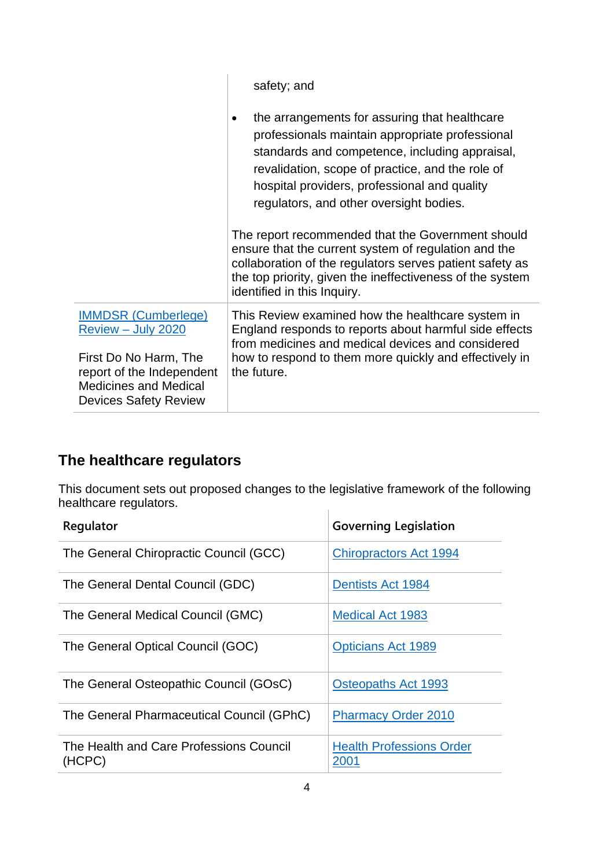| safety; and                                                                                                                                                                                                                                                                                                                                                                                                                                                                                                                                                            |  |
|------------------------------------------------------------------------------------------------------------------------------------------------------------------------------------------------------------------------------------------------------------------------------------------------------------------------------------------------------------------------------------------------------------------------------------------------------------------------------------------------------------------------------------------------------------------------|--|
| the arrangements for assuring that healthcare<br>professionals maintain appropriate professional<br>standards and competence, including appraisal,<br>revalidation, scope of practice, and the role of<br>hospital providers, professional and quality<br>regulators, and other oversight bodies.<br>The report recommended that the Government should<br>ensure that the current system of regulation and the<br>collaboration of the regulators serves patient safety as<br>the top priority, given the ineffectiveness of the system<br>identified in this Inquiry. |  |
|                                                                                                                                                                                                                                                                                                                                                                                                                                                                                                                                                                        |  |
| This Review examined how the healthcare system in<br>England responds to reports about harmful side effects<br>from medicines and medical devices and considered                                                                                                                                                                                                                                                                                                                                                                                                       |  |
| how to respond to them more quickly and effectively in<br>the future.                                                                                                                                                                                                                                                                                                                                                                                                                                                                                                  |  |
|                                                                                                                                                                                                                                                                                                                                                                                                                                                                                                                                                                        |  |

# **The healthcare regulators**

This document sets out proposed changes to the legislative framework of the following healthcare regulators.  $\overline{\phantom{a}}$ 

| Regulator                                         | <b>Governing Legislation</b>            |
|---------------------------------------------------|-----------------------------------------|
| The General Chiropractic Council (GCC)            | <b>Chiropractors Act 1994</b>           |
| The General Dental Council (GDC)                  | <b>Dentists Act 1984</b>                |
| The General Medical Council (GMC)                 | <b>Medical Act 1983</b>                 |
| The General Optical Council (GOC)                 | <b>Opticians Act 1989</b>               |
| The General Osteopathic Council (GOsC)            | <b>Osteopaths Act 1993</b>              |
| The General Pharmaceutical Council (GPhC)         | <b>Pharmacy Order 2010</b>              |
| The Health and Care Professions Council<br>(HCPC) | <b>Health Professions Order</b><br>2001 |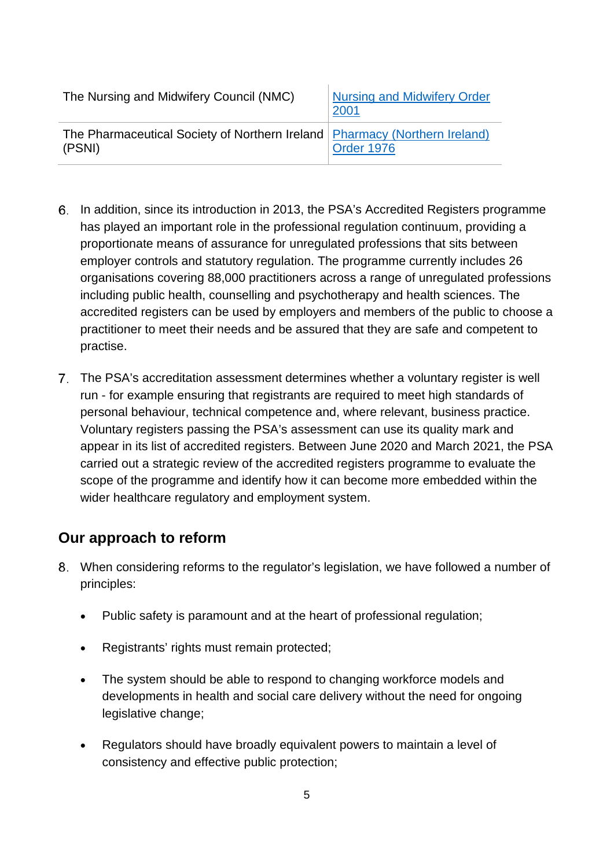| The Nursing and Midwifery Council (NMC)                                                | <b>Nursing and Midwifery Order</b><br>2001 |
|----------------------------------------------------------------------------------------|--------------------------------------------|
| The Pharmaceutical Society of Northern Ireland   Pharmacy (Northern Ireland)<br>(PSNI) | <b>Order 1976</b>                          |

- In addition, since its introduction in 2013, the PSA's Accredited Registers programme has played an important role in the professional regulation continuum, providing a proportionate means of assurance for unregulated professions that sits between employer controls and statutory regulation. The programme currently includes 26 organisations covering 88,000 practitioners across a range of unregulated professions including public health, counselling and psychotherapy and health sciences. The accredited registers can be used by employers and members of the public to choose a practitioner to meet their needs and be assured that they are safe and competent to practise.
- The PSA's accreditation assessment determines whether a voluntary register is well run - for example ensuring that registrants are required to meet high standards of personal behaviour, technical competence and, where relevant, business practice. Voluntary registers passing the PSA's assessment can use its quality mark and appear in its list of accredited registers. Between June 2020 and March 2021, the PSA carried out a strategic review of the accredited registers programme to evaluate the scope of the programme and identify how it can become more embedded within the wider healthcare regulatory and employment system.

# **Our approach to reform**

- When considering reforms to the regulator's legislation, we have followed a number of principles:
	- Public safety is paramount and at the heart of professional regulation;
	- Registrants' rights must remain protected;
	- The system should be able to respond to changing workforce models and developments in health and social care delivery without the need for ongoing legislative change;
	- Regulators should have broadly equivalent powers to maintain a level of consistency and effective public protection;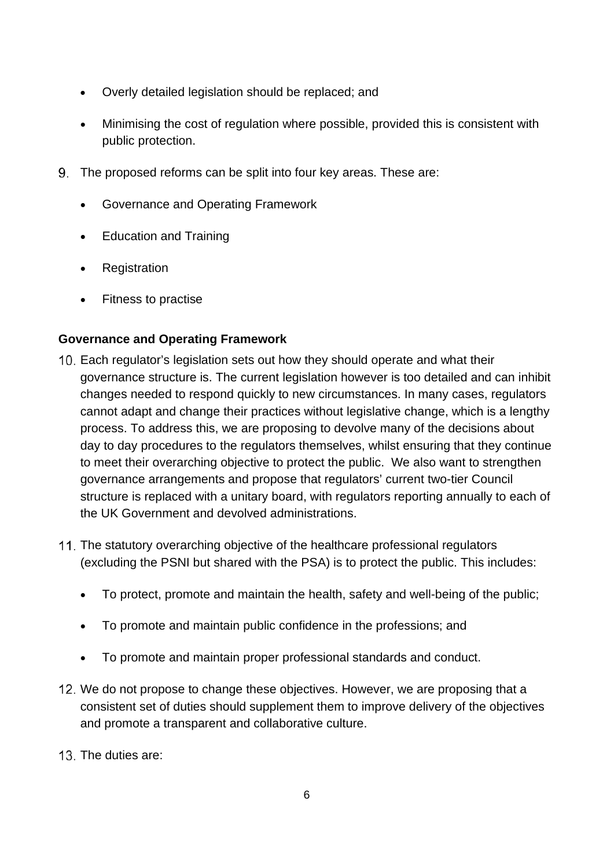- Overly detailed legislation should be replaced; and
- Minimising the cost of regulation where possible, provided this is consistent with public protection.
- The proposed reforms can be split into four key areas. These are:
	- Governance and Operating Framework
	- Education and Training
	- Registration
	- Fitness to practise

## **Governance and Operating Framework**

- Each regulator's legislation sets out how they should operate and what their governance structure is. The current legislation however is too detailed and can inhibit changes needed to respond quickly to new circumstances. In many cases, regulators cannot adapt and change their practices without legislative change, which is a lengthy process. To address this, we are proposing to devolve many of the decisions about day to day procedures to the regulators themselves, whilst ensuring that they continue to meet their overarching objective to protect the public. We also want to strengthen governance arrangements and propose that regulators' current two-tier Council structure is replaced with a unitary board, with regulators reporting annually to each of the UK Government and devolved administrations.
- 11. The statutory overarching objective of the healthcare professional regulators (excluding the PSNI but shared with the PSA) is to protect the public. This includes:
	- To protect, promote and maintain the health, safety and well-being of the public;
	- To promote and maintain public confidence in the professions; and
	- To promote and maintain proper professional standards and conduct.
- 12. We do not propose to change these objectives. However, we are proposing that a consistent set of duties should supplement them to improve delivery of the objectives and promote a transparent and collaborative culture.
- 13. The duties are: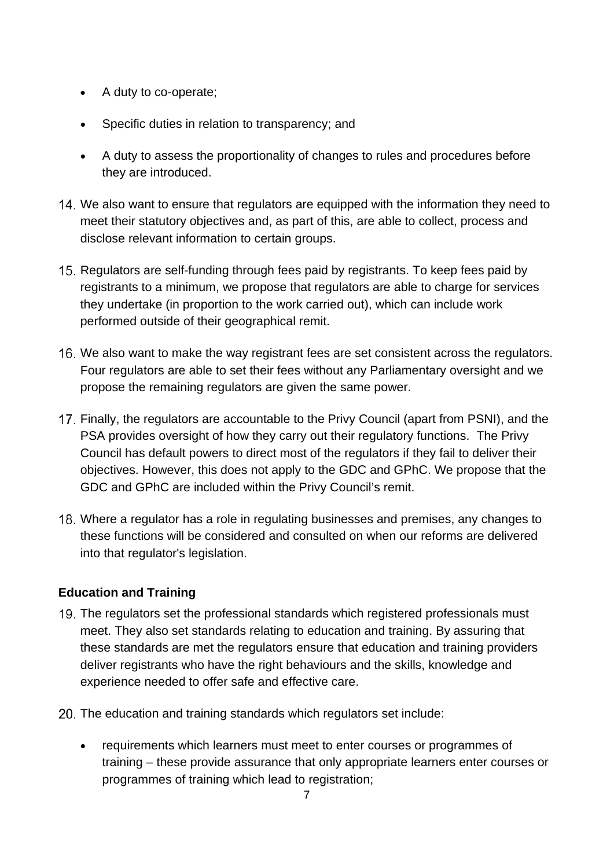- A duty to co-operate;
- Specific duties in relation to transparency; and
- A duty to assess the proportionality of changes to rules and procedures before they are introduced.
- We also want to ensure that regulators are equipped with the information they need to meet their statutory objectives and, as part of this, are able to collect, process and disclose relevant information to certain groups.
- 15. Regulators are self-funding through fees paid by registrants. To keep fees paid by registrants to a minimum, we propose that regulators are able to charge for services they undertake (in proportion to the work carried out), which can include work performed outside of their geographical remit.
- 16. We also want to make the way registrant fees are set consistent across the regulators. Four regulators are able to set their fees without any Parliamentary oversight and we propose the remaining regulators are given the same power.
- 17. Finally, the regulators are accountable to the Privy Council (apart from PSNI), and the PSA provides oversight of how they carry out their regulatory functions. The Privy Council has default powers to direct most of the regulators if they fail to deliver their objectives. However, this does not apply to the GDC and GPhC. We propose that the GDC and GPhC are included within the Privy Council's remit.
- Where a regulator has a role in regulating businesses and premises, any changes to these functions will be considered and consulted on when our reforms are delivered into that regulator's legislation.

## **Education and Training**

- 19. The regulators set the professional standards which registered professionals must meet. They also set standards relating to education and training. By assuring that these standards are met the regulators ensure that education and training providers deliver registrants who have the right behaviours and the skills, knowledge and experience needed to offer safe and effective care.
- 20. The education and training standards which regulators set include:
	- requirements which learners must meet to enter courses or programmes of training – these provide assurance that only appropriate learners enter courses or programmes of training which lead to registration;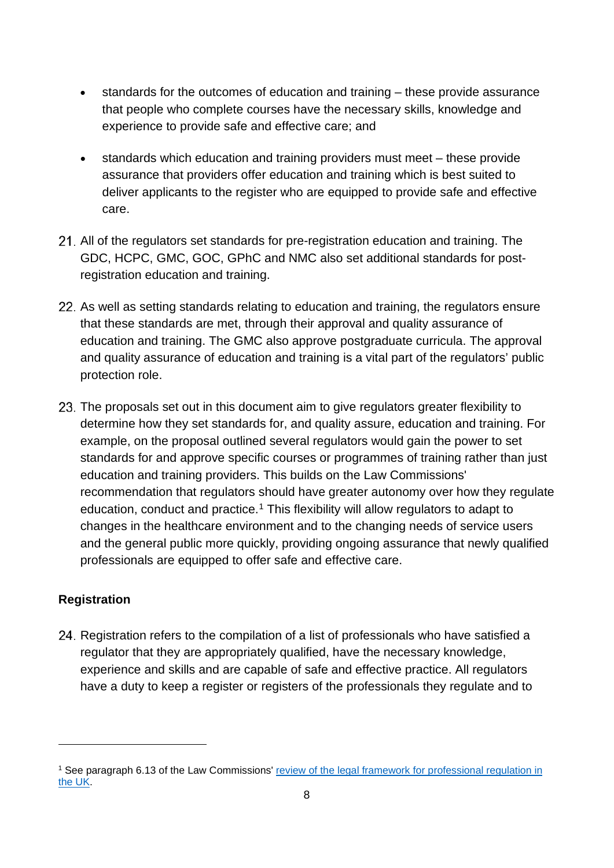- standards for the outcomes of education and training these provide assurance that people who complete courses have the necessary skills, knowledge and experience to provide safe and effective care; and
- standards which education and training providers must meet these provide assurance that providers offer education and training which is best suited to deliver applicants to the register who are equipped to provide safe and effective care.
- All of the regulators set standards for pre-registration education and training. The GDC, HCPC, GMC, GOC, GPhC and NMC also set additional standards for postregistration education and training.
- 22. As well as setting standards relating to education and training, the regulators ensure that these standards are met, through their approval and quality assurance of education and training. The GMC also approve postgraduate curricula. The approval and quality assurance of education and training is a vital part of the regulators' public protection role.
- 23. The proposals set out in this document aim to give regulators greater flexibility to determine how they set standards for, and quality assure, education and training. For example, on the proposal outlined several regulators would gain the power to set standards for and approve specific courses or programmes of training rather than just education and training providers. This builds on the Law Commissions' recommendation that regulators should have greater autonomy over how they regulate education, conduct and practice.<sup>[1](#page-7-0)</sup> This flexibility will allow regulators to adapt to changes in the healthcare environment and to the changing needs of service users and the general public more quickly, providing ongoing assurance that newly qualified professionals are equipped to offer safe and effective care.

## **Registration**

24. Registration refers to the compilation of a list of professionals who have satisfied a regulator that they are appropriately qualified, have the necessary knowledge, experience and skills and are capable of safe and effective practice. All regulators have a duty to keep a register or registers of the professionals they regulate and to

<span id="page-7-0"></span><sup>&</sup>lt;sup>1</sup> See paragraph 6.13 of the Law Commissions' review of the legal framework for professional regulation in [the UK.](http://lawcom.gov.uk/app/uploads/2015/03/lc345_regulation_of_healthcare_professionals.pdf)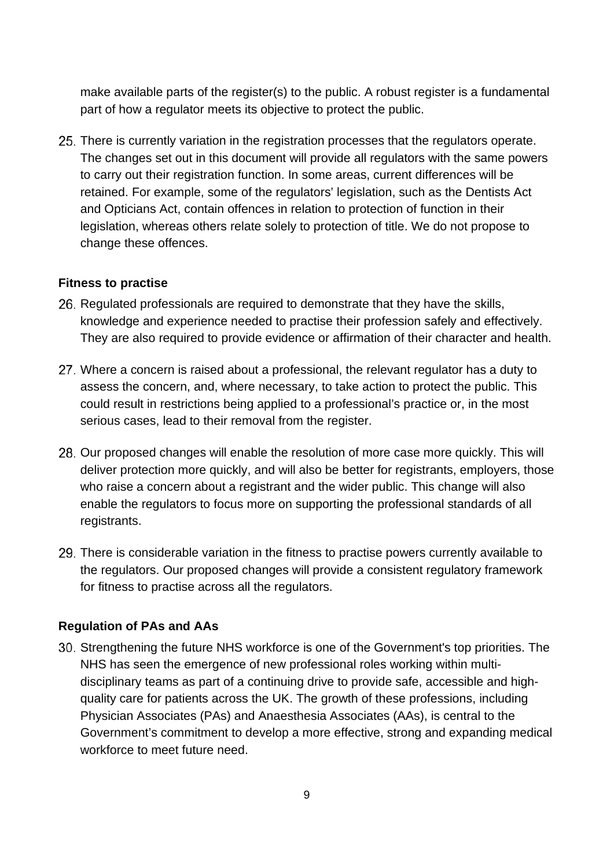make available parts of the register(s) to the public. A robust register is a fundamental part of how a regulator meets its objective to protect the public.

25. There is currently variation in the registration processes that the regulators operate. The changes set out in this document will provide all regulators with the same powers to carry out their registration function. In some areas, current differences will be retained. For example, some of the regulators' legislation, such as the Dentists Act and Opticians Act, contain offences in relation to protection of function in their legislation, whereas others relate solely to protection of title. We do not propose to change these offences.

### **Fitness to practise**

- 26. Regulated professionals are required to demonstrate that they have the skills, knowledge and experience needed to practise their profession safely and effectively. They are also required to provide evidence or affirmation of their character and health.
- Where a concern is raised about a professional, the relevant regulator has a duty to assess the concern, and, where necessary, to take action to protect the public. This could result in restrictions being applied to a professional's practice or, in the most serious cases, lead to their removal from the register.
- 28. Our proposed changes will enable the resolution of more case more quickly. This will deliver protection more quickly, and will also be better for registrants, employers, those who raise a concern about a registrant and the wider public. This change will also enable the regulators to focus more on supporting the professional standards of all registrants.
- There is considerable variation in the fitness to practise powers currently available to the regulators. Our proposed changes will provide a consistent regulatory framework for fitness to practise across all the regulators.

## **Regulation of PAs and AAs**

Strengthening the future NHS workforce is one of the Government's top priorities. The NHS has seen the emergence of new professional roles working within multidisciplinary teams as part of a continuing drive to provide safe, accessible and highquality care for patients across the UK. The growth of these professions, including Physician Associates (PAs) and Anaesthesia Associates (AAs), is central to the Government's commitment to develop a more effective, strong and expanding medical workforce to meet future need.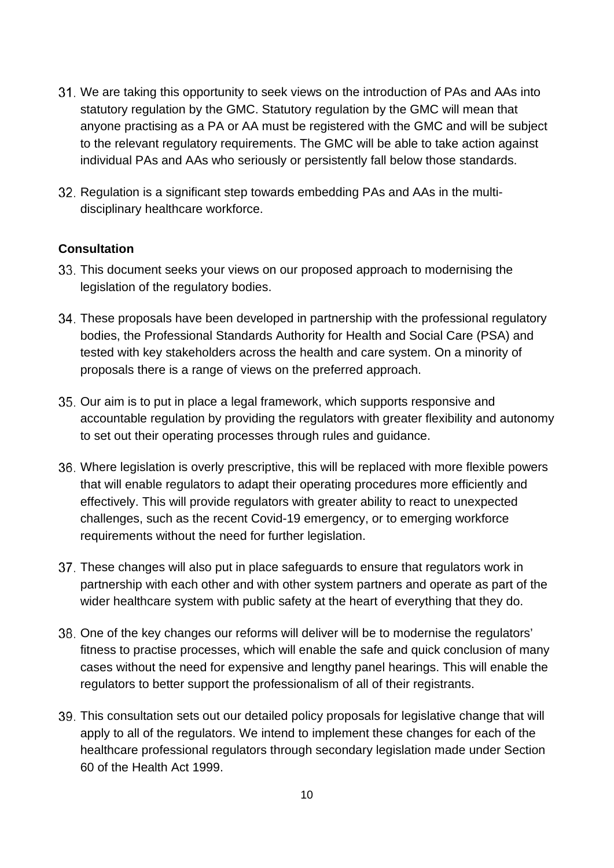- We are taking this opportunity to seek views on the introduction of PAs and AAs into statutory regulation by the GMC. Statutory regulation by the GMC will mean that anyone practising as a PA or AA must be registered with the GMC and will be subject to the relevant regulatory requirements. The GMC will be able to take action against individual PAs and AAs who seriously or persistently fall below those standards.
- 32. Regulation is a significant step towards embedding PAs and AAs in the multidisciplinary healthcare workforce.

### **Consultation**

- This document seeks your views on our proposed approach to modernising the legislation of the regulatory bodies.
- These proposals have been developed in partnership with the professional regulatory bodies, the Professional Standards Authority for Health and Social Care (PSA) and tested with key stakeholders across the health and care system. On a minority of proposals there is a range of views on the preferred approach.
- 35. Our aim is to put in place a legal framework, which supports responsive and accountable regulation by providing the regulators with greater flexibility and autonomy to set out their operating processes through rules and guidance.
- Where legislation is overly prescriptive, this will be replaced with more flexible powers that will enable regulators to adapt their operating procedures more efficiently and effectively. This will provide regulators with greater ability to react to unexpected challenges, such as the recent Covid-19 emergency, or to emerging workforce requirements without the need for further legislation.
- These changes will also put in place safeguards to ensure that regulators work in partnership with each other and with other system partners and operate as part of the wider healthcare system with public safety at the heart of everything that they do.
- 38. One of the key changes our reforms will deliver will be to modernise the regulators' fitness to practise processes, which will enable the safe and quick conclusion of many cases without the need for expensive and lengthy panel hearings. This will enable the regulators to better support the professionalism of all of their registrants.
- This consultation sets out our detailed policy proposals for legislative change that will apply to all of the regulators. We intend to implement these changes for each of the healthcare professional regulators through secondary legislation made under Section 60 of the Health Act 1999.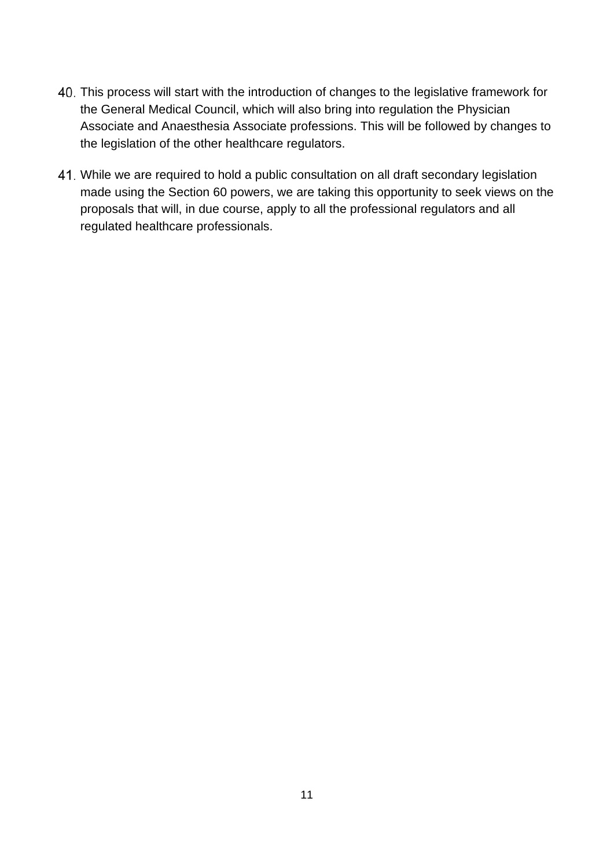- This process will start with the introduction of changes to the legislative framework for the General Medical Council, which will also bring into regulation the Physician Associate and Anaesthesia Associate professions. This will be followed by changes to the legislation of the other healthcare regulators.
- While we are required to hold a public consultation on all draft secondary legislation made using the Section 60 powers, we are taking this opportunity to seek views on the proposals that will, in due course, apply to all the professional regulators and all regulated healthcare professionals.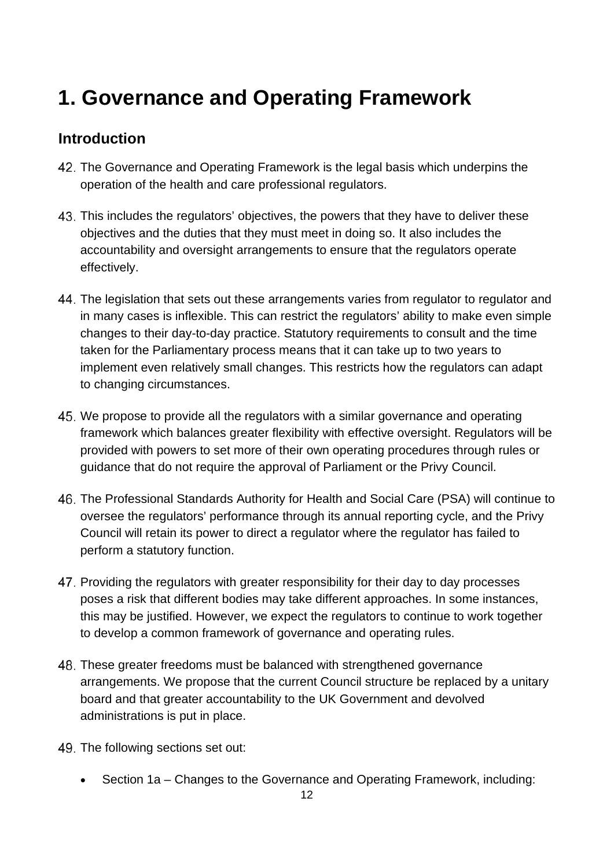# **1. Governance and Operating Framework**

## **Introduction**

- The Governance and Operating Framework is the legal basis which underpins the operation of the health and care professional regulators.
- This includes the regulators' objectives, the powers that they have to deliver these objectives and the duties that they must meet in doing so. It also includes the accountability and oversight arrangements to ensure that the regulators operate effectively.
- The legislation that sets out these arrangements varies from regulator to regulator and in many cases is inflexible. This can restrict the regulators' ability to make even simple changes to their day-to-day practice. Statutory requirements to consult and the time taken for the Parliamentary process means that it can take up to two years to implement even relatively small changes. This restricts how the regulators can adapt to changing circumstances.
- We propose to provide all the regulators with a similar governance and operating framework which balances greater flexibility with effective oversight. Regulators will be provided with powers to set more of their own operating procedures through rules or guidance that do not require the approval of Parliament or the Privy Council.
- The Professional Standards Authority for Health and Social Care (PSA) will continue to oversee the regulators' performance through its annual reporting cycle, and the Privy Council will retain its power to direct a regulator where the regulator has failed to perform a statutory function.
- 47. Providing the regulators with greater responsibility for their day to day processes poses a risk that different bodies may take different approaches. In some instances, this may be justified. However, we expect the regulators to continue to work together to develop a common framework of governance and operating rules.
- These greater freedoms must be balanced with strengthened governance arrangements. We propose that the current Council structure be replaced by a unitary board and that greater accountability to the UK Government and devolved administrations is put in place.
- 49. The following sections set out:
	- Section 1a Changes to the Governance and Operating Framework, including: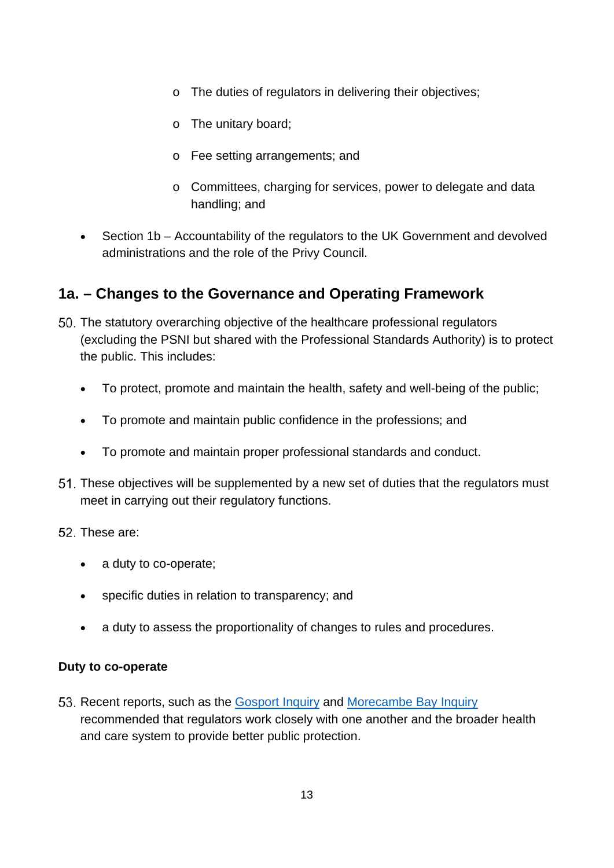- o The duties of regulators in delivering their objectives;
- o The unitary board;
- o Fee setting arrangements; and
- o Committees, charging for services, power to delegate and data handling; and
- Section 1b Accountability of the regulators to the UK Government and devolved administrations and the role of the Privy Council.

# **1a. – Changes to the Governance and Operating Framework**

- The statutory overarching objective of the healthcare professional regulators (excluding the PSNI but shared with the Professional Standards Authority) is to protect the public. This includes:
	- To protect, promote and maintain the health, safety and well-being of the public;
	- To promote and maintain public confidence in the professions; and
	- To promote and maintain proper professional standards and conduct.
- These objectives will be supplemented by a new set of duties that the regulators must meet in carrying out their regulatory functions.
- 52. These are:
	- a duty to co-operate;
	- specific duties in relation to transparency; and
	- a duty to assess the proportionality of changes to rules and procedures.

## **Duty to co-operate**

53. Recent reports, such as the [Gosport Inquiry](https://www.gosportpanel.independent.gov.uk/panel-report/) and [Morecambe Bay Inquiry](https://www.gov.uk/government/publications/morecambe-bay-investigation-report) recommended that regulators work closely with one another and the broader health and care system to provide better public protection.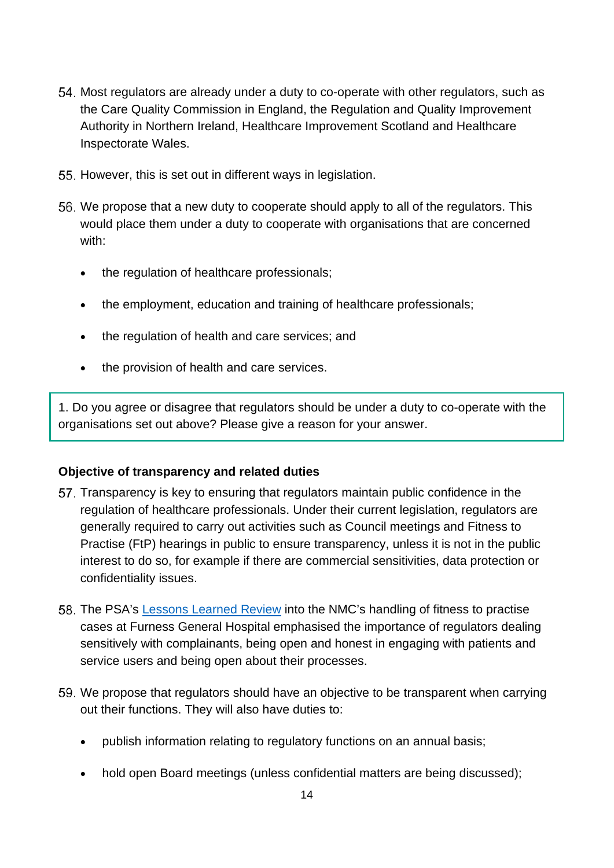- 54. Most regulators are already under a duty to co-operate with other regulators, such as the Care Quality Commission in England, the Regulation and Quality Improvement Authority in Northern Ireland, Healthcare Improvement Scotland and Healthcare Inspectorate Wales.
- 55. However, this is set out in different ways in legislation.
- We propose that a new duty to cooperate should apply to all of the regulators. This would place them under a duty to cooperate with organisations that are concerned with:
	- the regulation of healthcare professionals;
	- the employment, education and training of healthcare professionals;
	- the regulation of health and care services; and
	- the provision of health and care services.

1. Do you agree or disagree that regulators should be under a duty to co-operate with the organisations set out above? Please give a reason for your answer.

## **Objective of transparency and related duties**

- Transparency is key to ensuring that regulators maintain public confidence in the regulation of healthcare professionals. Under their current legislation, regulators are generally required to carry out activities such as Council meetings and Fitness to Practise (FtP) hearings in public to ensure transparency, unless it is not in the public interest to do so, for example if there are commercial sensitivities, data protection or confidentiality issues.
- The PSA's [Lessons Learned Review](https://www.professionalstandards.org.uk/docs/default-source/publications/nmc-lessons-learned-review-may-2018b2851bf761926971a151ff000072e7a6.pdf?sfvrsn=34177220_0) into the NMC's handling of fitness to practise cases at Furness General Hospital emphasised the importance of regulators dealing sensitively with complainants, being open and honest in engaging with patients and service users and being open about their processes.
- 59. We propose that regulators should have an objective to be transparent when carrying out their functions. They will also have duties to:
	- publish information relating to regulatory functions on an annual basis;
	- hold open Board meetings (unless confidential matters are being discussed);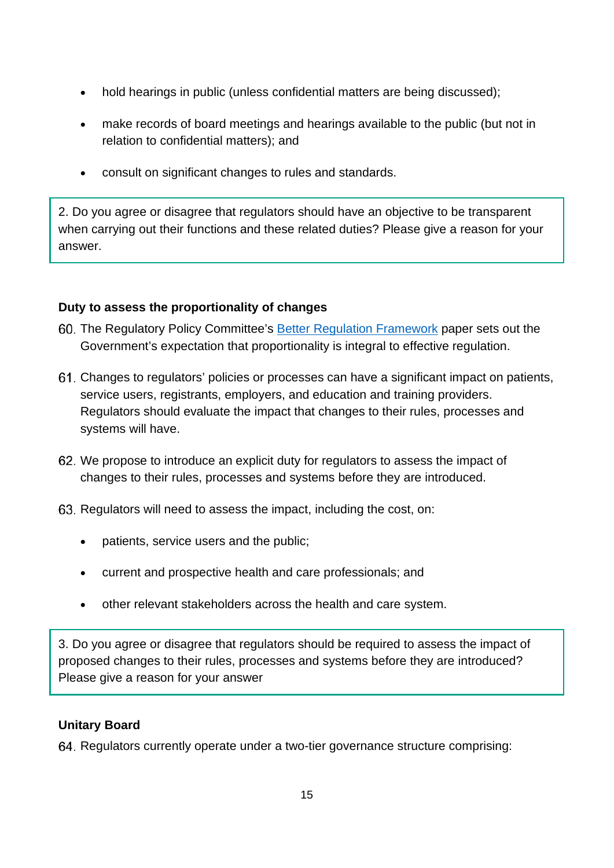- hold hearings in public (unless confidential matters are being discussed);
- make records of board meetings and hearings available to the public (but not in relation to confidential matters); and
- consult on significant changes to rules and standards.

2. Do you agree or disagree that regulators should have an objective to be transparent when carrying out their functions and these related duties? Please give a reason for your answer.

## **Duty to assess the proportionality of changes**

- The Regulatory Policy Committee's [Better Regulation Framework](https://assets.publishing.service.gov.uk/government/uploads/system/uploads/attachment_data/file/916918/better-regulation-guidance.pdf#:%7E:text=Better%20Regulation%20Executive%20(BRE)%20leads%20across%20Government%20on,report,%20and%20providing%20advice%20and%20support%20to%20BRUs.) paper sets out the Government's expectation that proportionality is integral to effective regulation.
- Changes to regulators' policies or processes can have a significant impact on patients, service users, registrants, employers, and education and training providers. Regulators should evaluate the impact that changes to their rules, processes and systems will have.
- We propose to introduce an explicit duty for regulators to assess the impact of changes to their rules, processes and systems before they are introduced.
- 63. Regulators will need to assess the impact, including the cost, on:
	- patients, service users and the public;
	- current and prospective health and care professionals; and
	- other relevant stakeholders across the health and care system.

3. Do you agree or disagree that regulators should be required to assess the impact of proposed changes to their rules, processes and systems before they are introduced? Please give a reason for your answer

## **Unitary Board**

64. Regulators currently operate under a two-tier governance structure comprising: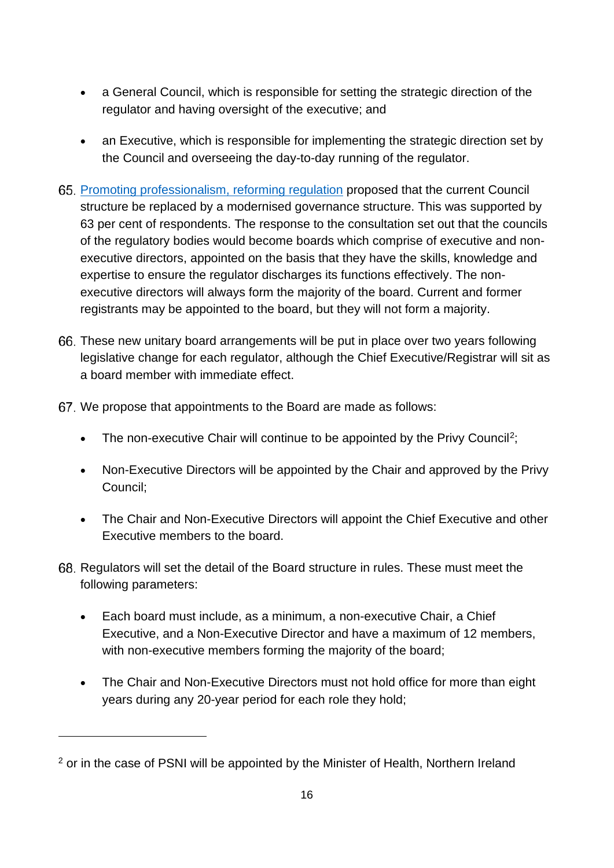- a General Council, which is responsible for setting the strategic direction of the regulator and having oversight of the executive; and
- an Executive, which is responsible for implementing the strategic direction set by the Council and overseeing the day-to-day running of the regulator.
- [Promoting professionalism, reforming regulation](http://lawcom.gov.uk/app/uploads/2015/03/lc345_regulation_of_healthcare_professionals.pdf) proposed that the current Council structure be replaced by a modernised governance structure. This was supported by 63 per cent of respondents. The response to the consultation set out that the councils of the regulatory bodies would become boards which comprise of executive and nonexecutive directors, appointed on the basis that they have the skills, knowledge and expertise to ensure the regulator discharges its functions effectively. The nonexecutive directors will always form the majority of the board. Current and former registrants may be appointed to the board, but they will not form a majority.
- These new unitary board arrangements will be put in place over two years following legislative change for each regulator, although the Chief Executive/Registrar will sit as a board member with immediate effect.
- We propose that appointments to the Board are made as follows:
	- The non-executive Chair will continue to be appointed by the Privy Council<sup>2</sup>;
	- Non-Executive Directors will be appointed by the Chair and approved by the Privy Council;
	- The Chair and Non-Executive Directors will appoint the Chief Executive and other Executive members to the board.
- 68. Regulators will set the detail of the Board structure in rules. These must meet the following parameters:
	- Each board must include, as a minimum, a non-executive Chair, a Chief Executive, and a Non-Executive Director and have a maximum of 12 members, with non-executive members forming the majority of the board:
	- The Chair and Non-Executive Directors must not hold office for more than eight years during any 20-year period for each role they hold;

<span id="page-15-0"></span><sup>&</sup>lt;sup>2</sup> or in the case of PSNI will be appointed by the Minister of Health, Northern Ireland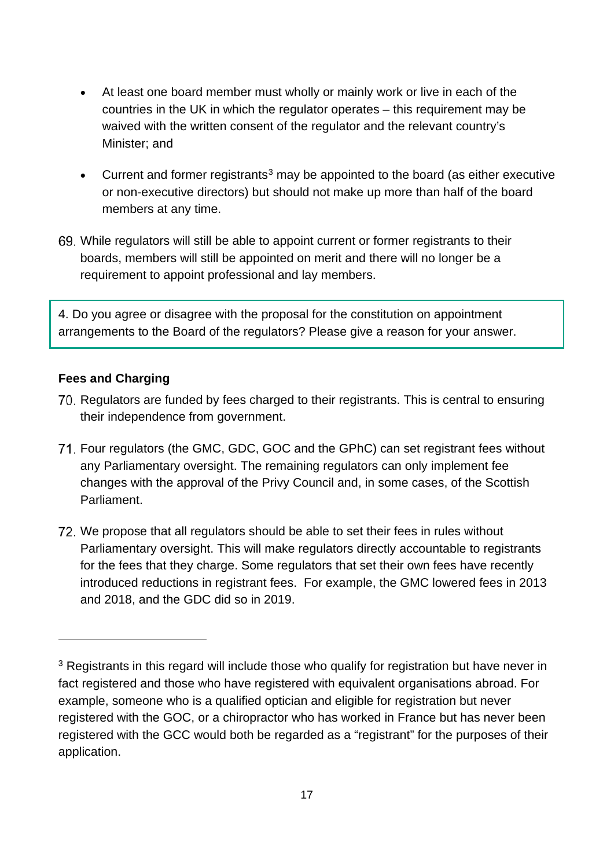- At least one board member must wholly or mainly work or live in each of the countries in the UK in which the regulator operates – this requirement may be waived with the written consent of the regulator and the relevant country's Minister; and
- Current and former registrants<sup>[3](#page-16-0)</sup> may be appointed to the board (as either executive or non-executive directors) but should not make up more than half of the board members at any time.
- While regulators will still be able to appoint current or former registrants to their boards, members will still be appointed on merit and there will no longer be a requirement to appoint professional and lay members.

4. Do you agree or disagree with the proposal for the constitution on appointment arrangements to the Board of the regulators? Please give a reason for your answer.

## **Fees and Charging**

- 70. Regulators are funded by fees charged to their registrants. This is central to ensuring their independence from government.
- Four regulators (the GMC, GDC, GOC and the GPhC) can set registrant fees without any Parliamentary oversight. The remaining regulators can only implement fee changes with the approval of the Privy Council and, in some cases, of the Scottish Parliament.
- 72. We propose that all regulators should be able to set their fees in rules without Parliamentary oversight. This will make regulators directly accountable to registrants for the fees that they charge. Some regulators that set their own fees have recently introduced reductions in registrant fees. For example, the GMC lowered fees in 2013 and 2018, and the GDC did so in 2019.

<span id="page-16-0"></span><sup>&</sup>lt;sup>3</sup> Registrants in this regard will include those who qualify for registration but have never in fact registered and those who have registered with equivalent organisations abroad. For example, someone who is a qualified optician and eligible for registration but never registered with the GOC, or a chiropractor who has worked in France but has never been registered with the GCC would both be regarded as a "registrant" for the purposes of their application.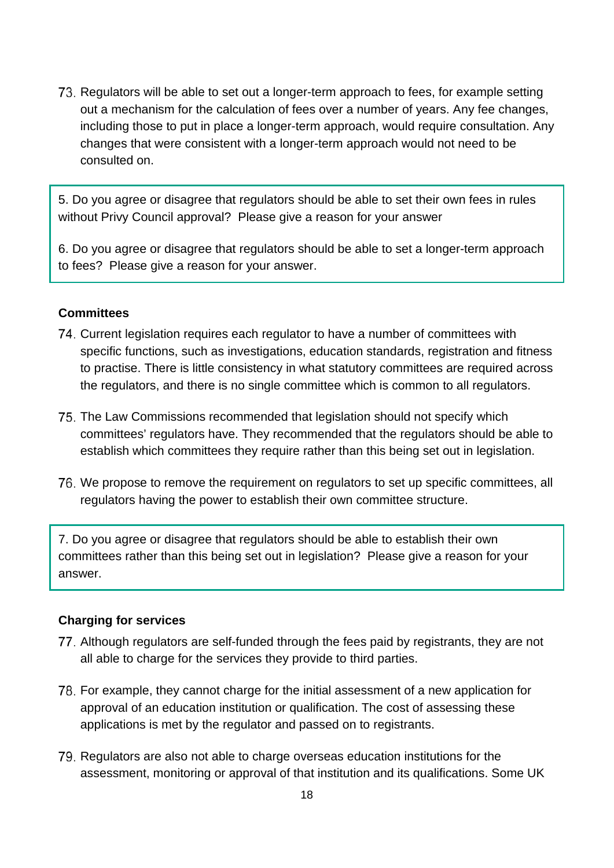73. Regulators will be able to set out a longer-term approach to fees, for example setting out a mechanism for the calculation of fees over a number of years. Any fee changes, including those to put in place a longer-term approach, would require consultation. Any changes that were consistent with a longer-term approach would not need to be consulted on.

5. Do you agree or disagree that regulators should be able to set their own fees in rules without Privy Council approval? Please give a reason for your answer

6. Do you agree or disagree that regulators should be able to set a longer-term approach to fees? Please give a reason for your answer.

#### **Committees**

- 74. Current legislation requires each regulator to have a number of committees with specific functions, such as investigations, education standards, registration and fitness to practise. There is little consistency in what statutory committees are required across the regulators, and there is no single committee which is common to all regulators.
- The Law Commissions recommended that legislation should not specify which committees' regulators have. They recommended that the regulators should be able to establish which committees they require rather than this being set out in legislation.
- 76. We propose to remove the requirement on regulators to set up specific committees, all regulators having the power to establish their own committee structure.

7. Do you agree or disagree that regulators should be able to establish their own committees rather than this being set out in legislation? Please give a reason for your answer.

#### **Charging for services**

- Although regulators are self-funded through the fees paid by registrants, they are not all able to charge for the services they provide to third parties.
- For example, they cannot charge for the initial assessment of a new application for approval of an education institution or qualification. The cost of assessing these applications is met by the regulator and passed on to registrants.
- 79. Regulators are also not able to charge overseas education institutions for the assessment, monitoring or approval of that institution and its qualifications. Some UK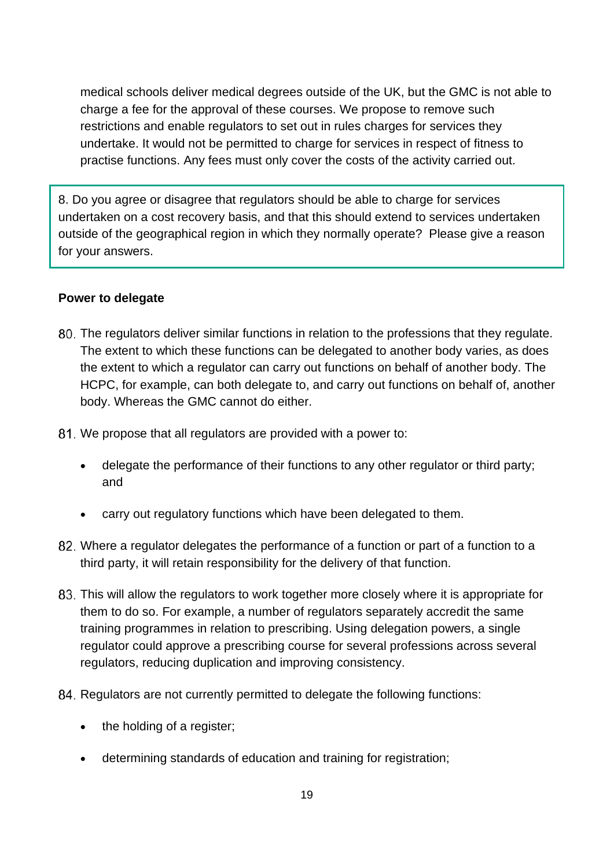medical schools deliver medical degrees outside of the UK, but the GMC is not able to charge a fee for the approval of these courses. We propose to remove such restrictions and enable regulators to set out in rules charges for services they undertake. It would not be permitted to charge for services in respect of fitness to practise functions. Any fees must only cover the costs of the activity carried out.

8. Do you agree or disagree that regulators should be able to charge for services undertaken on a cost recovery basis, and that this should extend to services undertaken outside of the geographical region in which they normally operate? Please give a reason for your answers.

### **Power to delegate**

- The regulators deliver similar functions in relation to the professions that they regulate. The extent to which these functions can be delegated to another body varies, as does the extent to which a regulator can carry out functions on behalf of another body. The HCPC, for example, can both delegate to, and carry out functions on behalf of, another body. Whereas the GMC cannot do either.
- We propose that all regulators are provided with a power to:
	- delegate the performance of their functions to any other regulator or third party; and
	- carry out regulatory functions which have been delegated to them.
- Where a regulator delegates the performance of a function or part of a function to a third party, it will retain responsibility for the delivery of that function.
- This will allow the regulators to work together more closely where it is appropriate for them to do so. For example, a number of regulators separately accredit the same training programmes in relation to prescribing. Using delegation powers, a single regulator could approve a prescribing course for several professions across several regulators, reducing duplication and improving consistency.
- 84. Regulators are not currently permitted to delegate the following functions:
	- the holding of a register;
	- determining standards of education and training for registration;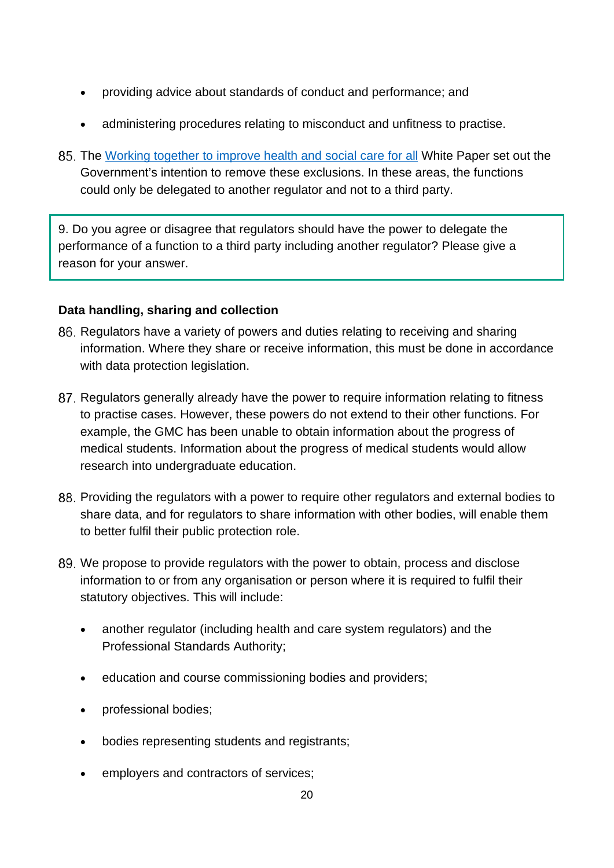- providing advice about standards of conduct and performance; and
- administering procedures relating to misconduct and unfitness to practise.
- The [Working together to improve health and social care for all](https://www.gov.uk/government/publications/working-together-to-improve-health-and-social-care-for-all) White Paper set out the Government's intention to remove these exclusions. In these areas, the functions could only be delegated to another regulator and not to a third party.

9. Do you agree or disagree that regulators should have the power to delegate the performance of a function to a third party including another regulator? Please give a reason for your answer.

## **Data handling, sharing and collection**

- 86. Regulators have a variety of powers and duties relating to receiving and sharing information. Where they share or receive information, this must be done in accordance with data protection legislation.
- 87. Regulators generally already have the power to require information relating to fitness to practise cases. However, these powers do not extend to their other functions. For example, the GMC has been unable to obtain information about the progress of medical students. Information about the progress of medical students would allow research into undergraduate education.
- 88. Providing the regulators with a power to require other regulators and external bodies to share data, and for regulators to share information with other bodies, will enable them to better fulfil their public protection role.
- We propose to provide regulators with the power to obtain, process and disclose information to or from any organisation or person where it is required to fulfil their statutory objectives. This will include:
	- another regulator (including health and care system regulators) and the Professional Standards Authority;
	- education and course commissioning bodies and providers;
	- professional bodies;
	- bodies representing students and registrants;
	- employers and contractors of services;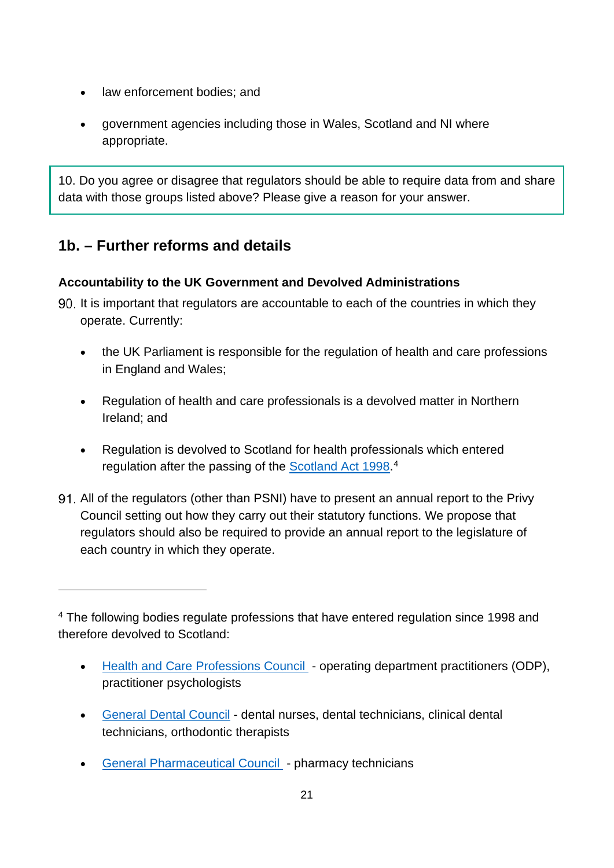- law enforcement bodies; and
- government agencies including those in Wales, Scotland and NI where appropriate.

10. Do you agree or disagree that regulators should be able to require data from and share data with those groups listed above? Please give a reason for your answer.

## **1b. – Further reforms and details**

## **Accountability to the UK Government and Devolved Administrations**

90. It is important that regulators are accountable to each of the countries in which they operate. Currently:

- the UK Parliament is responsible for the regulation of health and care professions in England and Wales;
- Regulation of health and care professionals is a devolved matter in Northern Ireland; and
- Regulation is devolved to Scotland for health professionals which entered regulation after the passing of the **Scotland Act 1998.**<sup>[4](#page-20-0)</sup>
- All of the regulators (other than PSNI) have to present an annual report to the Privy Council setting out how they carry out their statutory functions. We propose that regulators should also be required to provide an annual report to the legislature of each country in which they operate.

- [Health and Care Professions Council](https://www.hcpc-uk.org/)  operating department practitioners (ODP), practitioner psychologists
- [General Dental Council](https://www.gdc-uk.org/) dental nurses, dental technicians, clinical dental technicians, orthodontic therapists
- [General Pharmaceutical Council](https://www.pharmacyregulation.org/)  pharmacy technicians

<span id="page-20-0"></span><sup>&</sup>lt;sup>4</sup> The following bodies regulate professions that have entered regulation since 1998 and therefore devolved to Scotland: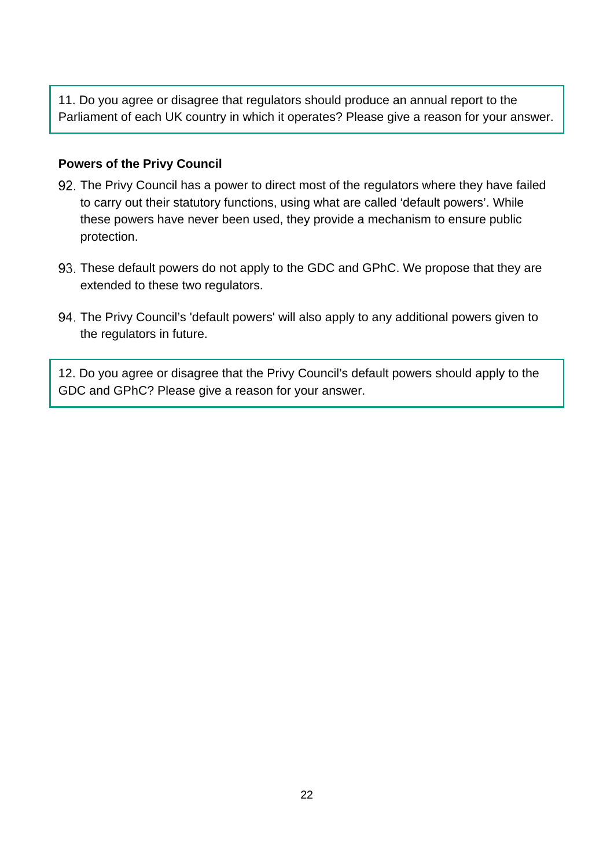11. Do you agree or disagree that regulators should produce an annual report to the Parliament of each UK country in which it operates? Please give a reason for your answer.

#### **Powers of the Privy Council**

- The Privy Council has a power to direct most of the regulators where they have failed to carry out their statutory functions, using what are called 'default powers'. While these powers have never been used, they provide a mechanism to ensure public protection.
- These default powers do not apply to the GDC and GPhC. We propose that they are extended to these two regulators.
- The Privy Council's 'default powers' will also apply to any additional powers given to the regulators in future.

12. Do you agree or disagree that the Privy Council's default powers should apply to the GDC and GPhC? Please give a reason for your answer.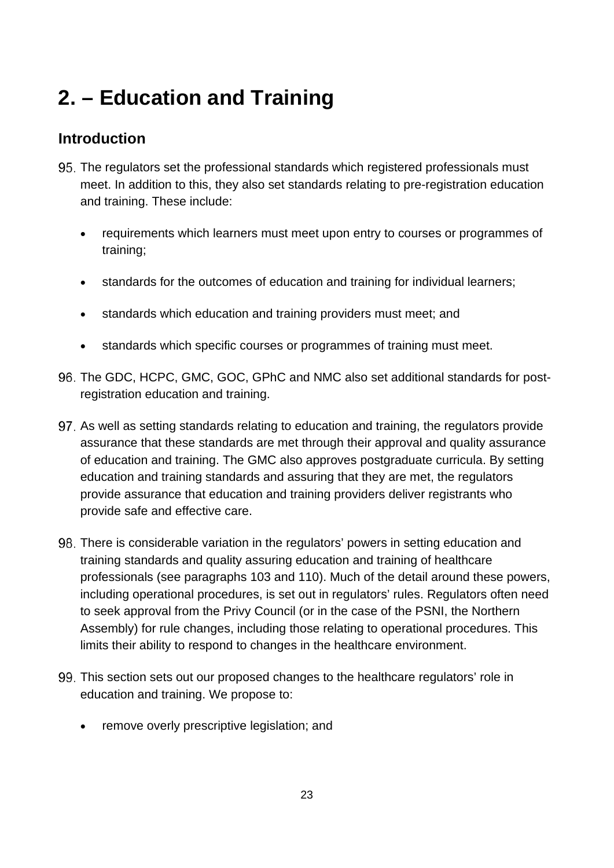# **2. – Education and Training**

# **Introduction**

- The regulators set the professional standards which registered professionals must meet. In addition to this, they also set standards relating to pre-registration education and training. These include:
	- requirements which learners must meet upon entry to courses or programmes of training;
	- standards for the outcomes of education and training for individual learners;
	- standards which education and training providers must meet; and
	- standards which specific courses or programmes of training must meet.
- The GDC, HCPC, GMC, GOC, GPhC and NMC also set additional standards for postregistration education and training.
- As well as setting standards relating to education and training, the regulators provide assurance that these standards are met through their approval and quality assurance of education and training. The GMC also approves postgraduate curricula. By setting education and training standards and assuring that they are met, the regulators provide assurance that education and training providers deliver registrants who provide safe and effective care.
- There is considerable variation in the regulators' powers in setting education and training standards and quality assuring education and training of healthcare professionals (see paragraphs 103 and 110). Much of the detail around these powers, including operational procedures, is set out in regulators' rules. Regulators often need to seek approval from the Privy Council (or in the case of the PSNI, the Northern Assembly) for rule changes, including those relating to operational procedures. This limits their ability to respond to changes in the healthcare environment.
- This section sets out our proposed changes to the healthcare regulators' role in education and training. We propose to:
	- remove overly prescriptive legislation; and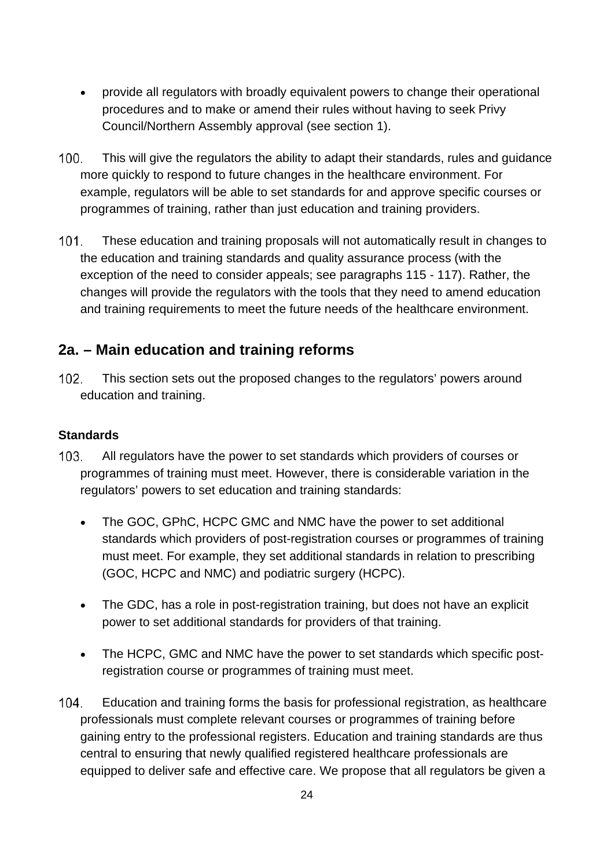- provide all regulators with broadly equivalent powers to change their operational procedures and to make or amend their rules without having to seek Privy Council/Northern Assembly approval (see section 1).
- $100.$ This will give the regulators the ability to adapt their standards, rules and guidance more quickly to respond to future changes in the healthcare environment. For example, regulators will be able to set standards for and approve specific courses or programmes of training, rather than just education and training providers.
- $101.$ These education and training proposals will not automatically result in changes to the education and training standards and quality assurance process (with the exception of the need to consider appeals; see paragraphs 115 - 117). Rather, the changes will provide the regulators with the tools that they need to amend education and training requirements to meet the future needs of the healthcare environment.

## **2a. – Main education and training reforms**

 $102.$ This section sets out the proposed changes to the regulators' powers around education and training.

### **Standards**

- $103.$ All regulators have the power to set standards which providers of courses or programmes of training must meet. However, there is considerable variation in the regulators' powers to set education and training standards:
	- The GOC, GPhC, HCPC GMC and NMC have the power to set additional standards which providers of post-registration courses or programmes of training must meet. For example, they set additional standards in relation to prescribing (GOC, HCPC and NMC) and podiatric surgery (HCPC).
	- The GDC, has a role in post-registration training, but does not have an explicit power to set additional standards for providers of that training.
	- The HCPC, GMC and NMC have the power to set standards which specific postregistration course or programmes of training must meet.
- 104. Education and training forms the basis for professional registration, as healthcare professionals must complete relevant courses or programmes of training before gaining entry to the professional registers. Education and training standards are thus central to ensuring that newly qualified registered healthcare professionals are equipped to deliver safe and effective care. We propose that all regulators be given a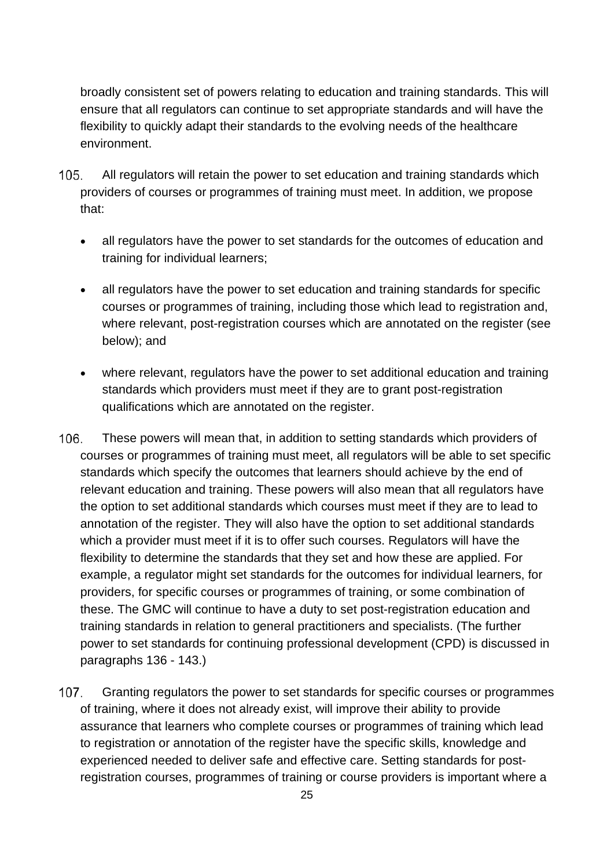broadly consistent set of powers relating to education and training standards. This will ensure that all regulators can continue to set appropriate standards and will have the flexibility to quickly adapt their standards to the evolving needs of the healthcare environment.

- 105. All regulators will retain the power to set education and training standards which providers of courses or programmes of training must meet. In addition, we propose that:
	- all regulators have the power to set standards for the outcomes of education and training for individual learners;
	- all regulators have the power to set education and training standards for specific courses or programmes of training, including those which lead to registration and, where relevant, post-registration courses which are annotated on the register (see below); and
	- where relevant, regulators have the power to set additional education and training standards which providers must meet if they are to grant post-registration qualifications which are annotated on the register.
- 106. These powers will mean that, in addition to setting standards which providers of courses or programmes of training must meet, all regulators will be able to set specific standards which specify the outcomes that learners should achieve by the end of relevant education and training. These powers will also mean that all regulators have the option to set additional standards which courses must meet if they are to lead to annotation of the register. They will also have the option to set additional standards which a provider must meet if it is to offer such courses. Regulators will have the flexibility to determine the standards that they set and how these are applied. For example, a regulator might set standards for the outcomes for individual learners, for providers, for specific courses or programmes of training, or some combination of these. The GMC will continue to have a duty to set post-registration education and training standards in relation to general practitioners and specialists. (The further power to set standards for continuing professional development (CPD) is discussed in paragraphs 136 - 143.)
- $107<sub>1</sub>$ Granting regulators the power to set standards for specific courses or programmes of training, where it does not already exist, will improve their ability to provide assurance that learners who complete courses or programmes of training which lead to registration or annotation of the register have the specific skills, knowledge and experienced needed to deliver safe and effective care. Setting standards for postregistration courses, programmes of training or course providers is important where a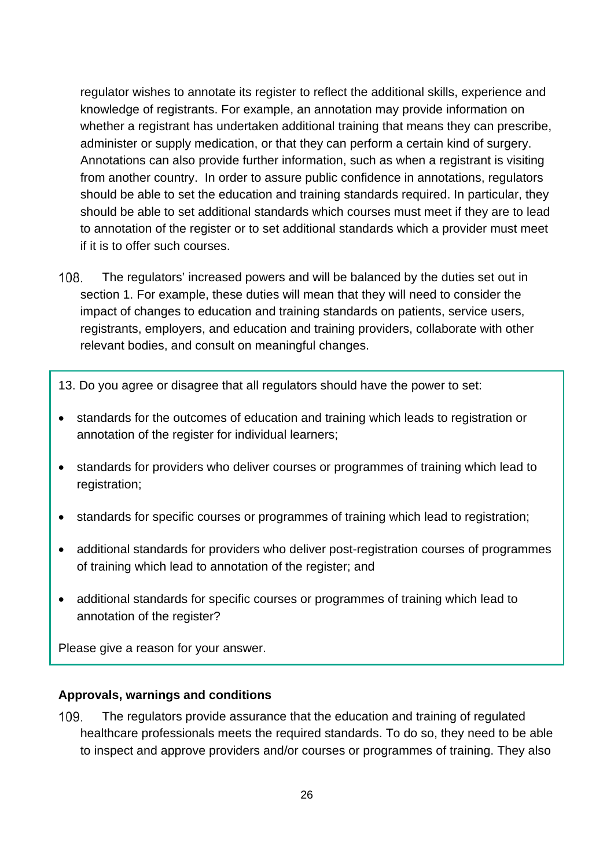regulator wishes to annotate its register to reflect the additional skills, experience and knowledge of registrants. For example, an annotation may provide information on whether a registrant has undertaken additional training that means they can prescribe, administer or supply medication, or that they can perform a certain kind of surgery. Annotations can also provide further information, such as when a registrant is visiting from another country. In order to assure public confidence in annotations, regulators should be able to set the education and training standards required. In particular, they should be able to set additional standards which courses must meet if they are to lead to annotation of the register or to set additional standards which a provider must meet if it is to offer such courses.

- $108$ The regulators' increased powers and will be balanced by the duties set out in section 1. For example, these duties will mean that they will need to consider the impact of changes to education and training standards on patients, service users, registrants, employers, and education and training providers, collaborate with other relevant bodies, and consult on meaningful changes.
- 13. Do you agree or disagree that all regulators should have the power to set:
- standards for the outcomes of education and training which leads to registration or annotation of the register for individual learners;
- standards for providers who deliver courses or programmes of training which lead to registration;
- standards for specific courses or programmes of training which lead to registration;
- additional standards for providers who deliver post-registration courses of programmes of training which lead to annotation of the register; and
- additional standards for specific courses or programmes of training which lead to annotation of the register?

Please give a reason for your answer.

#### **Approvals, warnings and conditions**

 $109.$ The regulators provide assurance that the education and training of regulated healthcare professionals meets the required standards. To do so, they need to be able to inspect and approve providers and/or courses or programmes of training. They also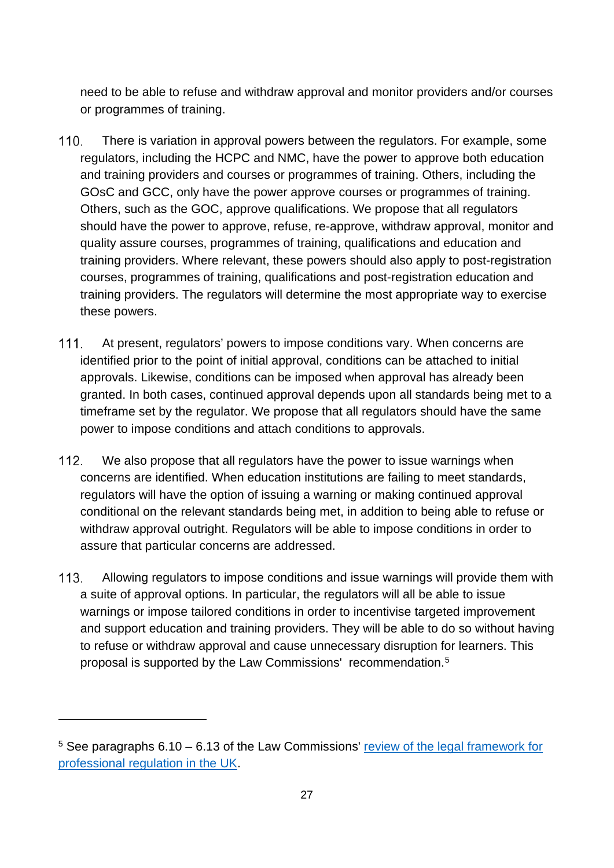need to be able to refuse and withdraw approval and monitor providers and/or courses or programmes of training.

- 110. There is variation in approval powers between the regulators. For example, some regulators, including the HCPC and NMC, have the power to approve both education and training providers and courses or programmes of training. Others, including the GOsC and GCC, only have the power approve courses or programmes of training. Others, such as the GOC, approve qualifications. We propose that all regulators should have the power to approve, refuse, re-approve, withdraw approval, monitor and quality assure courses, programmes of training, qualifications and education and training providers. Where relevant, these powers should also apply to post-registration courses, programmes of training, qualifications and post-registration education and training providers. The regulators will determine the most appropriate way to exercise these powers.
- $111.$ At present, regulators' powers to impose conditions vary. When concerns are identified prior to the point of initial approval, conditions can be attached to initial approvals. Likewise, conditions can be imposed when approval has already been granted. In both cases, continued approval depends upon all standards being met to a timeframe set by the regulator. We propose that all regulators should have the same power to impose conditions and attach conditions to approvals.
- $112.$ We also propose that all regulators have the power to issue warnings when concerns are identified. When education institutions are failing to meet standards, regulators will have the option of issuing a warning or making continued approval conditional on the relevant standards being met, in addition to being able to refuse or withdraw approval outright. Regulators will be able to impose conditions in order to assure that particular concerns are addressed.
- $113.$ Allowing regulators to impose conditions and issue warnings will provide them with a suite of approval options. In particular, the regulators will all be able to issue warnings or impose tailored conditions in order to incentivise targeted improvement and support education and training providers. They will be able to do so without having to refuse or withdraw approval and cause unnecessary disruption for learners. This proposal is supported by the Law Commissions' recommendation.[5](#page-26-0)

<span id="page-26-0"></span> $5$  See paragraphs 6.10 – 6.13 of the Law Commissions' review of the legal framework for [professional regulation in the UK.](http://lawcom.gov.uk/app/uploads/2015/03/lc345_regulation_of_healthcare_professionals.pdf)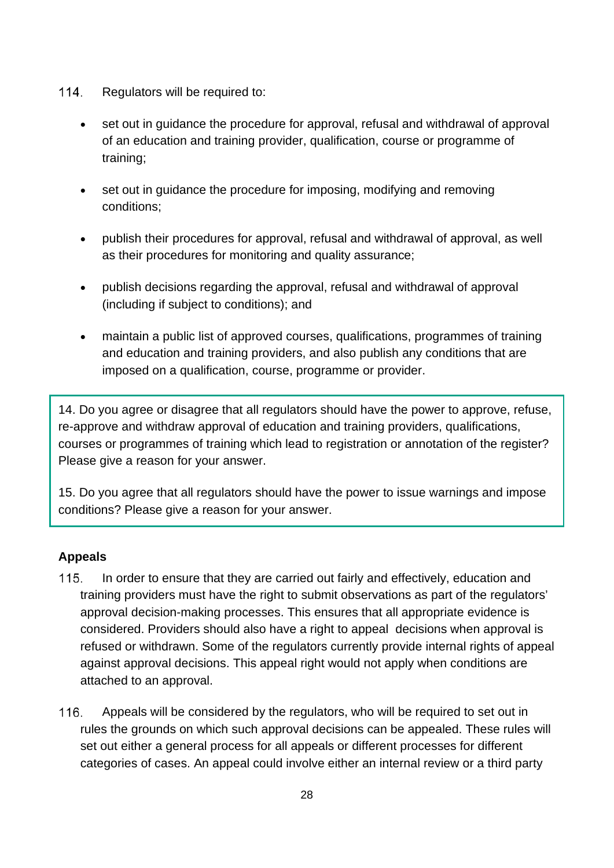- $114.$ Regulators will be required to:
	- set out in guidance the procedure for approval, refusal and withdrawal of approval of an education and training provider, qualification, course or programme of training;
	- set out in quidance the procedure for imposing, modifying and removing conditions;
	- publish their procedures for approval, refusal and withdrawal of approval, as well as their procedures for monitoring and quality assurance;
	- publish decisions regarding the approval, refusal and withdrawal of approval (including if subject to conditions); and
	- maintain a public list of approved courses, qualifications, programmes of training and education and training providers, and also publish any conditions that are imposed on a qualification, course, programme or provider.

14. Do you agree or disagree that all regulators should have the power to approve, refuse, re-approve and withdraw approval of education and training providers, qualifications, courses or programmes of training which lead to registration or annotation of the register? Please give a reason for your answer.

15. Do you agree that all regulators should have the power to issue warnings and impose conditions? Please give a reason for your answer.

## **Appeals**

- In order to ensure that they are carried out fairly and effectively, education and  $115.$ training providers must have the right to submit observations as part of the regulators' approval decision-making processes. This ensures that all appropriate evidence is considered. Providers should also have a right to appeal decisions when approval is refused or withdrawn. Some of the regulators currently provide internal rights of appeal against approval decisions. This appeal right would not apply when conditions are attached to an approval.
- 116. Appeals will be considered by the regulators, who will be required to set out in rules the grounds on which such approval decisions can be appealed. These rules will set out either a general process for all appeals or different processes for different categories of cases. An appeal could involve either an internal review or a third party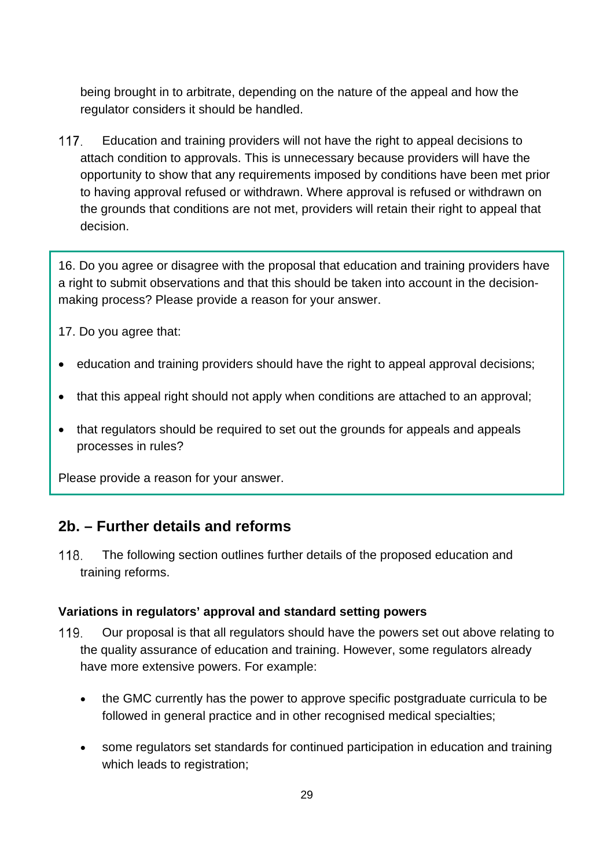being brought in to arbitrate, depending on the nature of the appeal and how the regulator considers it should be handled.

 $117.$ Education and training providers will not have the right to appeal decisions to attach condition to approvals. This is unnecessary because providers will have the opportunity to show that any requirements imposed by conditions have been met prior to having approval refused or withdrawn. Where approval is refused or withdrawn on the grounds that conditions are not met, providers will retain their right to appeal that decision.

16. Do you agree or disagree with the proposal that education and training providers have a right to submit observations and that this should be taken into account in the decisionmaking process? Please provide a reason for your answer.

17. Do you agree that:

- education and training providers should have the right to appeal approval decisions;
- that this appeal right should not apply when conditions are attached to an approval;
- that regulators should be required to set out the grounds for appeals and appeals processes in rules?

Please provide a reason for your answer.

# **2b. – Further details and reforms**

118. The following section outlines further details of the proposed education and training reforms.

## **Variations in regulators' approval and standard setting powers**

- 119. Our proposal is that all regulators should have the powers set out above relating to the quality assurance of education and training. However, some regulators already have more extensive powers. For example:
	- the GMC currently has the power to approve specific postgraduate curricula to be followed in general practice and in other recognised medical specialties;
	- some regulators set standards for continued participation in education and training which leads to registration: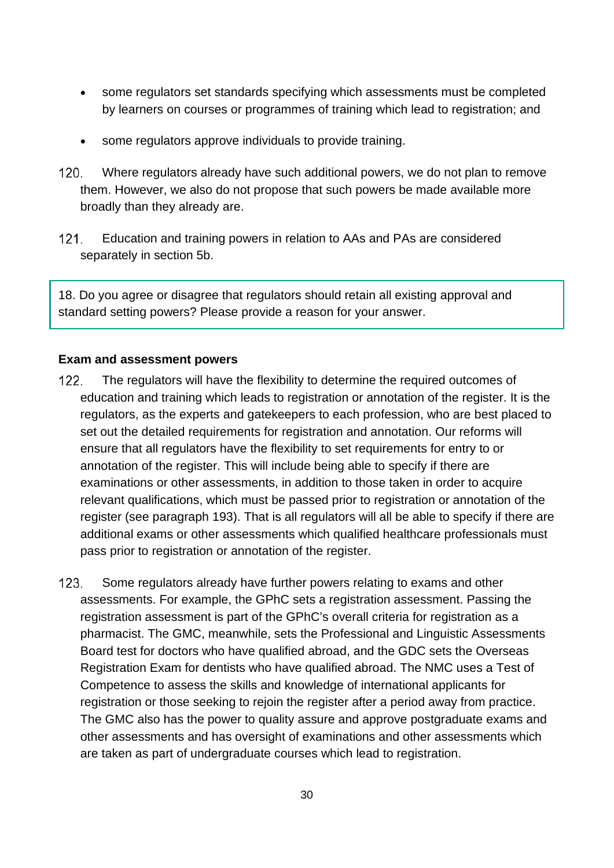- some regulators set standards specifying which assessments must be completed by learners on courses or programmes of training which lead to registration; and
- some regulators approve individuals to provide training.
- $120.$ Where regulators already have such additional powers, we do not plan to remove them. However, we also do not propose that such powers be made available more broadly than they already are.
- $121.$ Education and training powers in relation to AAs and PAs are considered separately in section 5b.

18. Do you agree or disagree that regulators should retain all existing approval and standard setting powers? Please provide a reason for your answer.

#### **Exam and assessment powers**

- $122.$ The regulators will have the flexibility to determine the required outcomes of education and training which leads to registration or annotation of the register. It is the regulators, as the experts and gatekeepers to each profession, who are best placed to set out the detailed requirements for registration and annotation. Our reforms will ensure that all regulators have the flexibility to set requirements for entry to or annotation of the register. This will include being able to specify if there are examinations or other assessments, in addition to those taken in order to acquire relevant qualifications, which must be passed prior to registration or annotation of the register (see paragraph 193). That is all regulators will all be able to specify if there are additional exams or other assessments which qualified healthcare professionals must pass prior to registration or annotation of the register.
- $123.$ Some regulators already have further powers relating to exams and other assessments. For example, the GPhC sets a registration assessment. Passing the registration assessment is part of the GPhC's overall criteria for registration as a pharmacist. The GMC, meanwhile, sets the Professional and Linguistic Assessments Board test for doctors who have qualified abroad, and the GDC sets the Overseas Registration Exam for dentists who have qualified abroad. The NMC uses a Test of Competence to assess the skills and knowledge of international applicants for registration or those seeking to rejoin the register after a period away from practice. The GMC also has the power to quality assure and approve postgraduate exams and other assessments and has oversight of examinations and other assessments which are taken as part of undergraduate courses which lead to registration.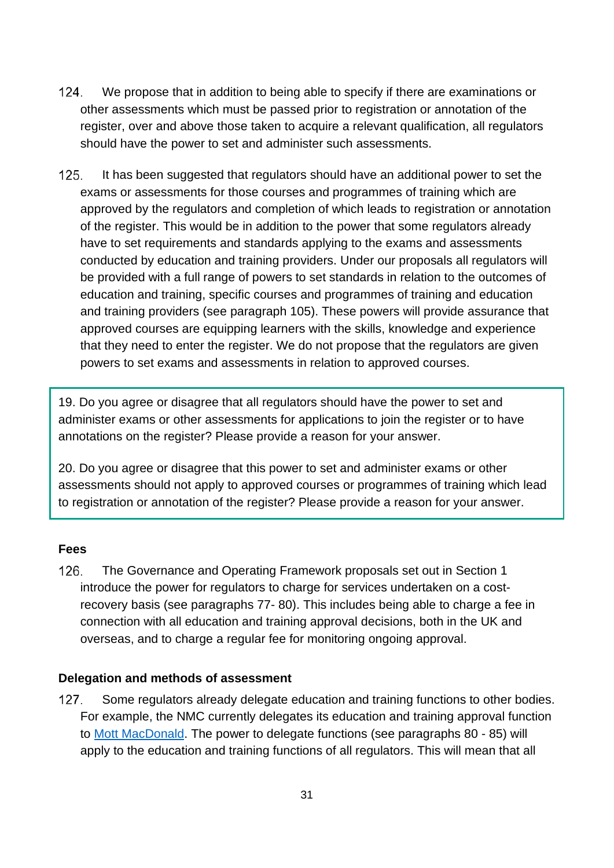- $124.$ We propose that in addition to being able to specify if there are examinations or other assessments which must be passed prior to registration or annotation of the register, over and above those taken to acquire a relevant qualification, all regulators should have the power to set and administer such assessments.
- $125.$ It has been suggested that regulators should have an additional power to set the exams or assessments for those courses and programmes of training which are approved by the regulators and completion of which leads to registration or annotation of the register. This would be in addition to the power that some regulators already have to set requirements and standards applying to the exams and assessments conducted by education and training providers. Under our proposals all regulators will be provided with a full range of powers to set standards in relation to the outcomes of education and training, specific courses and programmes of training and education and training providers (see paragraph 105). These powers will provide assurance that approved courses are equipping learners with the skills, knowledge and experience that they need to enter the register. We do not propose that the regulators are given powers to set exams and assessments in relation to approved courses.

19. Do you agree or disagree that all regulators should have the power to set and administer exams or other assessments for applications to join the register or to have annotations on the register? Please provide a reason for your answer.

20. Do you agree or disagree that this power to set and administer exams or other assessments should not apply to approved courses or programmes of training which lead to registration or annotation of the register? Please provide a reason for your answer.

#### **Fees**

126. The Governance and Operating Framework proposals set out in Section 1 introduce the power for regulators to charge for services undertaken on a costrecovery basis (see paragraphs 77- 80). This includes being able to charge a fee in connection with all education and training approval decisions, both in the UK and overseas, and to charge a regular fee for monitoring ongoing approval.

#### **Delegation and methods of assessment**

 $127.$ Some regulators already delegate education and training functions to other bodies. For example, the NMC currently delegates its education and training approval function to [Mott MacDonald.](https://nmc.mottmac.com/) The power to delegate functions (see paragraphs 80 - 85) will apply to the education and training functions of all regulators. This will mean that all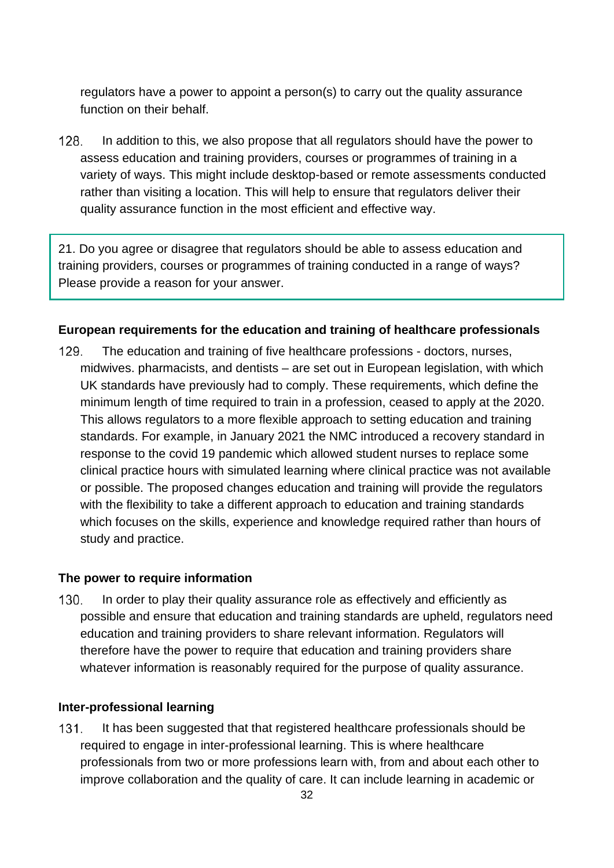regulators have a power to appoint a person(s) to carry out the quality assurance function on their behalf.

128. In addition to this, we also propose that all regulators should have the power to assess education and training providers, courses or programmes of training in a variety of ways. This might include desktop-based or remote assessments conducted rather than visiting a location. This will help to ensure that regulators deliver their quality assurance function in the most efficient and effective way.

21. Do you agree or disagree that regulators should be able to assess education and training providers, courses or programmes of training conducted in a range of ways? Please provide a reason for your answer.

#### **European requirements for the education and training of healthcare professionals**

129. The education and training of five healthcare professions - doctors, nurses, midwives. pharmacists, and dentists – are set out in European legislation, with which UK standards have previously had to comply. These requirements, which define the minimum length of time required to train in a profession, ceased to apply at the 2020. This allows regulators to a more flexible approach to setting education and training standards. For example, in January 2021 the NMC introduced a recovery standard in response to the covid 19 pandemic which allowed student nurses to replace some clinical practice hours with simulated learning where clinical practice was not available or possible. The proposed changes education and training will provide the regulators with the flexibility to take a different approach to education and training standards which focuses on the skills, experience and knowledge required rather than hours of study and practice.

#### **The power to require information**

 $130.$ In order to play their quality assurance role as effectively and efficiently as possible and ensure that education and training standards are upheld, regulators need education and training providers to share relevant information. Regulators will therefore have the power to require that education and training providers share whatever information is reasonably required for the purpose of quality assurance.

#### **Inter-professional learning**

 $131.$ It has been suggested that that registered healthcare professionals should be required to engage in inter-professional learning. This is where healthcare professionals from two or more professions learn with, from and about each other to improve collaboration and the quality of care. It can include learning in academic or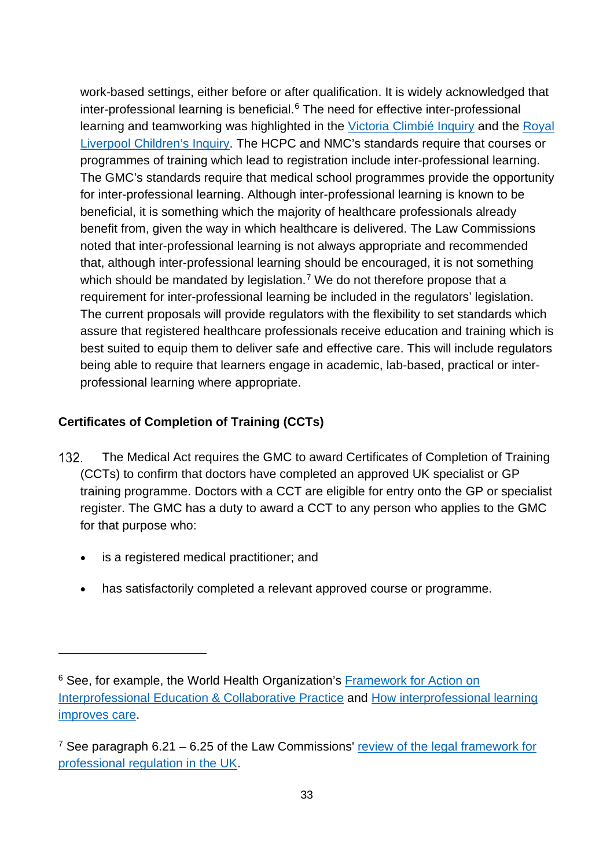work-based settings, either before or after qualification. It is widely acknowledged that inter-professional learning is beneficial.<sup>[6](#page-32-0)</sup> The need for effective inter-professional learning and teamworking was highlighted in the [Victoria Climbié Inquiry](https://www.gov.uk/government/publications/the-victoria-climbie-inquiry-report-of-an-inquiry-by-lord-laming) and the [Royal](https://www.gov.uk/government/publications/the-royal-liverpool-childrens-inquiry-summary-and-recommendations)  [Liverpool Children's Inquiry.](https://www.gov.uk/government/publications/the-royal-liverpool-childrens-inquiry-summary-and-recommendations) The HCPC and NMC's standards require that courses or programmes of training which lead to registration include inter-professional learning. The GMC's standards require that medical school programmes provide the opportunity for inter-professional learning. Although inter-professional learning is known to be beneficial, it is something which the majority of healthcare professionals already benefit from, given the way in which healthcare is delivered. The Law Commissions noted that inter-professional learning is not always appropriate and recommended that, although inter-professional learning should be encouraged, it is not something which should be mandated by legislation.<sup>[7](#page-32-1)</sup> We do not therefore propose that a requirement for inter-professional learning be included in the regulators' legislation. The current proposals will provide regulators with the flexibility to set standards which assure that registered healthcare professionals receive education and training which is best suited to equip them to deliver safe and effective care. This will include regulators being able to require that learners engage in academic, lab-based, practical or interprofessional learning where appropriate.

## **Certificates of Completion of Training (CCTs)**

- 132. The Medical Act requires the GMC to award Certificates of Completion of Training (CCTs) to confirm that doctors have completed an approved UK specialist or GP training programme. Doctors with a CCT are eligible for entry onto the GP or specialist register. The GMC has a duty to award a CCT to any person who applies to the GMC for that purpose who:
	- is a registered medical practitioner; and
	- has satisfactorily completed a relevant approved course or programme.

<span id="page-32-0"></span><sup>&</sup>lt;sup>6</sup> See, for example, the World Health Organization's Framework for Action on [Interprofessional Education & Collaborative Practice](https://www.who.int/hrh/resources/framework_action/en/) and [How interprofessional learning](https://www.nursingtimes.net/roles/nurse-educators/how-interprofessional-learning-improves-care-24-05-2013/)  [improves care.](https://www.nursingtimes.net/roles/nurse-educators/how-interprofessional-learning-improves-care-24-05-2013/)

<span id="page-32-1"></span><sup>&</sup>lt;sup>7</sup> See paragraph 6.21 – 6.25 of the Law Commissions' review of the legal framework for [professional regulation in the UK.](http://lawcom.gov.uk/app/uploads/2015/03/lc345_regulation_of_healthcare_professionals.pdf)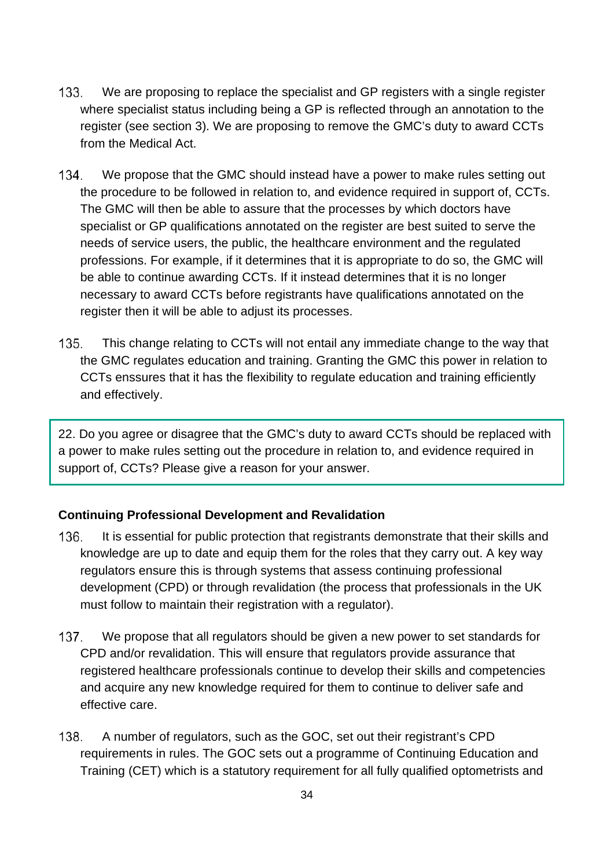- $133.$ We are proposing to replace the specialist and GP registers with a single register where specialist status including being a GP is reflected through an annotation to the register (see section 3). We are proposing to remove the GMC's duty to award CCTs from the Medical Act.
- We propose that the GMC should instead have a power to make rules setting out 134. the procedure to be followed in relation to, and evidence required in support of, CCTs. The GMC will then be able to assure that the processes by which doctors have specialist or GP qualifications annotated on the register are best suited to serve the needs of service users, the public, the healthcare environment and the regulated professions. For example, if it determines that it is appropriate to do so, the GMC will be able to continue awarding CCTs. If it instead determines that it is no longer necessary to award CCTs before registrants have qualifications annotated on the register then it will be able to adjust its processes.
- 135. This change relating to CCTs will not entail any immediate change to the way that the GMC regulates education and training. Granting the GMC this power in relation to CCTs enssures that it has the flexibility to regulate education and training efficiently and effectively.

22. Do you agree or disagree that the GMC's duty to award CCTs should be replaced with a power to make rules setting out the procedure in relation to, and evidence required in support of, CCTs? Please give a reason for your answer.

## **Continuing Professional Development and Revalidation**

- 136. It is essential for public protection that registrants demonstrate that their skills and knowledge are up to date and equip them for the roles that they carry out. A key way regulators ensure this is through systems that assess continuing professional development (CPD) or through revalidation (the process that professionals in the UK must follow to maintain their registration with a regulator).
- $137.$ We propose that all regulators should be given a new power to set standards for CPD and/or revalidation. This will ensure that regulators provide assurance that registered healthcare professionals continue to develop their skills and competencies and acquire any new knowledge required for them to continue to deliver safe and effective care.
- A number of regulators, such as the GOC, set out their registrant's CPD 138. requirements in rules. The GOC sets out a programme of Continuing Education and Training (CET) which is a statutory requirement for all fully qualified optometrists and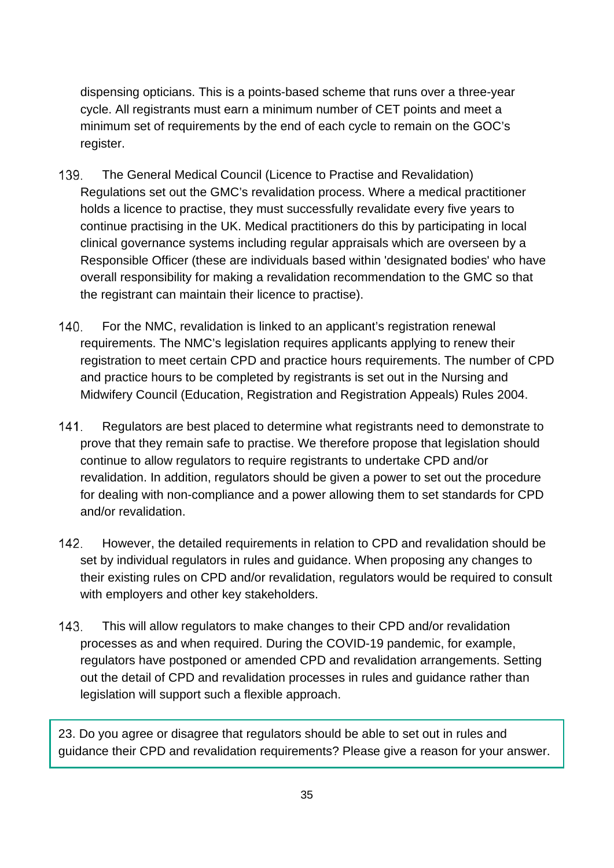dispensing opticians. This is a points-based scheme that runs over a three-year cycle. All registrants must earn a minimum number of CET points and meet a minimum set of requirements by the end of each cycle to remain on the GOC's register.

- 139. The General Medical Council (Licence to Practise and Revalidation) Regulations set out the GMC's revalidation process. Where a medical practitioner holds a licence to practise, they must successfully revalidate every five years to continue practising in the UK. Medical practitioners do this by participating in local clinical governance systems including regular appraisals which are overseen by a Responsible Officer (these are individuals based within 'designated bodies' who have overall responsibility for making a revalidation recommendation to the GMC so that the registrant can maintain their licence to practise).
- $140.$ For the NMC, revalidation is linked to an applicant's registration renewal requirements. The NMC's legislation requires applicants applying to renew their registration to meet certain CPD and practice hours requirements. The number of CPD and practice hours to be completed by registrants is set out in the Nursing and Midwifery Council (Education, Registration and Registration Appeals) Rules 2004.
- $141$ Regulators are best placed to determine what registrants need to demonstrate to prove that they remain safe to practise. We therefore propose that legislation should continue to allow regulators to require registrants to undertake CPD and/or revalidation. In addition, regulators should be given a power to set out the procedure for dealing with non-compliance and a power allowing them to set standards for CPD and/or revalidation.
- $142.$ However, the detailed requirements in relation to CPD and revalidation should be set by individual regulators in rules and guidance. When proposing any changes to their existing rules on CPD and/or revalidation, regulators would be required to consult with employers and other key stakeholders.
- $143.$ This will allow regulators to make changes to their CPD and/or revalidation processes as and when required. During the COVID-19 pandemic, for example, regulators have postponed or amended CPD and revalidation arrangements. Setting out the detail of CPD and revalidation processes in rules and guidance rather than legislation will support such a flexible approach.

23. Do you agree or disagree that regulators should be able to set out in rules and guidance their CPD and revalidation requirements? Please give a reason for your answer.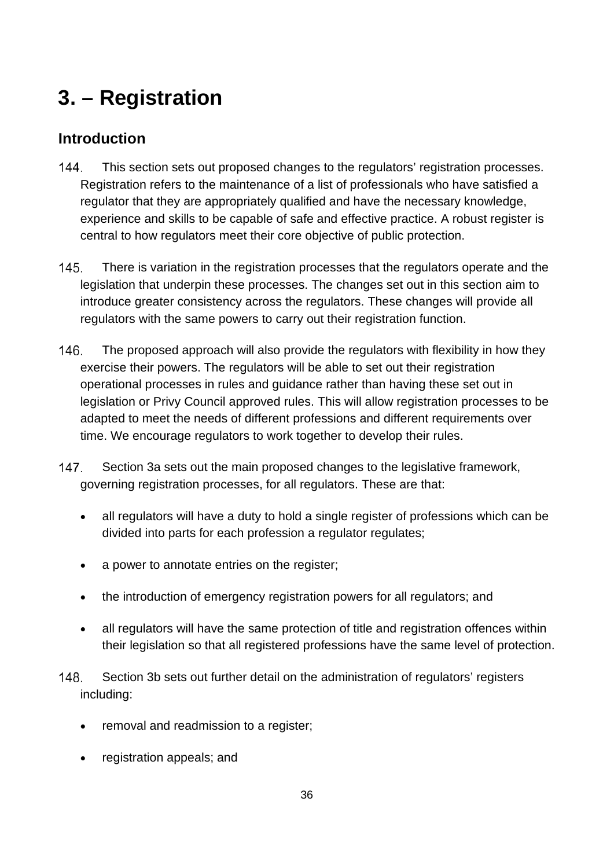# **3. – Registration**

# **Introduction**

- $144.$ This section sets out proposed changes to the regulators' registration processes. Registration refers to the maintenance of a list of professionals who have satisfied a regulator that they are appropriately qualified and have the necessary knowledge, experience and skills to be capable of safe and effective practice. A robust register is central to how regulators meet their core objective of public protection.
- $145$ There is variation in the registration processes that the regulators operate and the legislation that underpin these processes. The changes set out in this section aim to introduce greater consistency across the regulators. These changes will provide all regulators with the same powers to carry out their registration function.
- 146. The proposed approach will also provide the regulators with flexibility in how they exercise their powers. The regulators will be able to set out their registration operational processes in rules and guidance rather than having these set out in legislation or Privy Council approved rules. This will allow registration processes to be adapted to meet the needs of different professions and different requirements over time. We encourage regulators to work together to develop their rules.
- $147.$ Section 3a sets out the main proposed changes to the legislative framework, governing registration processes, for all regulators. These are that:
	- all regulators will have a duty to hold a single register of professions which can be divided into parts for each profession a regulator regulates;
	- a power to annotate entries on the register;
	- the introduction of emergency registration powers for all regulators; and
	- all regulators will have the same protection of title and registration offences within their legislation so that all registered professions have the same level of protection.
- 148. Section 3b sets out further detail on the administration of regulators' registers including:
	- removal and readmission to a register;
	- registration appeals; and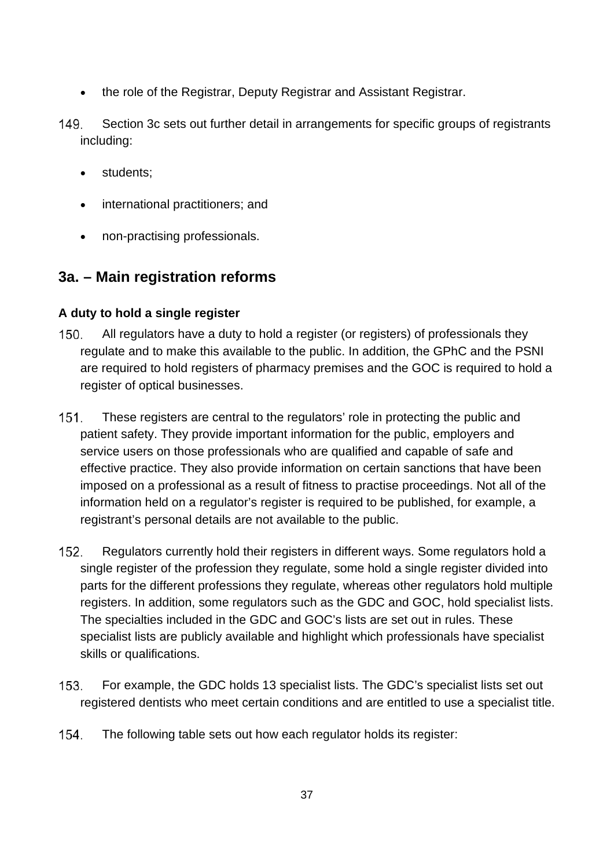- the role of the Registrar, Deputy Registrar and Assistant Registrar.
- 149. Section 3c sets out further detail in arrangements for specific groups of registrants including:
	- students;
	- international practitioners; and
	- non-practising professionals.

# **3a. – Main registration reforms**

# **A duty to hold a single register**

- $150.$ All regulators have a duty to hold a register (or registers) of professionals they regulate and to make this available to the public. In addition, the GPhC and the PSNI are required to hold registers of pharmacy premises and the GOC is required to hold a register of optical businesses.
- $151.$ These registers are central to the regulators' role in protecting the public and patient safety. They provide important information for the public, employers and service users on those professionals who are qualified and capable of safe and effective practice. They also provide information on certain sanctions that have been imposed on a professional as a result of fitness to practise proceedings. Not all of the information held on a regulator's register is required to be published, for example, a registrant's personal details are not available to the public.
- $152.$ Regulators currently hold their registers in different ways. Some regulators hold a single register of the profession they regulate, some hold a single register divided into parts for the different professions they regulate, whereas other regulators hold multiple registers. In addition, some regulators such as the GDC and GOC, hold specialist lists. The specialties included in the GDC and GOC's lists are set out in rules. These specialist lists are publicly available and highlight which professionals have specialist skills or qualifications.
- $153.$ For example, the GDC holds 13 specialist lists. The GDC's specialist lists set out registered dentists who meet certain conditions and are entitled to use a specialist title.
- 154. The following table sets out how each regulator holds its register: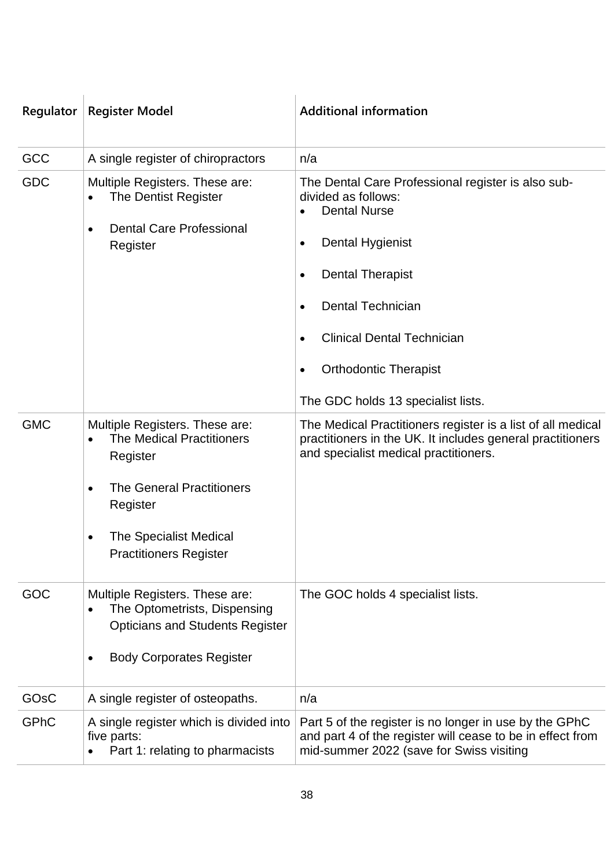| Regulator         | <b>Register Model</b>                                                                                                                                                                                              | <b>Additional information</b>                                                                                                                                                                                                                                                                                                                                               |
|-------------------|--------------------------------------------------------------------------------------------------------------------------------------------------------------------------------------------------------------------|-----------------------------------------------------------------------------------------------------------------------------------------------------------------------------------------------------------------------------------------------------------------------------------------------------------------------------------------------------------------------------|
| GCC               | A single register of chiropractors                                                                                                                                                                                 | n/a                                                                                                                                                                                                                                                                                                                                                                         |
| GDC               | Multiple Registers. These are:<br><b>The Dentist Register</b><br><b>Dental Care Professional</b><br>$\bullet$<br>Register                                                                                          | The Dental Care Professional register is also sub-<br>divided as follows:<br><b>Dental Nurse</b><br>$\bullet$<br><b>Dental Hygienist</b><br>$\bullet$<br><b>Dental Therapist</b><br>$\bullet$<br><b>Dental Technician</b><br>$\bullet$<br><b>Clinical Dental Technician</b><br>$\bullet$<br><b>Orthodontic Therapist</b><br>$\bullet$<br>The GDC holds 13 specialist lists. |
| <b>GMC</b>        | Multiple Registers. These are:<br><b>The Medical Practitioners</b><br>Register<br><b>The General Practitioners</b><br>$\bullet$<br>Register<br><b>The Specialist Medical</b><br>٠<br><b>Practitioners Register</b> | The Medical Practitioners register is a list of all medical<br>practitioners in the UK. It includes general practitioners<br>and specialist medical practitioners.                                                                                                                                                                                                          |
| GOC               | Multiple Registers. These are:<br>The Optometrists, Dispensing<br><b>Opticians and Students Register</b><br><b>Body Corporates Register</b><br>$\bullet$                                                           | The GOC holds 4 specialist lists.                                                                                                                                                                                                                                                                                                                                           |
| GO <sub>s</sub> C | A single register of osteopaths.                                                                                                                                                                                   | n/a                                                                                                                                                                                                                                                                                                                                                                         |
| GPhC              | A single register which is divided into<br>five parts:<br>Part 1: relating to pharmacists                                                                                                                          | Part 5 of the register is no longer in use by the GPhC<br>and part 4 of the register will cease to be in effect from<br>mid-summer 2022 (save for Swiss visiting                                                                                                                                                                                                            |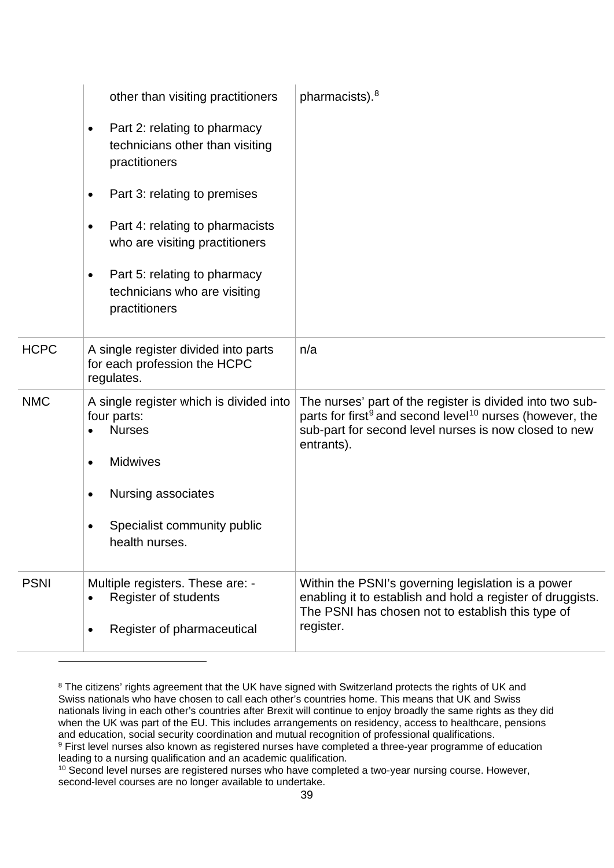|                                                                                 | other than visiting practitioners                                                      | pharmacists). <sup>8</sup>                                                                                                                                                                                           |
|---------------------------------------------------------------------------------|----------------------------------------------------------------------------------------|----------------------------------------------------------------------------------------------------------------------------------------------------------------------------------------------------------------------|
| $\bullet$<br>practitioners                                                      | Part 2: relating to pharmacy<br>technicians other than visiting                        |                                                                                                                                                                                                                      |
| $\bullet$                                                                       | Part 3: relating to premises                                                           |                                                                                                                                                                                                                      |
| ٠                                                                               | Part 4: relating to pharmacists<br>who are visiting practitioners                      |                                                                                                                                                                                                                      |
| $\bullet$<br>practitioners                                                      | Part 5: relating to pharmacy<br>technicians who are visiting                           |                                                                                                                                                                                                                      |
| <b>HCPC</b><br>regulates.                                                       | A single register divided into parts<br>for each profession the HCPC                   | n/a                                                                                                                                                                                                                  |
| <b>NMC</b><br>four parts:<br><b>Nurses</b><br><b>Midwives</b><br>$\bullet$<br>٠ | A single register which is divided into<br>Nursing associates                          | The nurses' part of the register is divided into two sub-<br>parts for first <sup>9</sup> and second level <sup>10</sup> nurses (however, the<br>sub-part for second level nurses is now closed to new<br>entrants). |
| health nurses.                                                                  | Specialist community public                                                            |                                                                                                                                                                                                                      |
| <b>PSNI</b><br>٠                                                                | Multiple registers. These are: -<br>Register of students<br>Register of pharmaceutical | Within the PSNI's governing legislation is a power<br>enabling it to establish and hold a register of druggists.<br>The PSNI has chosen not to establish this type of<br>register.                                   |
|                                                                                 |                                                                                        |                                                                                                                                                                                                                      |

<span id="page-38-0"></span><sup>&</sup>lt;sup>8</sup> The citizens' rights agreement that the UK have signed with Switzerland protects the rights of UK and Swiss nationals who have chosen to call each other's countries home. This means that UK and Swiss nationals living in each other's countries after Brexit will continue to enjoy broadly the same rights as they did when the UK was part of the EU. This includes arrangements on residency, access to healthcare, pensions and education, social security coordination and mutual recognition of professional qualifications.

<span id="page-38-1"></span><sup>9</sup> First level nurses also known as registered nurses have completed a three-year programme of education leading to a nursing qualification and an academic qualification.

<span id="page-38-2"></span><sup>&</sup>lt;sup>10</sup> Second level nurses are registered nurses who have completed a two-year nursing course. However, second-level courses are no longer available to undertake.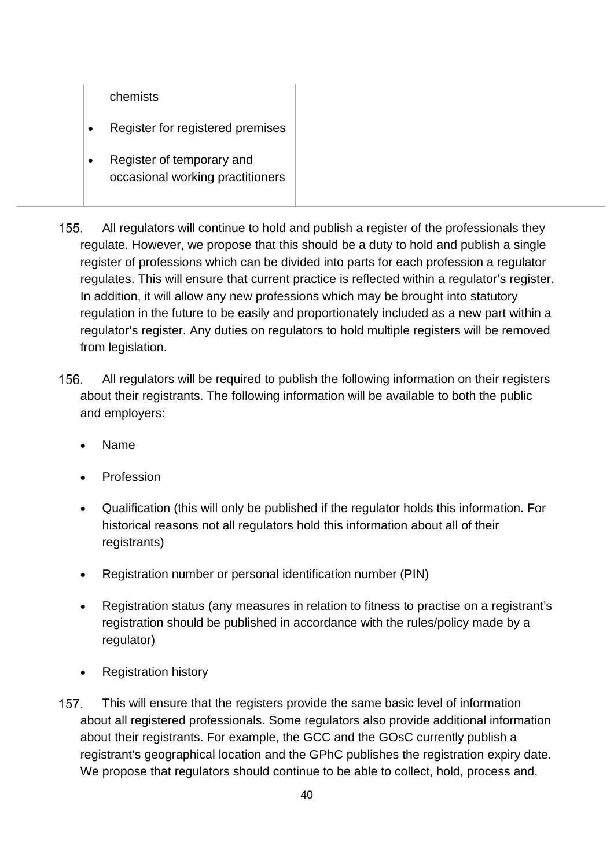#### chemists

- Register for registered premises
- Register of temporary and occasional working practitioners
- 155. All regulators will continue to hold and publish a register of the professionals they regulate. However, we propose that this should be a duty to hold and publish a single register of professions which can be divided into parts for each profession a regulator regulates. This will ensure that current practice is reflected within a regulator's register. In addition, it will allow any new professions which may be brought into statutory regulation in the future to be easily and proportionately included as a new part within a regulator's register. Any duties on regulators to hold multiple registers will be removed from legislation.
- 156 All regulators will be required to publish the following information on their registers about their registrants. The following information will be available to both the public and employers:
	- Name
	- **Profession**
	- Qualification (this will only be published if the regulator holds this information. For historical reasons not all regulators hold this information about all of their registrants)
	- Registration number or personal identification number (PIN)
	- Registration status (any measures in relation to fitness to practise on a registrant's registration should be published in accordance with the rules/policy made by a regulator)
	- Registration history
- $157.$ This will ensure that the registers provide the same basic level of information about all registered professionals. Some regulators also provide additional information about their registrants. For example, the GCC and the GOsC currently publish a registrant's geographical location and the GPhC publishes the registration expiry date. We propose that regulators should continue to be able to collect, hold, process and,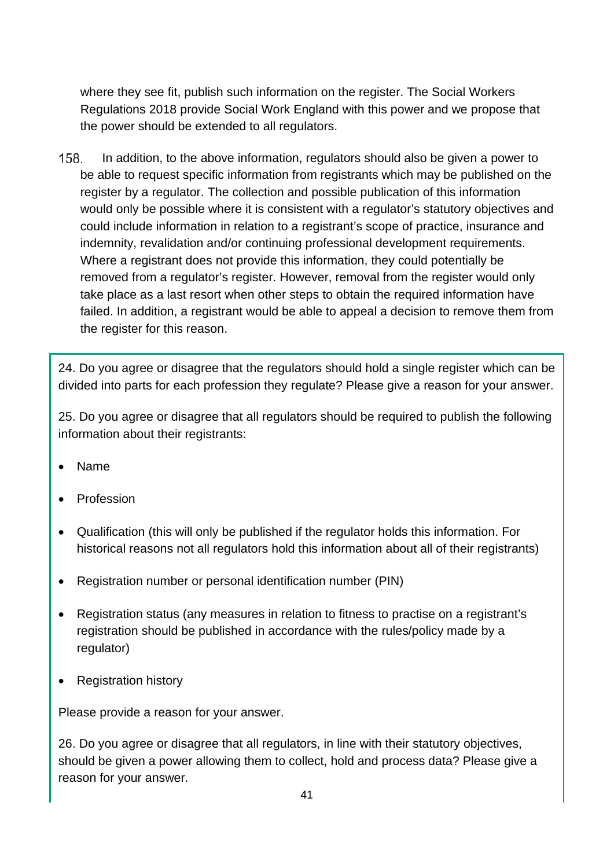where they see fit, publish such information on the register. The Social Workers Regulations 2018 provide Social Work England with this power and we propose that the power should be extended to all regulators.

158. In addition, to the above information, regulators should also be given a power to be able to request specific information from registrants which may be published on the register by a regulator. The collection and possible publication of this information would only be possible where it is consistent with a regulator's statutory objectives and could include information in relation to a registrant's scope of practice, insurance and indemnity, revalidation and/or continuing professional development requirements. Where a registrant does not provide this information, they could potentially be removed from a regulator's register. However, removal from the register would only take place as a last resort when other steps to obtain the required information have failed. In addition, a registrant would be able to appeal a decision to remove them from the register for this reason.

24. Do you agree or disagree that the regulators should hold a single register which can be divided into parts for each profession they regulate? Please give a reason for your answer.

25. Do you agree or disagree that all regulators should be required to publish the following information about their registrants:

- Name
- **Profession**
- Qualification (this will only be published if the regulator holds this information. For historical reasons not all regulators hold this information about all of their registrants)
- Registration number or personal identification number (PIN)
- Registration status (any measures in relation to fitness to practise on a registrant's registration should be published in accordance with the rules/policy made by a regulator)
- Registration history

Please provide a reason for your answer.

26. Do you agree or disagree that all regulators, in line with their statutory objectives, should be given a power allowing them to collect, hold and process data? Please give a reason for your answer.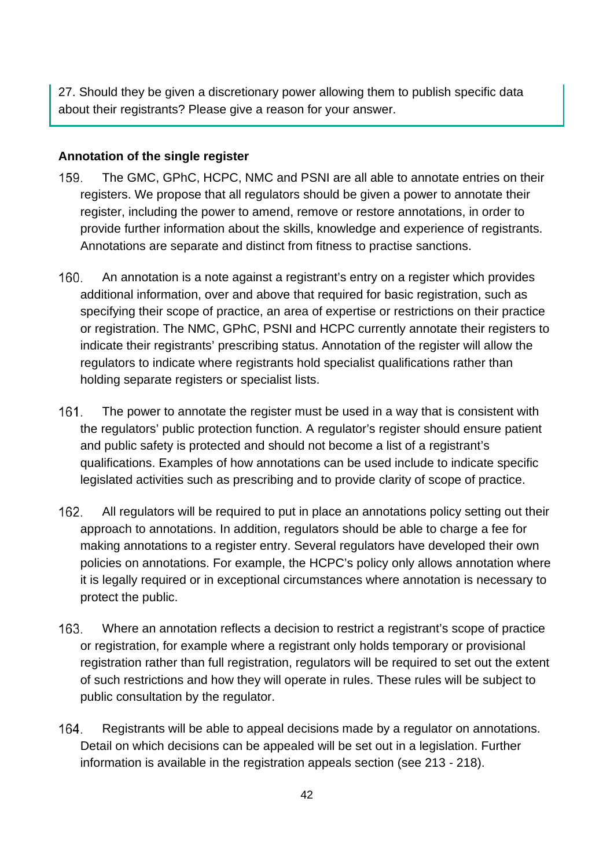27. Should they be given a discretionary power allowing them to publish specific data about their registrants? Please give a reason for your answer.

## **Annotation of the single register**

- 159. The GMC, GPhC, HCPC, NMC and PSNI are all able to annotate entries on their registers. We propose that all regulators should be given a power to annotate their register, including the power to amend, remove or restore annotations, in order to provide further information about the skills, knowledge and experience of registrants. Annotations are separate and distinct from fitness to practise sanctions.
- $160.$ An annotation is a note against a registrant's entry on a register which provides additional information, over and above that required for basic registration, such as specifying their scope of practice, an area of expertise or restrictions on their practice or registration. The NMC, GPhC, PSNI and HCPC currently annotate their registers to indicate their registrants' prescribing status. Annotation of the register will allow the regulators to indicate where registrants hold specialist qualifications rather than holding separate registers or specialist lists.
- $161.$ The power to annotate the register must be used in a way that is consistent with the regulators' public protection function. A regulator's register should ensure patient and public safety is protected and should not become a list of a registrant's qualifications. Examples of how annotations can be used include to indicate specific legislated activities such as prescribing and to provide clarity of scope of practice.
- $162.$ All regulators will be required to put in place an annotations policy setting out their approach to annotations. In addition, regulators should be able to charge a fee for making annotations to a register entry. Several regulators have developed their own policies on annotations. For example, the HCPC's policy only allows annotation where it is legally required or in exceptional circumstances where annotation is necessary to protect the public.
- $163.$ Where an annotation reflects a decision to restrict a registrant's scope of practice or registration, for example where a registrant only holds temporary or provisional registration rather than full registration, regulators will be required to set out the extent of such restrictions and how they will operate in rules. These rules will be subject to public consultation by the regulator.
- 164. Registrants will be able to appeal decisions made by a regulator on annotations. Detail on which decisions can be appealed will be set out in a legislation. Further information is available in the registration appeals section (see 213 - 218).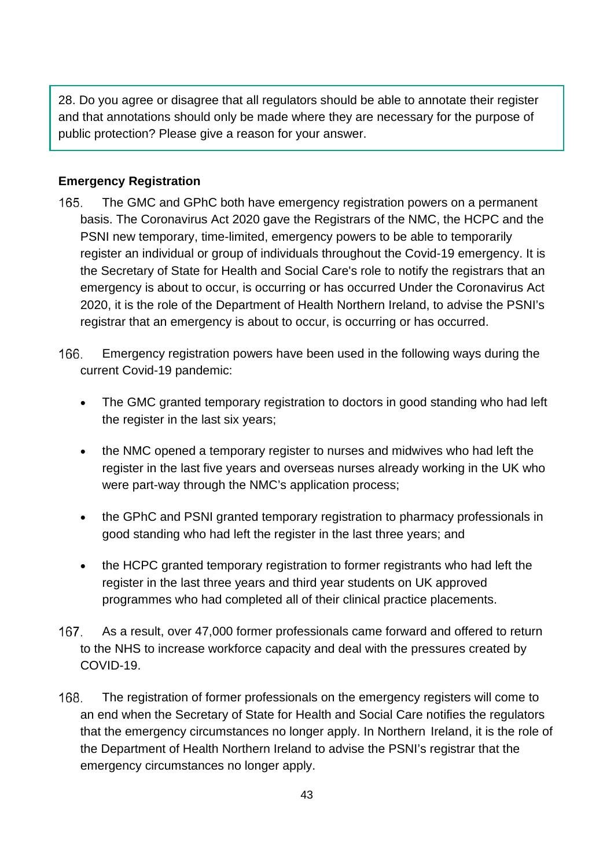28. Do you agree or disagree that all regulators should be able to annotate their register and that annotations should only be made where they are necessary for the purpose of public protection? Please give a reason for your answer.

## **Emergency Registration**

- 165. The GMC and GPhC both have emergency registration powers on a permanent basis. The Coronavirus Act 2020 gave the Registrars of the NMC, the HCPC and the PSNI new temporary, time-limited, emergency powers to be able to temporarily register an individual or group of individuals throughout the Covid-19 emergency. It is the Secretary of State for Health and Social Care's role to notify the registrars that an emergency is about to occur, is occurring or has occurred Under the Coronavirus Act 2020, it is the role of the Department of Health Northern Ireland, to advise the PSNI's registrar that an emergency is about to occur, is occurring or has occurred.
- 166. Emergency registration powers have been used in the following ways during the current Covid-19 pandemic:
	- The GMC granted temporary registration to doctors in good standing who had left the register in the last six years;
	- the NMC opened a temporary register to nurses and midwives who had left the register in the last five years and overseas nurses already working in the UK who were part-way through the NMC's application process;
	- the GPhC and PSNI granted temporary registration to pharmacy professionals in good standing who had left the register in the last three years; and
	- the HCPC granted temporary registration to former registrants who had left the register in the last three years and third year students on UK approved programmes who had completed all of their clinical practice placements.
- 167. As a result, over 47,000 former professionals came forward and offered to return to the NHS to increase workforce capacity and deal with the pressures created by COVID-19.
- 168. The registration of former professionals on the emergency registers will come to an end when the Secretary of State for Health and Social Care notifies the regulators that the emergency circumstances no longer apply. In Northern Ireland, it is the role of the Department of Health Northern Ireland to advise the PSNI's registrar that the emergency circumstances no longer apply.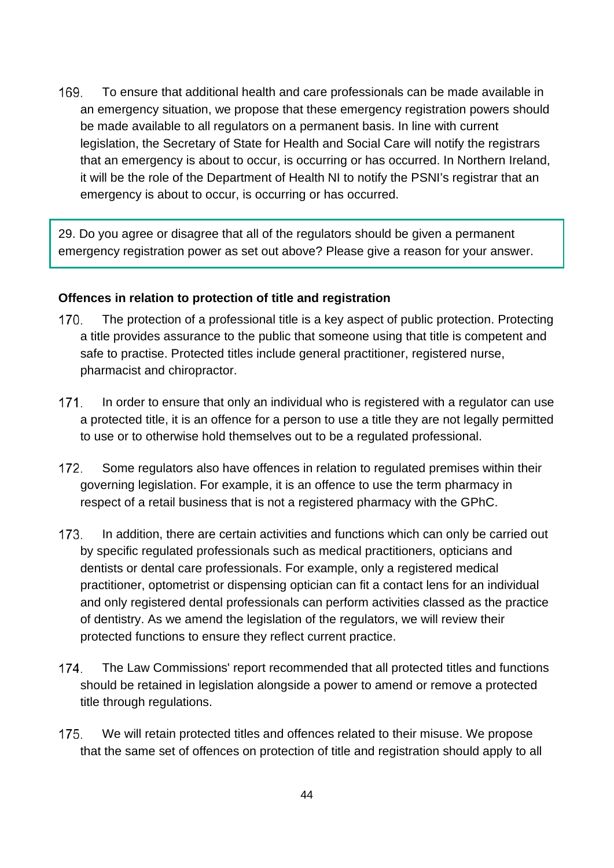169. To ensure that additional health and care professionals can be made available in an emergency situation, we propose that these emergency registration powers should be made available to all regulators on a permanent basis. In line with current legislation, the Secretary of State for Health and Social Care will notify the registrars that an emergency is about to occur, is occurring or has occurred. In Northern Ireland, it will be the role of the Department of Health NI to notify the PSNI's registrar that an emergency is about to occur, is occurring or has occurred.

29. Do you agree or disagree that all of the regulators should be given a permanent emergency registration power as set out above? Please give a reason for your answer.

#### **Offences in relation to protection of title and registration**

- 170. The protection of a professional title is a key aspect of public protection. Protecting a title provides assurance to the public that someone using that title is competent and safe to practise. Protected titles include general practitioner, registered nurse, pharmacist and chiropractor.
- $171$ In order to ensure that only an individual who is registered with a regulator can use a protected title, it is an offence for a person to use a title they are not legally permitted to use or to otherwise hold themselves out to be a regulated professional.
- 172. Some regulators also have offences in relation to regulated premises within their governing legislation. For example, it is an offence to use the term pharmacy in respect of a retail business that is not a registered pharmacy with the GPhC.
- 173. In addition, there are certain activities and functions which can only be carried out by specific regulated professionals such as medical practitioners, opticians and dentists or dental care professionals. For example, only a registered medical practitioner, optometrist or dispensing optician can fit a contact lens for an individual and only registered dental professionals can perform activities classed as the practice of dentistry. As we amend the legislation of the regulators, we will review their protected functions to ensure they reflect current practice.
- 174. The Law Commissions' report recommended that all protected titles and functions should be retained in legislation alongside a power to amend or remove a protected title through regulations.
- We will retain protected titles and offences related to their misuse. We propose  $175.$ that the same set of offences on protection of title and registration should apply to all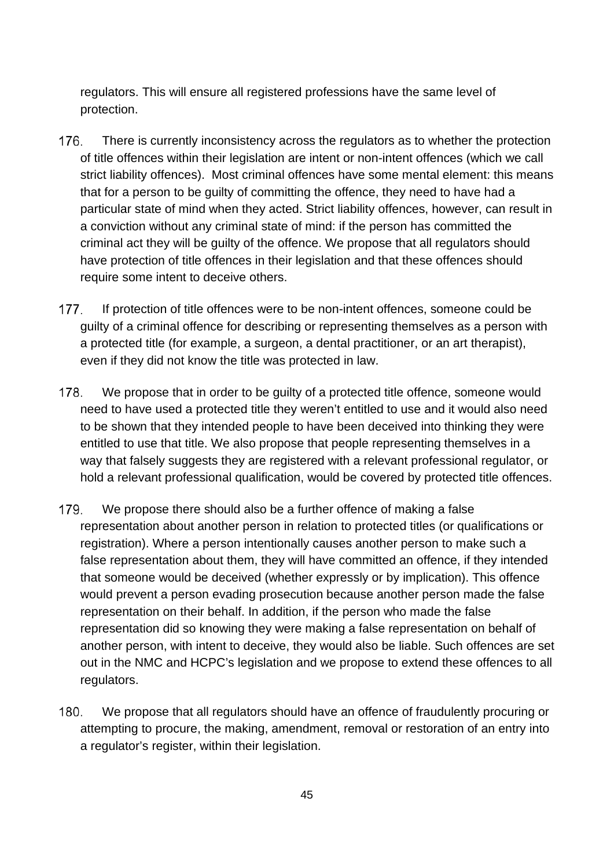regulators. This will ensure all registered professions have the same level of protection.

- 176. There is currently inconsistency across the regulators as to whether the protection of title offences within their legislation are intent or non-intent offences (which we call strict liability offences). Most criminal offences have some mental element: this means that for a person to be guilty of committing the offence, they need to have had a particular state of mind when they acted. Strict liability offences, however, can result in a conviction without any criminal state of mind: if the person has committed the criminal act they will be guilty of the offence. We propose that all regulators should have protection of title offences in their legislation and that these offences should require some intent to deceive others.
- 177. If protection of title offences were to be non-intent offences, someone could be guilty of a criminal offence for describing or representing themselves as a person with a protected title (for example, a surgeon, a dental practitioner, or an art therapist), even if they did not know the title was protected in law.
- 178. We propose that in order to be quilty of a protected title offence, someone would need to have used a protected title they weren't entitled to use and it would also need to be shown that they intended people to have been deceived into thinking they were entitled to use that title. We also propose that people representing themselves in a way that falsely suggests they are registered with a relevant professional regulator, or hold a relevant professional qualification, would be covered by protected title offences.
- 179. We propose there should also be a further offence of making a false representation about another person in relation to protected titles (or qualifications or registration). Where a person intentionally causes another person to make such a false representation about them, they will have committed an offence, if they intended that someone would be deceived (whether expressly or by implication). This offence would prevent a person evading prosecution because another person made the false representation on their behalf. In addition, if the person who made the false representation did so knowing they were making a false representation on behalf of another person, with intent to deceive, they would also be liable. Such offences are set out in the NMC and HCPC's legislation and we propose to extend these offences to all regulators.
- 180. We propose that all regulators should have an offence of fraudulently procuring or attempting to procure, the making, amendment, removal or restoration of an entry into a regulator's register, within their legislation.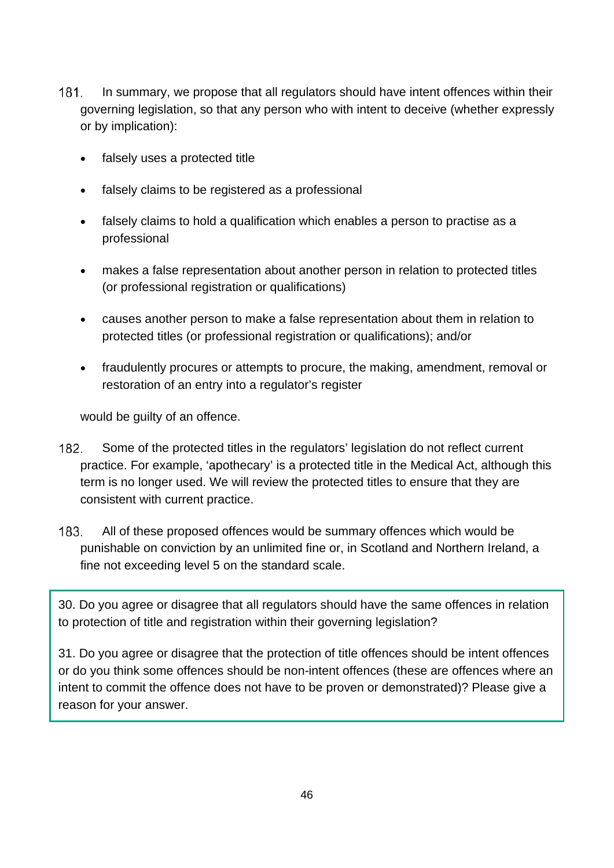- $181.$ In summary, we propose that all regulators should have intent offences within their governing legislation, so that any person who with intent to deceive (whether expressly or by implication):
	- falsely uses a protected title
	- falsely claims to be registered as a professional
	- falsely claims to hold a qualification which enables a person to practise as a professional
	- makes a false representation about another person in relation to protected titles (or professional registration or qualifications)
	- causes another person to make a false representation about them in relation to protected titles (or professional registration or qualifications); and/or
	- fraudulently procures or attempts to procure, the making, amendment, removal or restoration of an entry into a regulator's register

would be guilty of an offence.

- 182. Some of the protected titles in the regulators' legislation do not reflect current practice. For example, 'apothecary' is a protected title in the Medical Act, although this term is no longer used. We will review the protected titles to ensure that they are consistent with current practice.
- 183. All of these proposed offences would be summary offences which would be punishable on conviction by an unlimited fine or, in Scotland and Northern Ireland, a fine not exceeding level 5 on the standard scale.

30. Do you agree or disagree that all regulators should have the same offences in relation to protection of title and registration within their governing legislation?

31. Do you agree or disagree that the protection of title offences should be intent offences or do you think some offences should be non-intent offences (these are offences where an intent to commit the offence does not have to be proven or demonstrated)? Please give a reason for your answer.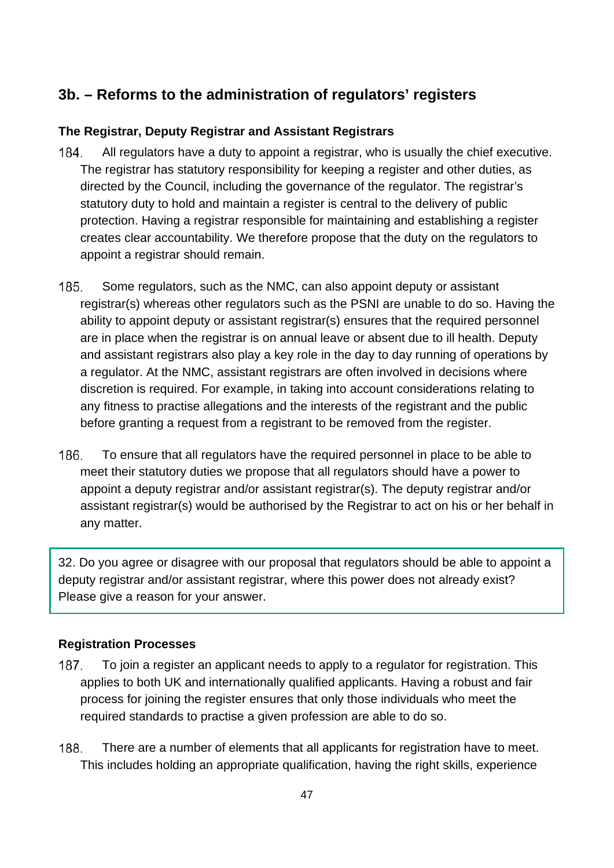# **3b. – Reforms to the administration of regulators' registers**

## **The Registrar, Deputy Registrar and Assistant Registrars**

- 184. All regulators have a duty to appoint a registrar, who is usually the chief executive. The registrar has statutory responsibility for keeping a register and other duties, as directed by the Council, including the governance of the regulator. The registrar's statutory duty to hold and maintain a register is central to the delivery of public protection. Having a registrar responsible for maintaining and establishing a register creates clear accountability. We therefore propose that the duty on the regulators to appoint a registrar should remain.
- 185. Some regulators, such as the NMC, can also appoint deputy or assistant registrar(s) whereas other regulators such as the PSNI are unable to do so. Having the ability to appoint deputy or assistant registrar(s) ensures that the required personnel are in place when the registrar is on annual leave or absent due to ill health. Deputy and assistant registrars also play a key role in the day to day running of operations by a regulator. At the NMC, assistant registrars are often involved in decisions where discretion is required. For example, in taking into account considerations relating to any fitness to practise allegations and the interests of the registrant and the public before granting a request from a registrant to be removed from the register.
- 186. To ensure that all regulators have the required personnel in place to be able to meet their statutory duties we propose that all regulators should have a power to appoint a deputy registrar and/or assistant registrar(s). The deputy registrar and/or assistant registrar(s) would be authorised by the Registrar to act on his or her behalf in any matter.

32. Do you agree or disagree with our proposal that regulators should be able to appoint a deputy registrar and/or assistant registrar, where this power does not already exist? Please give a reason for your answer.

## **Registration Processes**

- To join a register an applicant needs to apply to a regulator for registration. This 187. applies to both UK and internationally qualified applicants. Having a robust and fair process for joining the register ensures that only those individuals who meet the required standards to practise a given profession are able to do so.
- 188. There are a number of elements that all applicants for registration have to meet. This includes holding an appropriate qualification, having the right skills, experience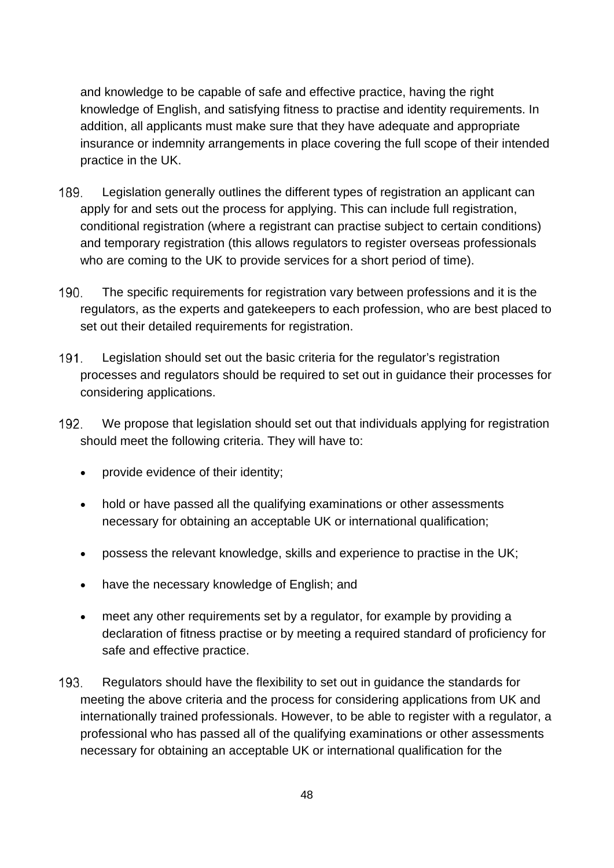and knowledge to be capable of safe and effective practice, having the right knowledge of English, and satisfying fitness to practise and identity requirements. In addition, all applicants must make sure that they have adequate and appropriate insurance or indemnity arrangements in place covering the full scope of their intended practice in the UK.

- 189. Legislation generally outlines the different types of registration an applicant can apply for and sets out the process for applying. This can include full registration, conditional registration (where a registrant can practise subject to certain conditions) and temporary registration (this allows regulators to register overseas professionals who are coming to the UK to provide services for a short period of time).
- $190.$ The specific requirements for registration vary between professions and it is the regulators, as the experts and gatekeepers to each profession, who are best placed to set out their detailed requirements for registration.
- $191.$ Legislation should set out the basic criteria for the regulator's registration processes and regulators should be required to set out in guidance their processes for considering applications.
- 192. We propose that legislation should set out that individuals applying for registration should meet the following criteria. They will have to:
	- provide evidence of their identity;
	- hold or have passed all the qualifying examinations or other assessments necessary for obtaining an acceptable UK or international qualification;
	- possess the relevant knowledge, skills and experience to practise in the UK;
	- have the necessary knowledge of English; and
	- meet any other requirements set by a regulator, for example by providing a declaration of fitness practise or by meeting a required standard of proficiency for safe and effective practice.
- 193. Regulators should have the flexibility to set out in guidance the standards for meeting the above criteria and the process for considering applications from UK and internationally trained professionals. However, to be able to register with a regulator, a professional who has passed all of the qualifying examinations or other assessments necessary for obtaining an acceptable UK or international qualification for the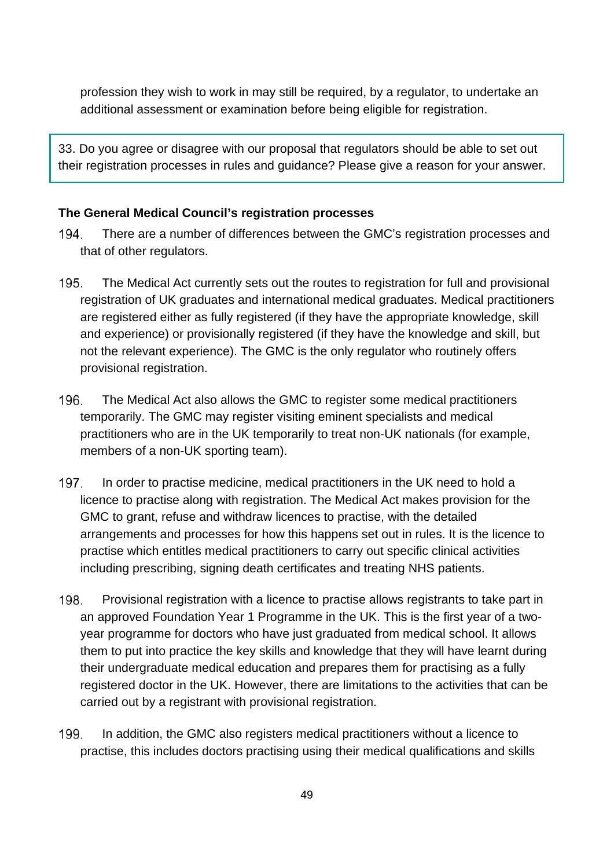profession they wish to work in may still be required, by a regulator, to undertake an additional assessment or examination before being eligible for registration.

33. Do you agree or disagree with our proposal that regulators should be able to set out their registration processes in rules and guidance? Please give a reason for your answer.

## **The General Medical Council's registration processes**

- 194 There are a number of differences between the GMC's registration processes and that of other regulators.
- 195. The Medical Act currently sets out the routes to registration for full and provisional registration of UK graduates and international medical graduates. Medical practitioners are registered either as fully registered (if they have the appropriate knowledge, skill and experience) or provisionally registered (if they have the knowledge and skill, but not the relevant experience). The GMC is the only regulator who routinely offers provisional registration.
- 196. The Medical Act also allows the GMC to register some medical practitioners temporarily. The GMC may register visiting eminent specialists and medical practitioners who are in the UK temporarily to treat non-UK nationals (for example, members of a non-UK sporting team).
- 197. In order to practise medicine, medical practitioners in the UK need to hold a licence to practise along with registration. The Medical Act makes provision for the GMC to grant, refuse and withdraw licences to practise, with the detailed arrangements and processes for how this happens set out in rules. It is the licence to practise which entitles medical practitioners to carry out specific clinical activities including prescribing, signing death certificates and treating NHS patients.
- 198. Provisional registration with a licence to practise allows registrants to take part in an approved Foundation Year 1 Programme in the UK. This is the first year of a twoyear programme for doctors who have just graduated from medical school. It allows them to put into practice the key skills and knowledge that they will have learnt during their undergraduate medical education and prepares them for practising as a fully registered doctor in the UK. However, there are limitations to the activities that can be carried out by a registrant with provisional registration.
- 199. In addition, the GMC also registers medical practitioners without a licence to practise, this includes doctors practising using their medical qualifications and skills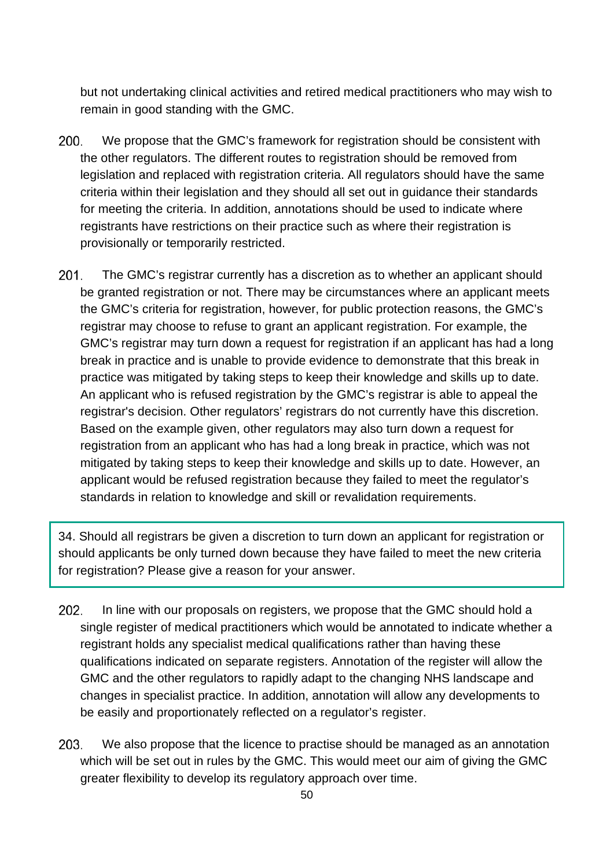but not undertaking clinical activities and retired medical practitioners who may wish to remain in good standing with the GMC.

- 200. We propose that the GMC's framework for registration should be consistent with the other regulators. The different routes to registration should be removed from legislation and replaced with registration criteria. All regulators should have the same criteria within their legislation and they should all set out in guidance their standards for meeting the criteria. In addition, annotations should be used to indicate where registrants have restrictions on their practice such as where their registration is provisionally or temporarily restricted.
- $201.$ The GMC's registrar currently has a discretion as to whether an applicant should be granted registration or not. There may be circumstances where an applicant meets the GMC's criteria for registration, however, for public protection reasons, the GMC's registrar may choose to refuse to grant an applicant registration. For example, the GMC's registrar may turn down a request for registration if an applicant has had a long break in practice and is unable to provide evidence to demonstrate that this break in practice was mitigated by taking steps to keep their knowledge and skills up to date. An applicant who is refused registration by the GMC's registrar is able to appeal the registrar's decision. Other regulators' registrars do not currently have this discretion. Based on the example given, other regulators may also turn down a request for registration from an applicant who has had a long break in practice, which was not mitigated by taking steps to keep their knowledge and skills up to date. However, an applicant would be refused registration because they failed to meet the regulator's standards in relation to knowledge and skill or revalidation requirements.

34. Should all registrars be given a discretion to turn down an applicant for registration or should applicants be only turned down because they have failed to meet the new criteria for registration? Please give a reason for your answer.

- 202. In line with our proposals on registers, we propose that the GMC should hold a single register of medical practitioners which would be annotated to indicate whether a registrant holds any specialist medical qualifications rather than having these qualifications indicated on separate registers. Annotation of the register will allow the GMC and the other regulators to rapidly adapt to the changing NHS landscape and changes in specialist practice. In addition, annotation will allow any developments to be easily and proportionately reflected on a regulator's register.
- 203. We also propose that the licence to practise should be managed as an annotation which will be set out in rules by the GMC. This would meet our aim of giving the GMC greater flexibility to develop its regulatory approach over time.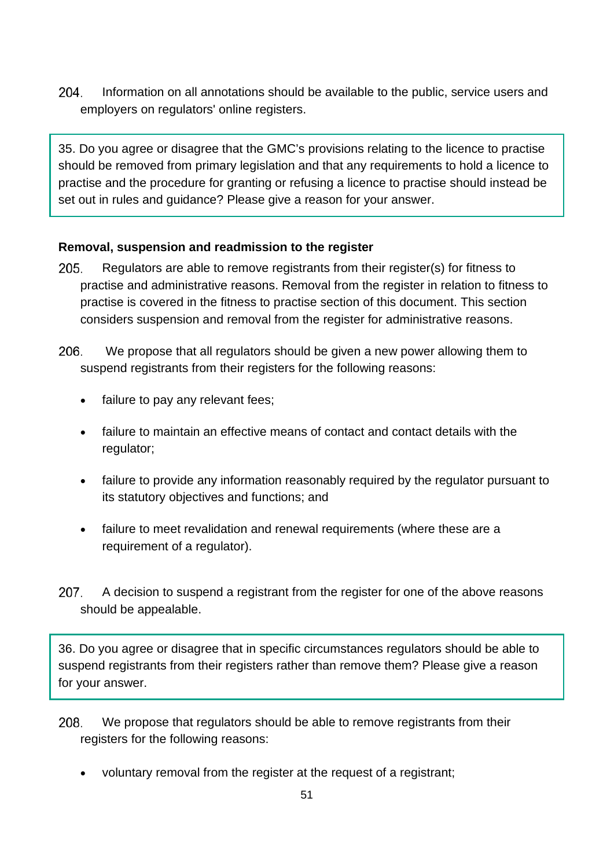204. Information on all annotations should be available to the public, service users and employers on regulators' online registers.

35. Do you agree or disagree that the GMC's provisions relating to the licence to practise should be removed from primary legislation and that any requirements to hold a licence to practise and the procedure for granting or refusing a licence to practise should instead be set out in rules and guidance? Please give a reason for your answer.

# **Removal, suspension and readmission to the register**

- 205. Regulators are able to remove registrants from their register(s) for fitness to practise and administrative reasons. Removal from the register in relation to fitness to practise is covered in the fitness to practise section of this document. This section considers suspension and removal from the register for administrative reasons.
- 206. We propose that all regulators should be given a new power allowing them to suspend registrants from their registers for the following reasons:
	- failure to pay any relevant fees;
	- failure to maintain an effective means of contact and contact details with the regulator;
	- failure to provide any information reasonably required by the regulator pursuant to its statutory objectives and functions; and
	- failure to meet revalidation and renewal requirements (where these are a requirement of a regulator).
- 207. A decision to suspend a registrant from the register for one of the above reasons should be appealable.

36. Do you agree or disagree that in specific circumstances regulators should be able to suspend registrants from their registers rather than remove them? Please give a reason for your answer.

- 208. We propose that regulators should be able to remove registrants from their registers for the following reasons:
	- voluntary removal from the register at the request of a registrant;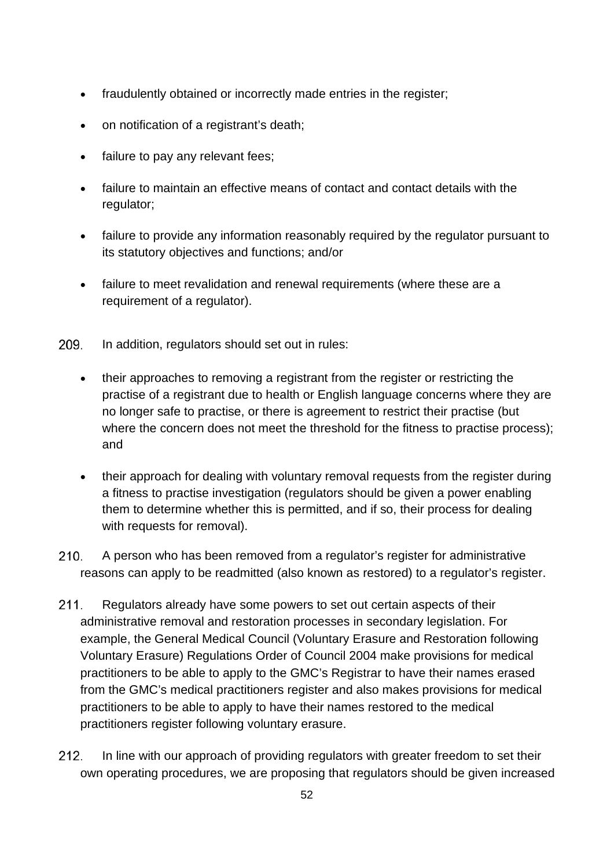- fraudulently obtained or incorrectly made entries in the register;
- on notification of a registrant's death;
- failure to pay any relevant fees;
- failure to maintain an effective means of contact and contact details with the regulator;
- failure to provide any information reasonably required by the regulator pursuant to its statutory objectives and functions; and/or
- failure to meet revalidation and renewal requirements (where these are a requirement of a regulator).
- 209. In addition, regulators should set out in rules:
	- their approaches to removing a registrant from the register or restricting the practise of a registrant due to health or English language concerns where they are no longer safe to practise, or there is agreement to restrict their practise (but where the concern does not meet the threshold for the fitness to practise process); and
	- their approach for dealing with voluntary removal requests from the register during a fitness to practise investigation (regulators should be given a power enabling them to determine whether this is permitted, and if so, their process for dealing with requests for removal).
- $210.$ A person who has been removed from a regulator's register for administrative reasons can apply to be readmitted (also known as restored) to a regulator's register.
- $211.$ Regulators already have some powers to set out certain aspects of their administrative removal and restoration processes in secondary legislation. For example, the General Medical Council (Voluntary Erasure and Restoration following Voluntary Erasure) Regulations Order of Council 2004 make provisions for medical practitioners to be able to apply to the GMC's Registrar to have their names erased from the GMC's medical practitioners register and also makes provisions for medical practitioners to be able to apply to have their names restored to the medical practitioners register following voluntary erasure.
- $212.$ In line with our approach of providing regulators with greater freedom to set their own operating procedures, we are proposing that regulators should be given increased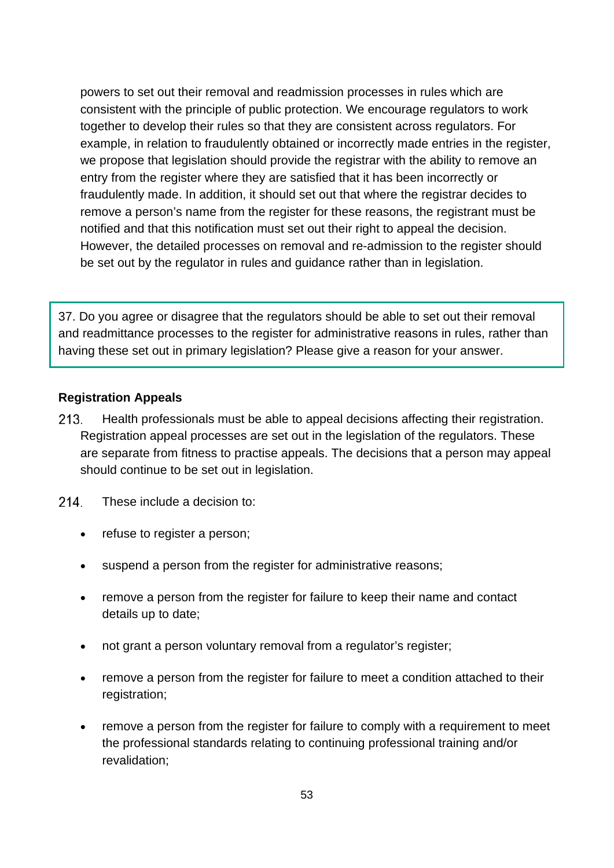powers to set out their removal and readmission processes in rules which are consistent with the principle of public protection. We encourage regulators to work together to develop their rules so that they are consistent across regulators. For example, in relation to fraudulently obtained or incorrectly made entries in the register, we propose that legislation should provide the registrar with the ability to remove an entry from the register where they are satisfied that it has been incorrectly or fraudulently made. In addition, it should set out that where the registrar decides to remove a person's name from the register for these reasons, the registrant must be notified and that this notification must set out their right to appeal the decision. However, the detailed processes on removal and re-admission to the register should be set out by the regulator in rules and guidance rather than in legislation.

37. Do you agree or disagree that the regulators should be able to set out their removal and readmittance processes to the register for administrative reasons in rules, rather than having these set out in primary legislation? Please give a reason for your answer.

## **Registration Appeals**

- $213.$ Health professionals must be able to appeal decisions affecting their registration. Registration appeal processes are set out in the legislation of the regulators. These are separate from fitness to practise appeals. The decisions that a person may appeal should continue to be set out in legislation.
- 214. These include a decision to:
	- refuse to register a person;
	- suspend a person from the register for administrative reasons;
	- remove a person from the register for failure to keep their name and contact details up to date;
	- not grant a person voluntary removal from a regulator's register;
	- remove a person from the register for failure to meet a condition attached to their registration;
	- remove a person from the register for failure to comply with a requirement to meet the professional standards relating to continuing professional training and/or revalidation;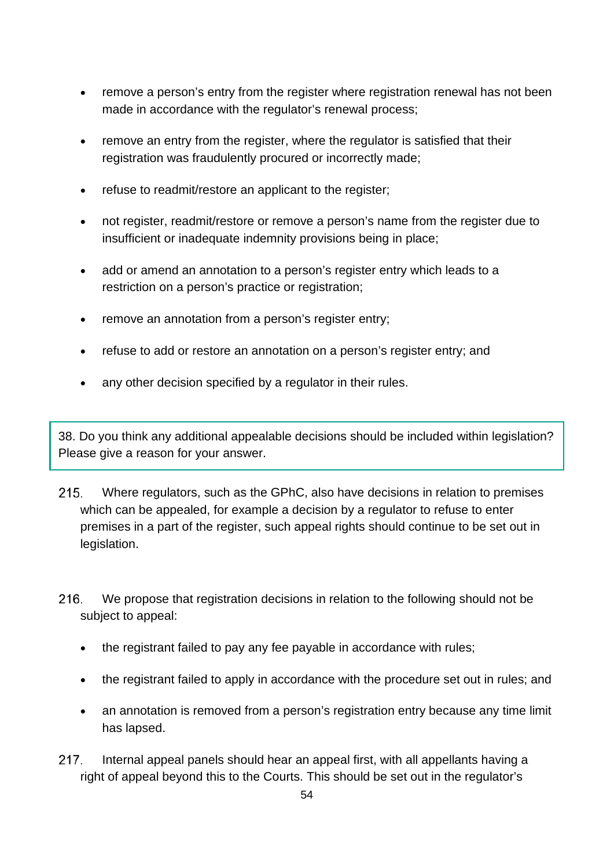- remove a person's entry from the register where registration renewal has not been made in accordance with the regulator's renewal process;
- remove an entry from the register, where the regulator is satisfied that their registration was fraudulently procured or incorrectly made;
- refuse to readmit/restore an applicant to the register;
- not register, readmit/restore or remove a person's name from the register due to insufficient or inadequate indemnity provisions being in place;
- add or amend an annotation to a person's register entry which leads to a restriction on a person's practice or registration;
- remove an annotation from a person's register entry;
- refuse to add or restore an annotation on a person's register entry; and
- any other decision specified by a regulator in their rules.

38. Do you think any additional appealable decisions should be included within legislation? Please give a reason for your answer.

- $215.$ Where regulators, such as the GPhC, also have decisions in relation to premises which can be appealed, for example a decision by a regulator to refuse to enter premises in a part of the register, such appeal rights should continue to be set out in legislation.
- 216. We propose that registration decisions in relation to the following should not be subject to appeal:
	- the registrant failed to pay any fee payable in accordance with rules;
	- the registrant failed to apply in accordance with the procedure set out in rules; and
	- an annotation is removed from a person's registration entry because any time limit has lapsed.
- 217. Internal appeal panels should hear an appeal first, with all appellants having a right of appeal beyond this to the Courts. This should be set out in the regulator's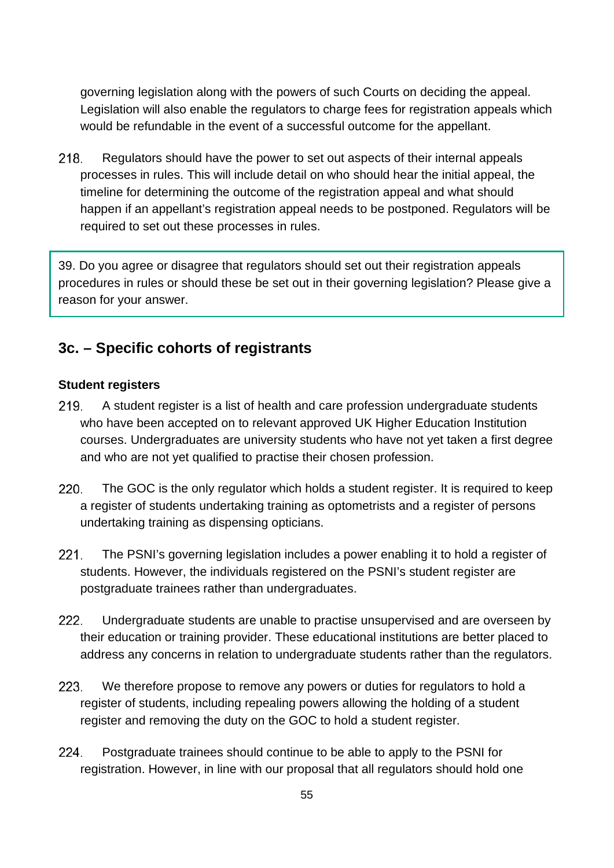governing legislation along with the powers of such Courts on deciding the appeal. Legislation will also enable the regulators to charge fees for registration appeals which would be refundable in the event of a successful outcome for the appellant.

218. Regulators should have the power to set out aspects of their internal appeals processes in rules. This will include detail on who should hear the initial appeal, the timeline for determining the outcome of the registration appeal and what should happen if an appellant's registration appeal needs to be postponed. Regulators will be required to set out these processes in rules.

39. Do you agree or disagree that regulators should set out their registration appeals procedures in rules or should these be set out in their governing legislation? Please give a reason for your answer.

# **3c. – Specific cohorts of registrants**

## **Student registers**

- 219. A student register is a list of health and care profession undergraduate students who have been accepted on to relevant approved UK Higher Education Institution courses. Undergraduates are university students who have not yet taken a first degree and who are not yet qualified to practise their chosen profession.
- $220.$ The GOC is the only regulator which holds a student register. It is required to keep a register of students undertaking training as optometrists and a register of persons undertaking training as dispensing opticians.
- $221.$ The PSNI's governing legislation includes a power enabling it to hold a register of students. However, the individuals registered on the PSNI's student register are postgraduate trainees rather than undergraduates.
- Undergraduate students are unable to practise unsupervised and are overseen by  $222.$ their education or training provider. These educational institutions are better placed to address any concerns in relation to undergraduate students rather than the regulators.
- 223. We therefore propose to remove any powers or duties for regulators to hold a register of students, including repealing powers allowing the holding of a student register and removing the duty on the GOC to hold a student register.
- 224. Postgraduate trainees should continue to be able to apply to the PSNI for registration. However, in line with our proposal that all regulators should hold one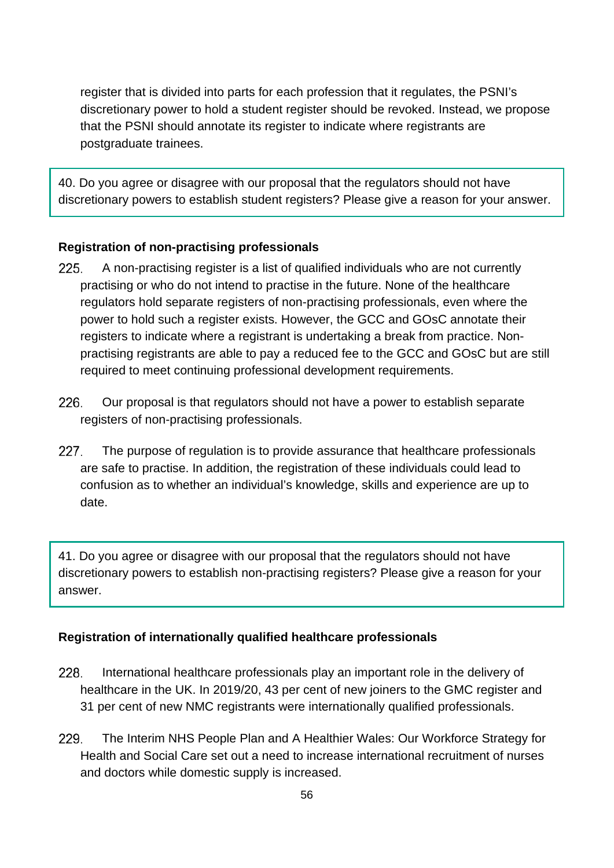register that is divided into parts for each profession that it regulates, the PSNI's discretionary power to hold a student register should be revoked. Instead, we propose that the PSNI should annotate its register to indicate where registrants are postgraduate trainees.

40. Do you agree or disagree with our proposal that the regulators should not have discretionary powers to establish student registers? Please give a reason for your answer.

## **Registration of non-practising professionals**

- 225. A non-practising register is a list of qualified individuals who are not currently practising or who do not intend to practise in the future. None of the healthcare regulators hold separate registers of non-practising professionals, even where the power to hold such a register exists. However, the GCC and GOsC annotate their registers to indicate where a registrant is undertaking a break from practice. Nonpractising registrants are able to pay a reduced fee to the GCC and GOsC but are still required to meet continuing professional development requirements.
- 226 Our proposal is that regulators should not have a power to establish separate registers of non-practising professionals.
- 227. The purpose of regulation is to provide assurance that healthcare professionals are safe to practise. In addition, the registration of these individuals could lead to confusion as to whether an individual's knowledge, skills and experience are up to date.

41. Do you agree or disagree with our proposal that the regulators should not have discretionary powers to establish non-practising registers? Please give a reason for your answer.

## **Registration of internationally qualified healthcare professionals**

- 228. International healthcare professionals play an important role in the delivery of healthcare in the UK. In 2019/20, 43 per cent of new joiners to the GMC register and 31 per cent of new NMC registrants were internationally qualified professionals.
- 229. The Interim NHS People Plan and A Healthier Wales: Our Workforce Strategy for Health and Social Care set out a need to increase international recruitment of nurses and doctors while domestic supply is increased.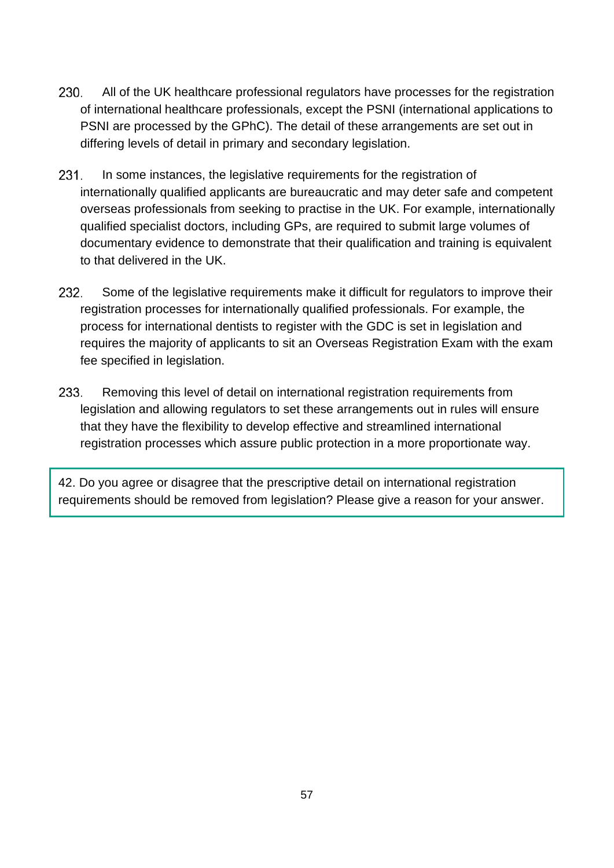- 230. All of the UK healthcare professional regulators have processes for the registration of international healthcare professionals, except the PSNI (international applications to PSNI are processed by the GPhC). The detail of these arrangements are set out in differing levels of detail in primary and secondary legislation.
- $231.$ In some instances, the legislative requirements for the registration of internationally qualified applicants are bureaucratic and may deter safe and competent overseas professionals from seeking to practise in the UK. For example, internationally qualified specialist doctors, including GPs, are required to submit large volumes of documentary evidence to demonstrate that their qualification and training is equivalent to that delivered in the UK.
- 232. Some of the legislative requirements make it difficult for regulators to improve their registration processes for internationally qualified professionals. For example, the process for international dentists to register with the GDC is set in legislation and requires the majority of applicants to sit an Overseas Registration Exam with the exam fee specified in legislation.
- 233. Removing this level of detail on international registration requirements from legislation and allowing regulators to set these arrangements out in rules will ensure that they have the flexibility to develop effective and streamlined international registration processes which assure public protection in a more proportionate way.

42. Do you agree or disagree that the prescriptive detail on international registration requirements should be removed from legislation? Please give a reason for your answer.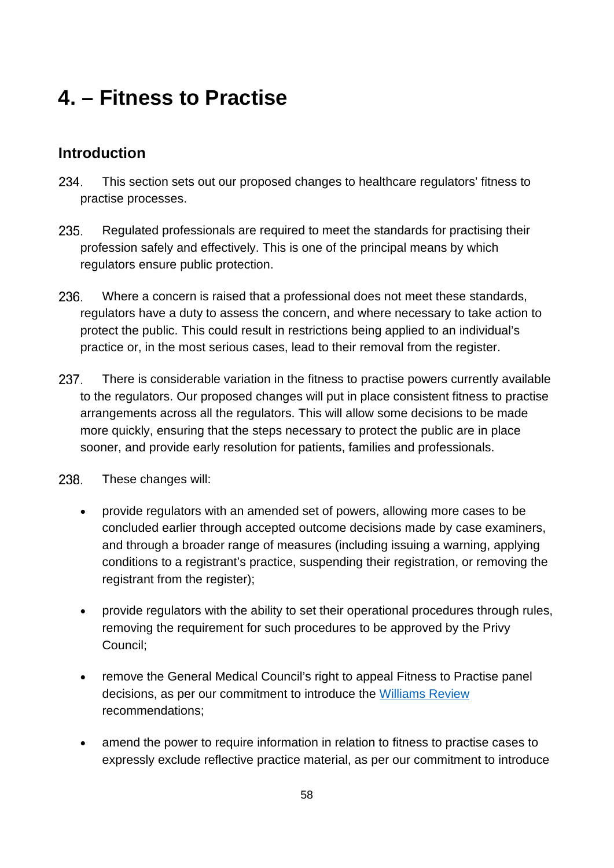# **4. – Fitness to Practise**

# **Introduction**

- 234. This section sets out our proposed changes to healthcare regulators' fitness to practise processes.
- 235. Regulated professionals are required to meet the standards for practising their profession safely and effectively. This is one of the principal means by which regulators ensure public protection.
- 236. Where a concern is raised that a professional does not meet these standards, regulators have a duty to assess the concern, and where necessary to take action to protect the public. This could result in restrictions being applied to an individual's practice or, in the most serious cases, lead to their removal from the register.
- 237. There is considerable variation in the fitness to practise powers currently available to the regulators. Our proposed changes will put in place consistent fitness to practise arrangements across all the regulators. This will allow some decisions to be made more quickly, ensuring that the steps necessary to protect the public are in place sooner, and provide early resolution for patients, families and professionals.
- 238. These changes will:
	- provide regulators with an amended set of powers, allowing more cases to be concluded earlier through accepted outcome decisions made by case examiners, and through a broader range of measures (including issuing a warning, applying conditions to a registrant's practice, suspending their registration, or removing the registrant from the register);
	- provide regulators with the ability to set their operational procedures through rules, removing the requirement for such procedures to be approved by the Privy Council;
	- remove the General Medical Council's right to appeal Fitness to Practise panel decisions, as per our commitment to introduce the [Williams Review](https://assets.publishing.service.gov.uk/government/uploads/system/uploads/attachment_data/file/717946/Williams_Report.pdf) recommendations;
	- amend the power to require information in relation to fitness to practise cases to expressly exclude reflective practice material, as per our commitment to introduce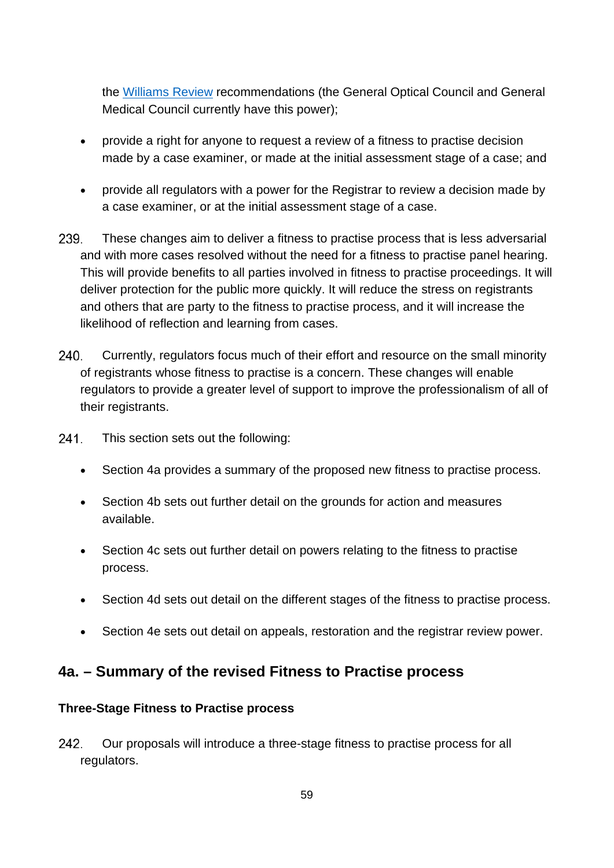the [Williams Review](https://assets.publishing.service.gov.uk/government/uploads/system/uploads/attachment_data/file/717946/Williams_Report.pdf) recommendations (the General Optical Council and General Medical Council currently have this power);

- provide a right for anyone to request a review of a fitness to practise decision made by a case examiner, or made at the initial assessment stage of a case; and
- provide all regulators with a power for the Registrar to review a decision made by a case examiner, or at the initial assessment stage of a case.
- 239. These changes aim to deliver a fitness to practise process that is less adversarial and with more cases resolved without the need for a fitness to practise panel hearing. This will provide benefits to all parties involved in fitness to practise proceedings. It will deliver protection for the public more quickly. It will reduce the stress on registrants and others that are party to the fitness to practise process, and it will increase the likelihood of reflection and learning from cases.
- 240. Currently, regulators focus much of their effort and resource on the small minority of registrants whose fitness to practise is a concern. These changes will enable regulators to provide a greater level of support to improve the professionalism of all of their registrants.
- $241.$ This section sets out the following:
	- Section 4a provides a summary of the proposed new fitness to practise process.
	- Section 4b sets out further detail on the grounds for action and measures available.
	- Section 4c sets out further detail on powers relating to the fitness to practise process.
	- Section 4d sets out detail on the different stages of the fitness to practise process.
	- Section 4e sets out detail on appeals, restoration and the registrar review power.

# **4a. – Summary of the revised Fitness to Practise process**

## **Three-Stage Fitness to Practise process**

242. Our proposals will introduce a three-stage fitness to practise process for all regulators.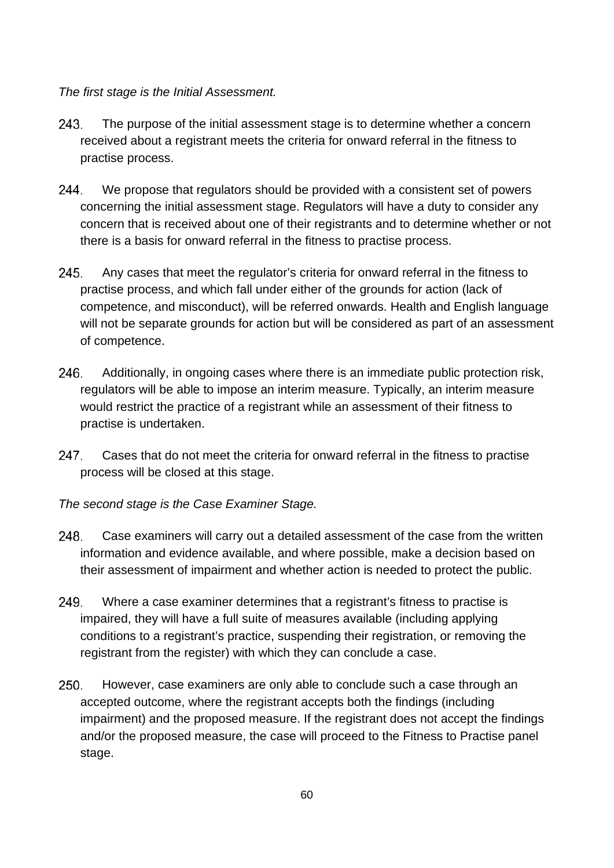## *The first stage is the Initial Assessment.*

- 243. The purpose of the initial assessment stage is to determine whether a concern received about a registrant meets the criteria for onward referral in the fitness to practise process.
- 244. We propose that regulators should be provided with a consistent set of powers concerning the initial assessment stage. Regulators will have a duty to consider any concern that is received about one of their registrants and to determine whether or not there is a basis for onward referral in the fitness to practise process.
- 245. Any cases that meet the regulator's criteria for onward referral in the fitness to practise process, and which fall under either of the grounds for action (lack of competence, and misconduct), will be referred onwards. Health and English language will not be separate grounds for action but will be considered as part of an assessment of competence.
- 246. Additionally, in ongoing cases where there is an immediate public protection risk, regulators will be able to impose an interim measure. Typically, an interim measure would restrict the practice of a registrant while an assessment of their fitness to practise is undertaken.
- 247. Cases that do not meet the criteria for onward referral in the fitness to practise process will be closed at this stage.
- *The second stage is the Case Examiner Stage.*
- 248. Case examiners will carry out a detailed assessment of the case from the written information and evidence available, and where possible, make a decision based on their assessment of impairment and whether action is needed to protect the public.
- 249. Where a case examiner determines that a registrant's fitness to practise is impaired, they will have a full suite of measures available (including applying conditions to a registrant's practice, suspending their registration, or removing the registrant from the register) with which they can conclude a case.
- 250. However, case examiners are only able to conclude such a case through an accepted outcome, where the registrant accepts both the findings (including impairment) and the proposed measure. If the registrant does not accept the findings and/or the proposed measure, the case will proceed to the Fitness to Practise panel stage.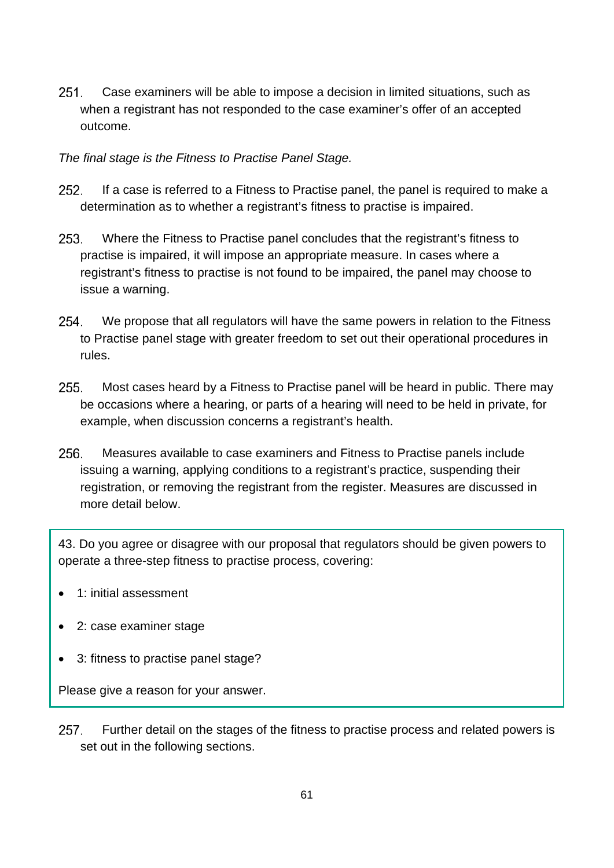$251.$ Case examiners will be able to impose a decision in limited situations, such as when a registrant has not responded to the case examiner's offer of an accepted outcome.

## *The final stage is the Fitness to Practise Panel Stage.*

- 252. If a case is referred to a Fitness to Practise panel, the panel is required to make a determination as to whether a registrant's fitness to practise is impaired.
- 253. Where the Fitness to Practise panel concludes that the registrant's fitness to practise is impaired, it will impose an appropriate measure. In cases where a registrant's fitness to practise is not found to be impaired, the panel may choose to issue a warning.
- 254. We propose that all regulators will have the same powers in relation to the Fitness to Practise panel stage with greater freedom to set out their operational procedures in rules.
- 255. Most cases heard by a Fitness to Practise panel will be heard in public. There may be occasions where a hearing, or parts of a hearing will need to be held in private, for example, when discussion concerns a registrant's health.
- 256. Measures available to case examiners and Fitness to Practise panels include issuing a warning, applying conditions to a registrant's practice, suspending their registration, or removing the registrant from the register. Measures are discussed in more detail below.

43. Do you agree or disagree with our proposal that regulators should be given powers to operate a three-step fitness to practise process, covering:

- 1: initial assessment
- 2: case examiner stage
- 3: fitness to practise panel stage?

Please give a reason for your answer.

257. Further detail on the stages of the fitness to practise process and related powers is set out in the following sections.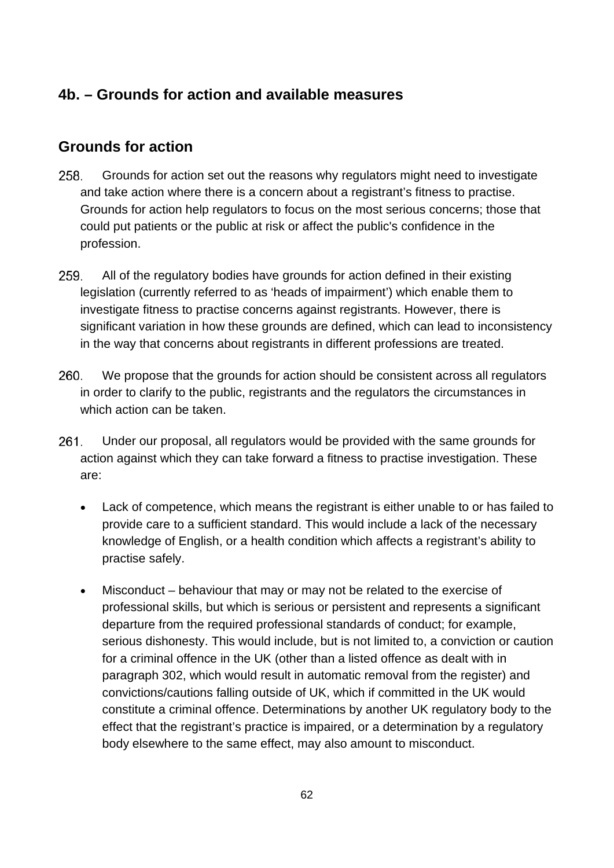# **4b. – Grounds for action and available measures**

# **Grounds for action**

- 258. Grounds for action set out the reasons why regulators might need to investigate and take action where there is a concern about a registrant's fitness to practise. Grounds for action help regulators to focus on the most serious concerns; those that could put patients or the public at risk or affect the public's confidence in the profession.
- 259. All of the regulatory bodies have grounds for action defined in their existing legislation (currently referred to as 'heads of impairment') which enable them to investigate fitness to practise concerns against registrants. However, there is significant variation in how these grounds are defined, which can lead to inconsistency in the way that concerns about registrants in different professions are treated.
- 260. We propose that the grounds for action should be consistent across all regulators in order to clarify to the public, registrants and the regulators the circumstances in which action can be taken.
- 261. Under our proposal, all regulators would be provided with the same grounds for action against which they can take forward a fitness to practise investigation. These are:
	- Lack of competence, which means the registrant is either unable to or has failed to provide care to a sufficient standard. This would include a lack of the necessary knowledge of English, or a health condition which affects a registrant's ability to practise safely.
	- Misconduct behaviour that may or may not be related to the exercise of professional skills, but which is serious or persistent and represents a significant departure from the required professional standards of conduct; for example, serious dishonesty. This would include, but is not limited to, a conviction or caution for a criminal offence in the UK (other than a listed offence as dealt with in paragraph 302, which would result in automatic removal from the register) and convictions/cautions falling outside of UK, which if committed in the UK would constitute a criminal offence. Determinations by another UK regulatory body to the effect that the registrant's practice is impaired, or a determination by a regulatory body elsewhere to the same effect, may also amount to misconduct.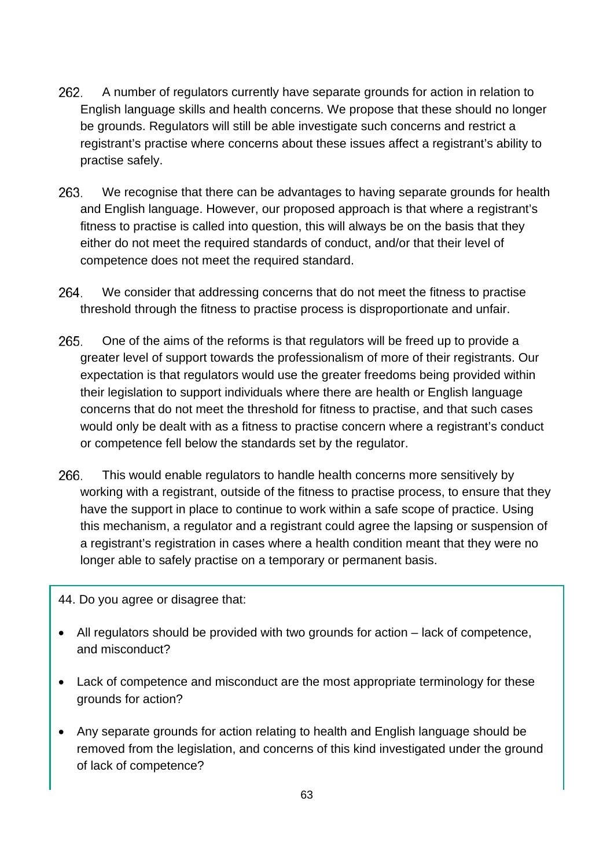- 262. A number of regulators currently have separate grounds for action in relation to English language skills and health concerns. We propose that these should no longer be grounds. Regulators will still be able investigate such concerns and restrict a registrant's practise where concerns about these issues affect a registrant's ability to practise safely.
- 263. We recognise that there can be advantages to having separate grounds for health and English language. However, our proposed approach is that where a registrant's fitness to practise is called into question, this will always be on the basis that they either do not meet the required standards of conduct, and/or that their level of competence does not meet the required standard.
- 264. We consider that addressing concerns that do not meet the fitness to practise threshold through the fitness to practise process is disproportionate and unfair.
- 265. One of the aims of the reforms is that regulators will be freed up to provide a greater level of support towards the professionalism of more of their registrants. Our expectation is that regulators would use the greater freedoms being provided within their legislation to support individuals where there are health or English language concerns that do not meet the threshold for fitness to practise, and that such cases would only be dealt with as a fitness to practise concern where a registrant's conduct or competence fell below the standards set by the regulator.
- 266. This would enable regulators to handle health concerns more sensitively by working with a registrant, outside of the fitness to practise process, to ensure that they have the support in place to continue to work within a safe scope of practice. Using this mechanism, a regulator and a registrant could agree the lapsing or suspension of a registrant's registration in cases where a health condition meant that they were no longer able to safely practise on a temporary or permanent basis.
- 44. Do you agree or disagree that:
- All regulators should be provided with two grounds for action lack of competence, and misconduct?
- Lack of competence and misconduct are the most appropriate terminology for these grounds for action?
- Any separate grounds for action relating to health and English language should be removed from the legislation, and concerns of this kind investigated under the ground of lack of competence?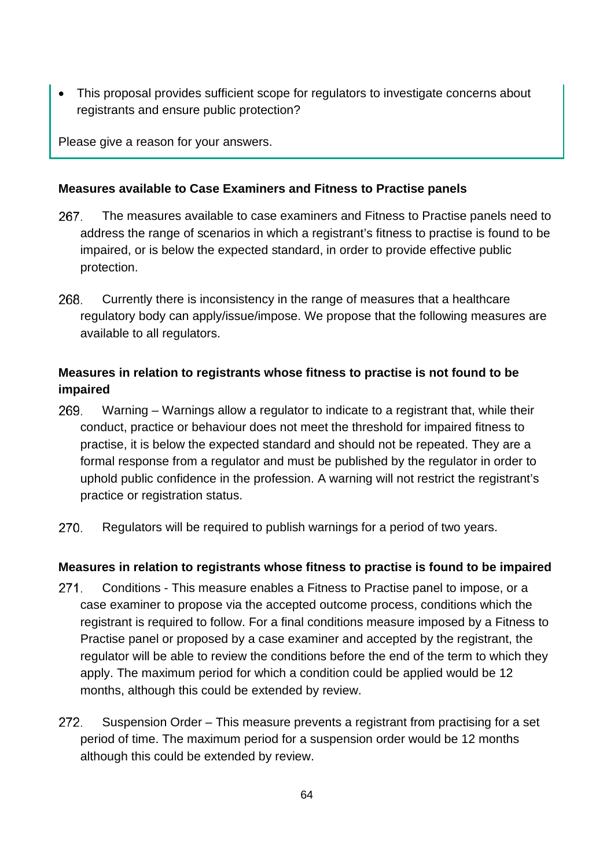• This proposal provides sufficient scope for regulators to investigate concerns about registrants and ensure public protection?

Please give a reason for your answers.

## **Measures available to Case Examiners and Fitness to Practise panels**

- 267. The measures available to case examiners and Fitness to Practise panels need to address the range of scenarios in which a registrant's fitness to practise is found to be impaired, or is below the expected standard, in order to provide effective public protection.
- 268. Currently there is inconsistency in the range of measures that a healthcare regulatory body can apply/issue/impose. We propose that the following measures are available to all regulators.

# **Measures in relation to registrants whose fitness to practise is not found to be impaired**

- 269. Warning – Warnings allow a regulator to indicate to a registrant that, while their conduct, practice or behaviour does not meet the threshold for impaired fitness to practise, it is below the expected standard and should not be repeated. They are a formal response from a regulator and must be published by the regulator in order to uphold public confidence in the profession. A warning will not restrict the registrant's practice or registration status.
- 270. Regulators will be required to publish warnings for a period of two years.

# **Measures in relation to registrants whose fitness to practise is found to be impaired**

- $271.$ Conditions - This measure enables a Fitness to Practise panel to impose, or a case examiner to propose via the accepted outcome process, conditions which the registrant is required to follow. For a final conditions measure imposed by a Fitness to Practise panel or proposed by a case examiner and accepted by the registrant, the regulator will be able to review the conditions before the end of the term to which they apply. The maximum period for which a condition could be applied would be 12 months, although this could be extended by review.
- 272. Suspension Order – This measure prevents a registrant from practising for a set period of time. The maximum period for a suspension order would be 12 months although this could be extended by review.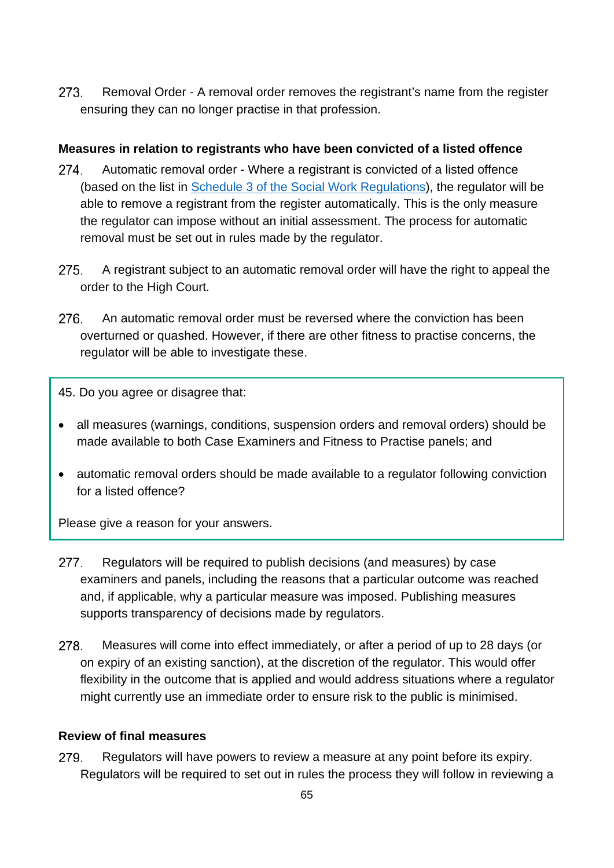273. Removal Order - A removal order removes the registrant's name from the register ensuring they can no longer practise in that profession.

## **Measures in relation to registrants who have been convicted of a listed offence**

- 274. Automatic removal order - Where a registrant is convicted of a listed offence (based on the list in [Schedule 3 of the Social Work Regulations\)](https://www.legislation.gov.uk/ukdsi/2018/9780111170090/schedule/3), the regulator will be able to remove a registrant from the register automatically. This is the only measure the regulator can impose without an initial assessment. The process for automatic removal must be set out in rules made by the regulator.
- 275. A registrant subject to an automatic removal order will have the right to appeal the order to the High Court.
- 276. An automatic removal order must be reversed where the conviction has been overturned or quashed. However, if there are other fitness to practise concerns, the regulator will be able to investigate these.

45. Do you agree or disagree that:

- all measures (warnings, conditions, suspension orders and removal orders) should be made available to both Case Examiners and Fitness to Practise panels; and
- automatic removal orders should be made available to a regulator following conviction for a listed offence?

Please give a reason for your answers.

- 277. Regulators will be required to publish decisions (and measures) by case examiners and panels, including the reasons that a particular outcome was reached and, if applicable, why a particular measure was imposed. Publishing measures supports transparency of decisions made by regulators.
- 278. Measures will come into effect immediately, or after a period of up to 28 days (or on expiry of an existing sanction), at the discretion of the regulator. This would offer flexibility in the outcome that is applied and would address situations where a regulator might currently use an immediate order to ensure risk to the public is minimised.

# **Review of final measures**

279. Regulators will have powers to review a measure at any point before its expiry. Regulators will be required to set out in rules the process they will follow in reviewing a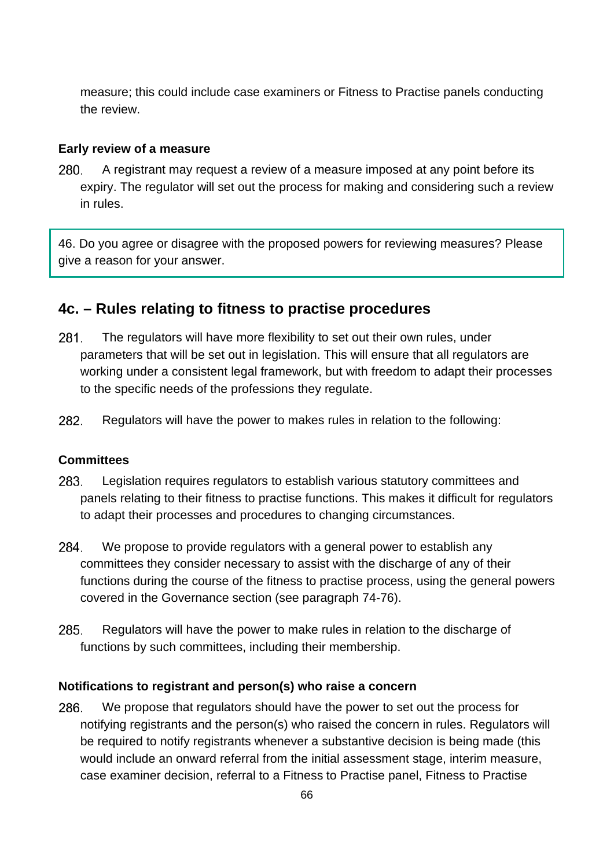measure; this could include case examiners or Fitness to Practise panels conducting the review.

#### **Early review of a measure**

A registrant may request a review of a measure imposed at any point before its 280. expiry. The regulator will set out the process for making and considering such a review in rules.

46. Do you agree or disagree with the proposed powers for reviewing measures? Please give a reason for your answer.

# **4c. – Rules relating to fitness to practise procedures**

- 281. The regulators will have more flexibility to set out their own rules, under parameters that will be set out in legislation. This will ensure that all regulators are working under a consistent legal framework, but with freedom to adapt their processes to the specific needs of the professions they regulate.
- 282. Regulators will have the power to makes rules in relation to the following:

#### **Committees**

- 283. Legislation requires regulators to establish various statutory committees and panels relating to their fitness to practise functions. This makes it difficult for regulators to adapt their processes and procedures to changing circumstances.
- 284. We propose to provide regulators with a general power to establish any committees they consider necessary to assist with the discharge of any of their functions during the course of the fitness to practise process, using the general powers covered in the Governance section (see paragraph 74-76).
- 285. Regulators will have the power to make rules in relation to the discharge of functions by such committees, including their membership.

#### **Notifications to registrant and person(s) who raise a concern**

286. We propose that regulators should have the power to set out the process for notifying registrants and the person(s) who raised the concern in rules. Regulators will be required to notify registrants whenever a substantive decision is being made (this would include an onward referral from the initial assessment stage, interim measure, case examiner decision, referral to a Fitness to Practise panel, Fitness to Practise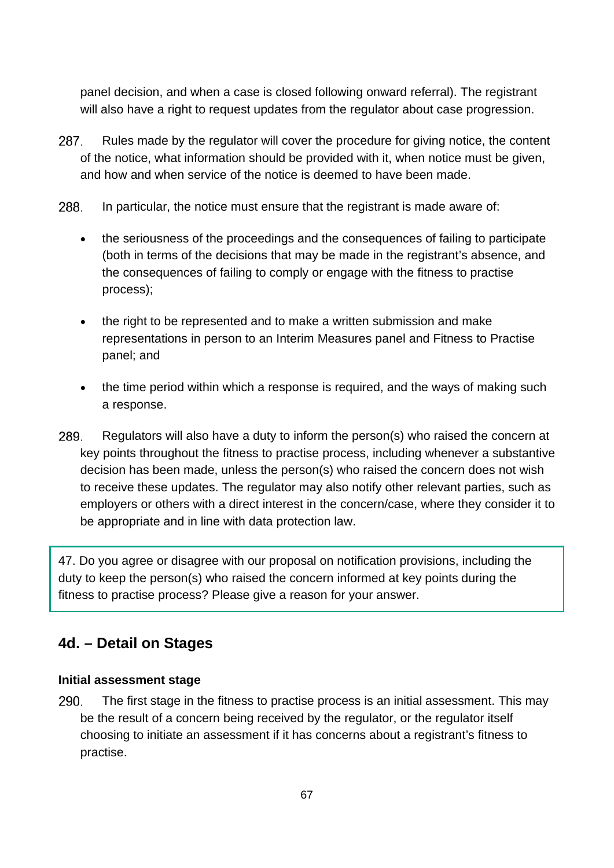panel decision, and when a case is closed following onward referral). The registrant will also have a right to request updates from the regulator about case progression.

- 287. Rules made by the regulator will cover the procedure for giving notice, the content of the notice, what information should be provided with it, when notice must be given, and how and when service of the notice is deemed to have been made.
- 288. In particular, the notice must ensure that the registrant is made aware of:
	- the seriousness of the proceedings and the consequences of failing to participate (both in terms of the decisions that may be made in the registrant's absence, and the consequences of failing to comply or engage with the fitness to practise process);
	- the right to be represented and to make a written submission and make representations in person to an Interim Measures panel and Fitness to Practise panel; and
	- the time period within which a response is required, and the ways of making such a response.
- 289. Regulators will also have a duty to inform the person(s) who raised the concern at key points throughout the fitness to practise process, including whenever a substantive decision has been made, unless the person(s) who raised the concern does not wish to receive these updates. The regulator may also notify other relevant parties, such as employers or others with a direct interest in the concern/case, where they consider it to be appropriate and in line with data protection law.

47. Do you agree or disagree with our proposal on notification provisions, including the duty to keep the person(s) who raised the concern informed at key points during the fitness to practise process? Please give a reason for your answer.

# **4d. – Detail on Stages**

## **Initial assessment stage**

290. The first stage in the fitness to practise process is an initial assessment. This may be the result of a concern being received by the regulator, or the regulator itself choosing to initiate an assessment if it has concerns about a registrant's fitness to practise.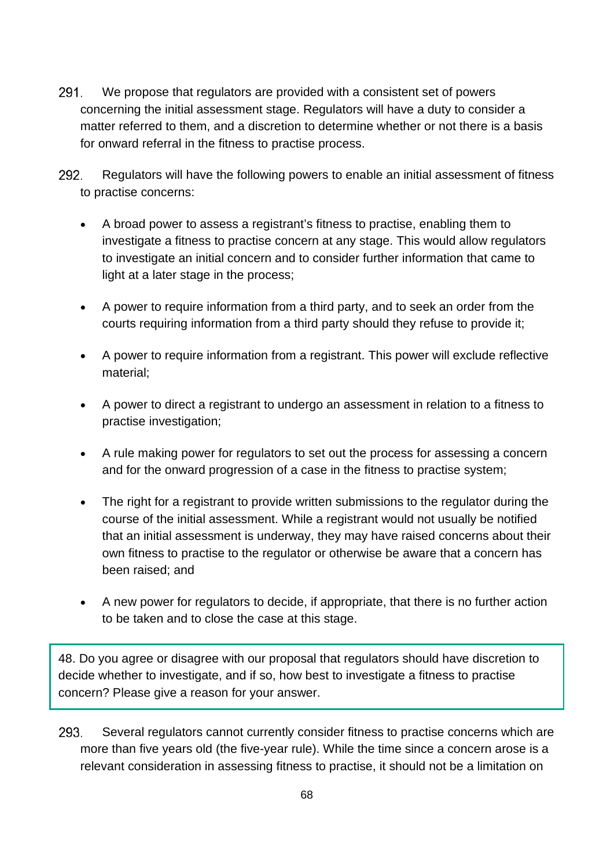- 291. We propose that regulators are provided with a consistent set of powers concerning the initial assessment stage. Regulators will have a duty to consider a matter referred to them, and a discretion to determine whether or not there is a basis for onward referral in the fitness to practise process.
- 292. Regulators will have the following powers to enable an initial assessment of fitness to practise concerns:
	- A broad power to assess a registrant's fitness to practise, enabling them to investigate a fitness to practise concern at any stage. This would allow regulators to investigate an initial concern and to consider further information that came to light at a later stage in the process;
	- A power to require information from a third party, and to seek an order from the courts requiring information from a third party should they refuse to provide it;
	- A power to require information from a registrant. This power will exclude reflective material;
	- A power to direct a registrant to undergo an assessment in relation to a fitness to practise investigation;
	- A rule making power for regulators to set out the process for assessing a concern and for the onward progression of a case in the fitness to practise system;
	- The right for a registrant to provide written submissions to the regulator during the course of the initial assessment. While a registrant would not usually be notified that an initial assessment is underway, they may have raised concerns about their own fitness to practise to the regulator or otherwise be aware that a concern has been raised; and
	- A new power for regulators to decide, if appropriate, that there is no further action to be taken and to close the case at this stage.

48. Do you agree or disagree with our proposal that regulators should have discretion to decide whether to investigate, and if so, how best to investigate a fitness to practise concern? Please give a reason for your answer.

293. Several regulators cannot currently consider fitness to practise concerns which are more than five years old (the five-year rule). While the time since a concern arose is a relevant consideration in assessing fitness to practise, it should not be a limitation on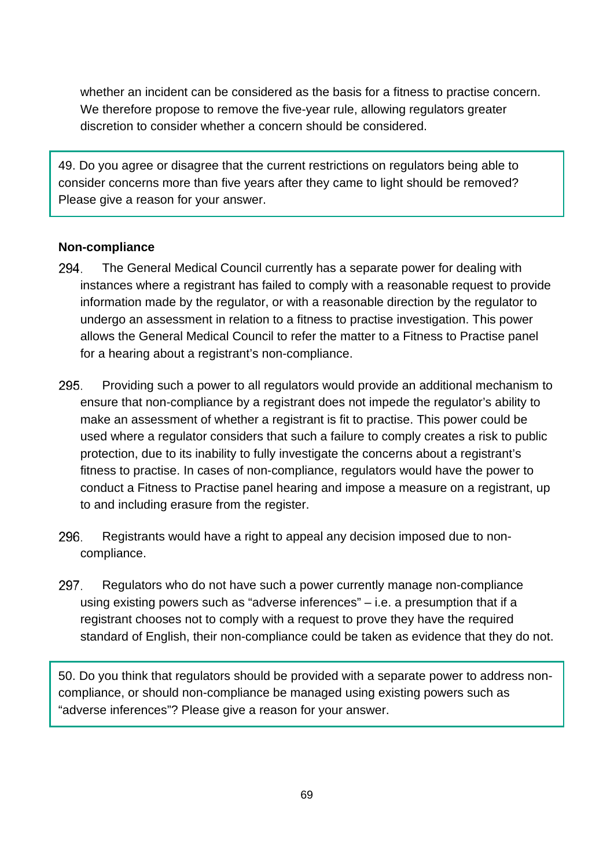whether an incident can be considered as the basis for a fitness to practise concern. We therefore propose to remove the five-year rule, allowing regulators greater discretion to consider whether a concern should be considered.

49. Do you agree or disagree that the current restrictions on regulators being able to consider concerns more than five years after they came to light should be removed? Please give a reason for your answer.

## **Non-compliance**

- 294. The General Medical Council currently has a separate power for dealing with instances where a registrant has failed to comply with a reasonable request to provide information made by the regulator, or with a reasonable direction by the regulator to undergo an assessment in relation to a fitness to practise investigation. This power allows the General Medical Council to refer the matter to a Fitness to Practise panel for a hearing about a registrant's non-compliance.
- 295. Providing such a power to all regulators would provide an additional mechanism to ensure that non-compliance by a registrant does not impede the regulator's ability to make an assessment of whether a registrant is fit to practise. This power could be used where a regulator considers that such a failure to comply creates a risk to public protection, due to its inability to fully investigate the concerns about a registrant's fitness to practise. In cases of non-compliance, regulators would have the power to conduct a Fitness to Practise panel hearing and impose a measure on a registrant, up to and including erasure from the register.
- 296. Registrants would have a right to appeal any decision imposed due to noncompliance.
- 297. Regulators who do not have such a power currently manage non-compliance using existing powers such as "adverse inferences" – i.e. a presumption that if a registrant chooses not to comply with a request to prove they have the required standard of English, their non-compliance could be taken as evidence that they do not.

50. Do you think that regulators should be provided with a separate power to address noncompliance, or should non-compliance be managed using existing powers such as "adverse inferences"? Please give a reason for your answer.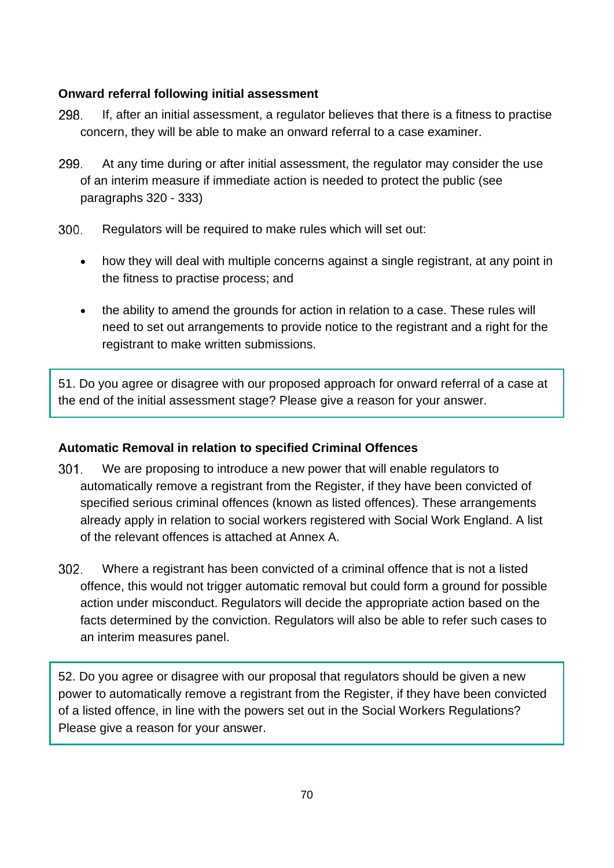# **Onward referral following initial assessment**

- 298. If, after an initial assessment, a regulator believes that there is a fitness to practise concern, they will be able to make an onward referral to a case examiner.
- 299. At any time during or after initial assessment, the regulator may consider the use of an interim measure if immediate action is needed to protect the public (see paragraphs 320 - 333)
- $300<sub>1</sub>$ Regulators will be required to make rules which will set out:
	- how they will deal with multiple concerns against a single registrant, at any point in the fitness to practise process; and
	- the ability to amend the grounds for action in relation to a case. These rules will need to set out arrangements to provide notice to the registrant and a right for the registrant to make written submissions.

51. Do you agree or disagree with our proposed approach for onward referral of a case at the end of the initial assessment stage? Please give a reason for your answer.

# **Automatic Removal in relation to specified Criminal Offences**

- $301.$ We are proposing to introduce a new power that will enable regulators to automatically remove a registrant from the Register, if they have been convicted of specified serious criminal offences (known as listed offences). These arrangements already apply in relation to social workers registered with Social Work England. A list of the relevant offences is attached at Annex A.
- 302. Where a registrant has been convicted of a criminal offence that is not a listed offence, this would not trigger automatic removal but could form a ground for possible action under misconduct. Regulators will decide the appropriate action based on the facts determined by the conviction. Regulators will also be able to refer such cases to an interim measures panel.

52. Do you agree or disagree with our proposal that regulators should be given a new power to automatically remove a registrant from the Register, if they have been convicted of a listed offence, in line with the powers set out in the Social Workers Regulations? Please give a reason for your answer.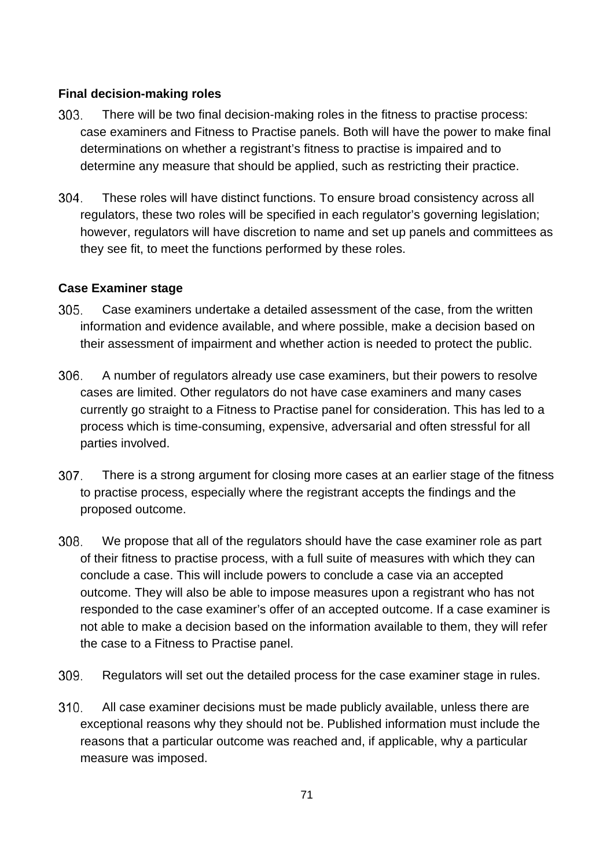## **Final decision-making roles**

- $303.$ There will be two final decision-making roles in the fitness to practise process: case examiners and Fitness to Practise panels. Both will have the power to make final determinations on whether a registrant's fitness to practise is impaired and to determine any measure that should be applied, such as restricting their practice.
- 304. These roles will have distinct functions. To ensure broad consistency across all regulators, these two roles will be specified in each regulator's governing legislation; however, regulators will have discretion to name and set up panels and committees as they see fit, to meet the functions performed by these roles.

## **Case Examiner stage**

- $305.$ Case examiners undertake a detailed assessment of the case, from the written information and evidence available, and where possible, make a decision based on their assessment of impairment and whether action is needed to protect the public.
- 306. A number of regulators already use case examiners, but their powers to resolve cases are limited. Other regulators do not have case examiners and many cases currently go straight to a Fitness to Practise panel for consideration. This has led to a process which is time-consuming, expensive, adversarial and often stressful for all parties involved.
- 307. There is a strong argument for closing more cases at an earlier stage of the fitness to practise process, especially where the registrant accepts the findings and the proposed outcome.
- 308. We propose that all of the regulators should have the case examiner role as part of their fitness to practise process, with a full suite of measures with which they can conclude a case. This will include powers to conclude a case via an accepted outcome. They will also be able to impose measures upon a registrant who has not responded to the case examiner's offer of an accepted outcome. If a case examiner is not able to make a decision based on the information available to them, they will refer the case to a Fitness to Practise panel.
- 309. Regulators will set out the detailed process for the case examiner stage in rules.
- All case examiner decisions must be made publicly available, unless there are  $310.$ exceptional reasons why they should not be. Published information must include the reasons that a particular outcome was reached and, if applicable, why a particular measure was imposed.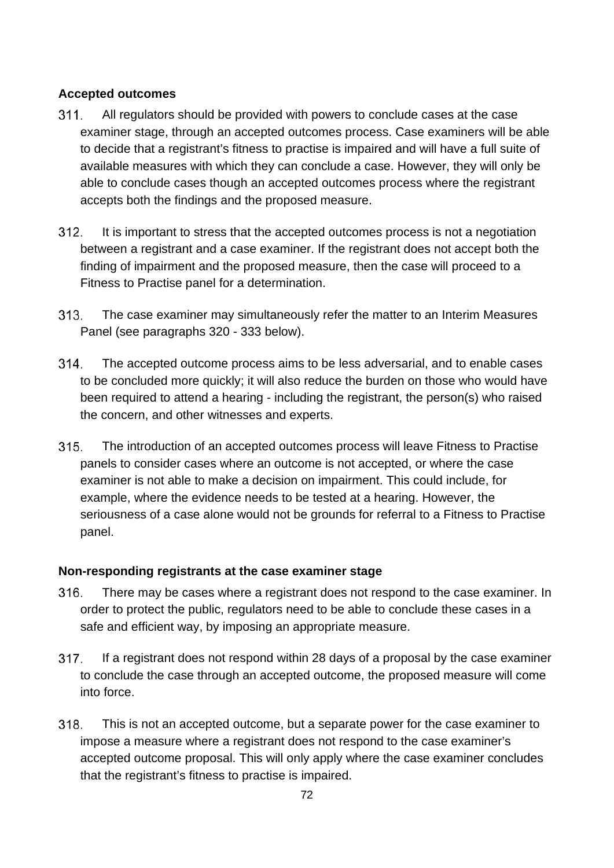# **Accepted outcomes**

- All regulators should be provided with powers to conclude cases at the case  $311.$ examiner stage, through an accepted outcomes process. Case examiners will be able to decide that a registrant's fitness to practise is impaired and will have a full suite of available measures with which they can conclude a case. However, they will only be able to conclude cases though an accepted outcomes process where the registrant accepts both the findings and the proposed measure.
- $312.$ It is important to stress that the accepted outcomes process is not a negotiation between a registrant and a case examiner. If the registrant does not accept both the finding of impairment and the proposed measure, then the case will proceed to a Fitness to Practise panel for a determination.
- $313.$ The case examiner may simultaneously refer the matter to an Interim Measures Panel (see paragraphs 320 - 333 below).
- The accepted outcome process aims to be less adversarial, and to enable cases 314. to be concluded more quickly; it will also reduce the burden on those who would have been required to attend a hearing - including the registrant, the person(s) who raised the concern, and other witnesses and experts.
- $315.$ The introduction of an accepted outcomes process will leave Fitness to Practise panels to consider cases where an outcome is not accepted, or where the case examiner is not able to make a decision on impairment. This could include, for example, where the evidence needs to be tested at a hearing. However, the seriousness of a case alone would not be grounds for referral to a Fitness to Practise panel.

# **Non-responding registrants at the case examiner stage**

- 316. There may be cases where a registrant does not respond to the case examiner. In order to protect the public, regulators need to be able to conclude these cases in a safe and efficient way, by imposing an appropriate measure.
- 317. If a registrant does not respond within 28 days of a proposal by the case examiner to conclude the case through an accepted outcome, the proposed measure will come into force.
- 318. This is not an accepted outcome, but a separate power for the case examiner to impose a measure where a registrant does not respond to the case examiner's accepted outcome proposal. This will only apply where the case examiner concludes that the registrant's fitness to practise is impaired.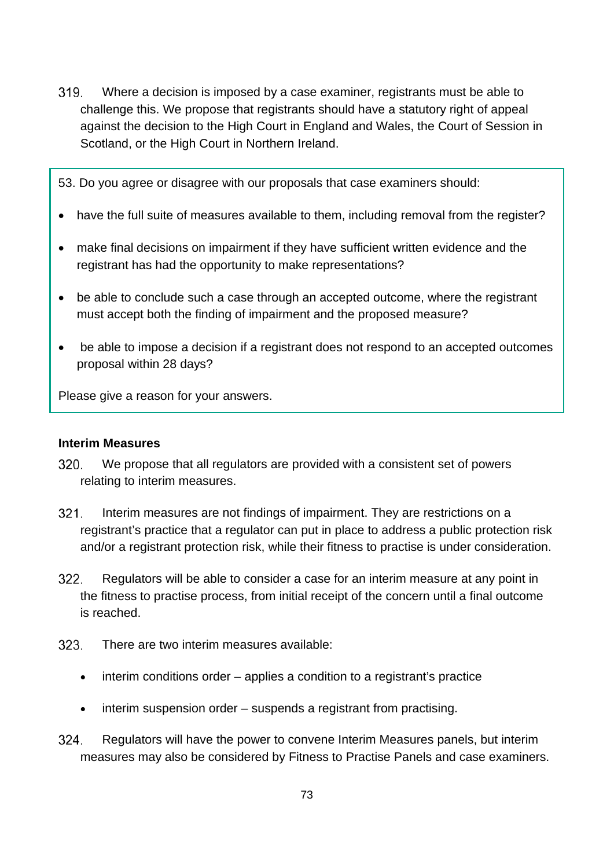319. Where a decision is imposed by a case examiner, registrants must be able to challenge this. We propose that registrants should have a statutory right of appeal against the decision to the High Court in England and Wales, the Court of Session in Scotland, or the High Court in Northern Ireland.

53. Do you agree or disagree with our proposals that case examiners should:

- have the full suite of measures available to them, including removal from the register?
- make final decisions on impairment if they have sufficient written evidence and the registrant has had the opportunity to make representations?
- be able to conclude such a case through an accepted outcome, where the registrant must accept both the finding of impairment and the proposed measure?
- be able to impose a decision if a registrant does not respond to an accepted outcomes proposal within 28 days?

Please give a reason for your answers.

#### **Interim Measures**

- 320. We propose that all regulators are provided with a consistent set of powers relating to interim measures.
- $321.$ Interim measures are not findings of impairment. They are restrictions on a registrant's practice that a regulator can put in place to address a public protection risk and/or a registrant protection risk, while their fitness to practise is under consideration.
- 322. Regulators will be able to consider a case for an interim measure at any point in the fitness to practise process, from initial receipt of the concern until a final outcome is reached.
- 323. There are two interim measures available:
	- interim conditions order applies a condition to a registrant's practice
	- interim suspension order suspends a registrant from practising.
- 324. Regulators will have the power to convene Interim Measures panels, but interim measures may also be considered by Fitness to Practise Panels and case examiners.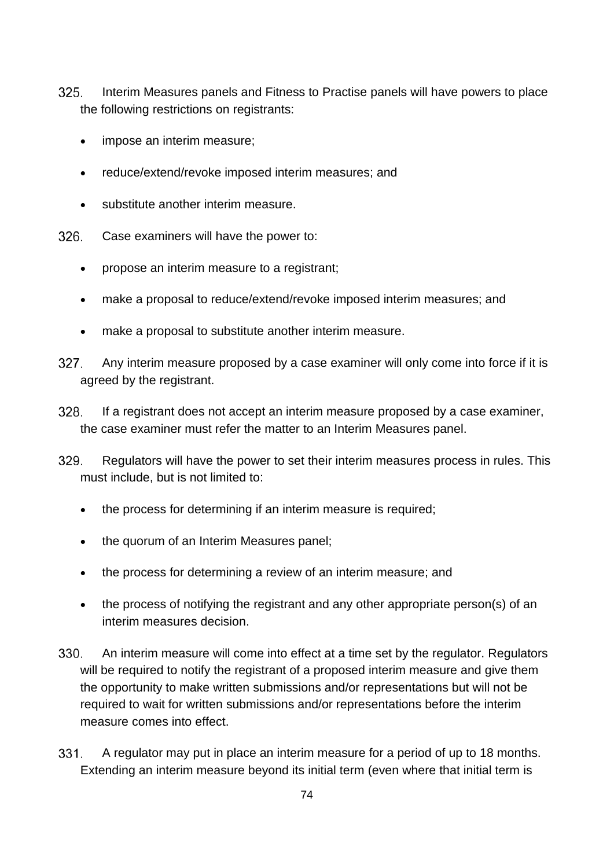- $325.$ Interim Measures panels and Fitness to Practise panels will have powers to place the following restrictions on registrants:
	- impose an interim measure;
	- reduce/extend/revoke imposed interim measures; and
	- substitute another interim measure.
- 326. Case examiners will have the power to:
	- propose an interim measure to a registrant;
	- make a proposal to reduce/extend/revoke imposed interim measures; and
	- make a proposal to substitute another interim measure.
- $327.$ Any interim measure proposed by a case examiner will only come into force if it is agreed by the registrant.
- 328. If a registrant does not accept an interim measure proposed by a case examiner, the case examiner must refer the matter to an Interim Measures panel.
- 329 Regulators will have the power to set their interim measures process in rules. This must include, but is not limited to:
	- the process for determining if an interim measure is required;
	- the quorum of an Interim Measures panel:
	- the process for determining a review of an interim measure; and
	- the process of notifying the registrant and any other appropriate person(s) of an interim measures decision.
- 330. An interim measure will come into effect at a time set by the regulator. Regulators will be required to notify the registrant of a proposed interim measure and give them the opportunity to make written submissions and/or representations but will not be required to wait for written submissions and/or representations before the interim measure comes into effect.
- $331.$ A regulator may put in place an interim measure for a period of up to 18 months. Extending an interim measure beyond its initial term (even where that initial term is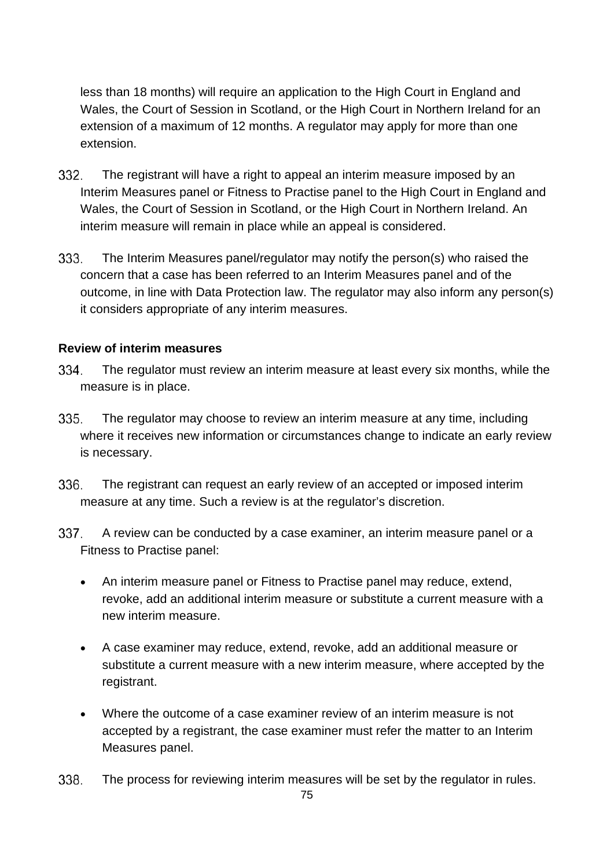less than 18 months) will require an application to the High Court in England and Wales, the Court of Session in Scotland, or the High Court in Northern Ireland for an extension of a maximum of 12 months. A regulator may apply for more than one extension.

- 332. The registrant will have a right to appeal an interim measure imposed by an Interim Measures panel or Fitness to Practise panel to the High Court in England and Wales, the Court of Session in Scotland, or the High Court in Northern Ireland. An interim measure will remain in place while an appeal is considered.
- 333. The Interim Measures panel/regulator may notify the person(s) who raised the concern that a case has been referred to an Interim Measures panel and of the outcome, in line with Data Protection law. The regulator may also inform any person(s) it considers appropriate of any interim measures.

#### **Review of interim measures**

- 334. The regulator must review an interim measure at least every six months, while the measure is in place.
- 335. The regulator may choose to review an interim measure at any time, including where it receives new information or circumstances change to indicate an early review is necessary.
- 336. The registrant can request an early review of an accepted or imposed interim measure at any time. Such a review is at the regulator's discretion.
- 337. A review can be conducted by a case examiner, an interim measure panel or a Fitness to Practise panel:
	- An interim measure panel or Fitness to Practise panel may reduce, extend, revoke, add an additional interim measure or substitute a current measure with a new interim measure.
	- A case examiner may reduce, extend, revoke, add an additional measure or substitute a current measure with a new interim measure, where accepted by the registrant.
	- Where the outcome of a case examiner review of an interim measure is not accepted by a registrant, the case examiner must refer the matter to an Interim Measures panel.
- 338. The process for reviewing interim measures will be set by the regulator in rules.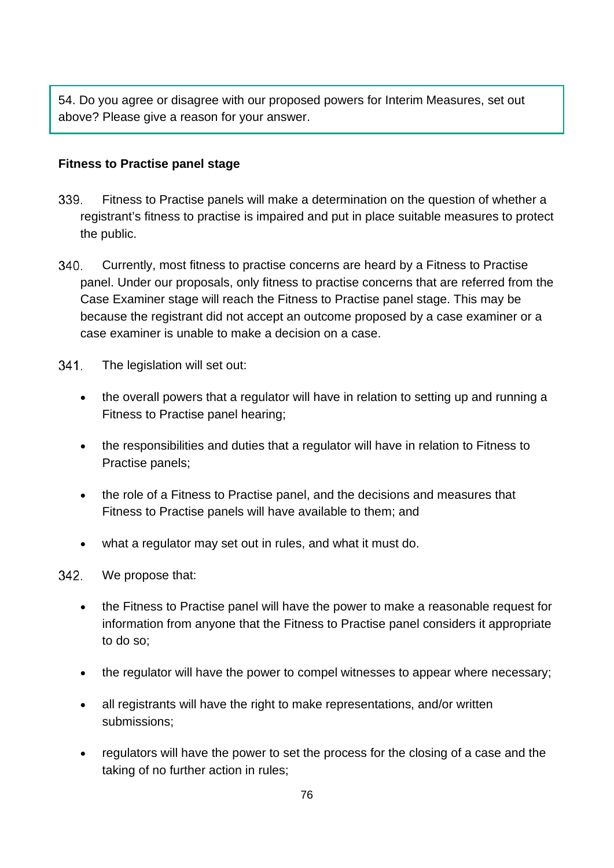54. Do you agree or disagree with our proposed powers for Interim Measures, set out above? Please give a reason for your answer.

#### **Fitness to Practise panel stage**

- 339. Fitness to Practise panels will make a determination on the question of whether a registrant's fitness to practise is impaired and put in place suitable measures to protect the public.
- 340. Currently, most fitness to practise concerns are heard by a Fitness to Practise panel. Under our proposals, only fitness to practise concerns that are referred from the Case Examiner stage will reach the Fitness to Practise panel stage. This may be because the registrant did not accept an outcome proposed by a case examiner or a case examiner is unable to make a decision on a case.
- 341. The legislation will set out:
	- the overall powers that a regulator will have in relation to setting up and running a Fitness to Practise panel hearing;
	- the responsibilities and duties that a regulator will have in relation to Fitness to Practise panels;
	- the role of a Fitness to Practise panel, and the decisions and measures that Fitness to Practise panels will have available to them; and
	- what a regulator may set out in rules, and what it must do.
- 342. We propose that:
	- the Fitness to Practise panel will have the power to make a reasonable request for information from anyone that the Fitness to Practise panel considers it appropriate to do so;
	- the regulator will have the power to compel witnesses to appear where necessary;
	- all registrants will have the right to make representations, and/or written submissions;
	- regulators will have the power to set the process for the closing of a case and the taking of no further action in rules;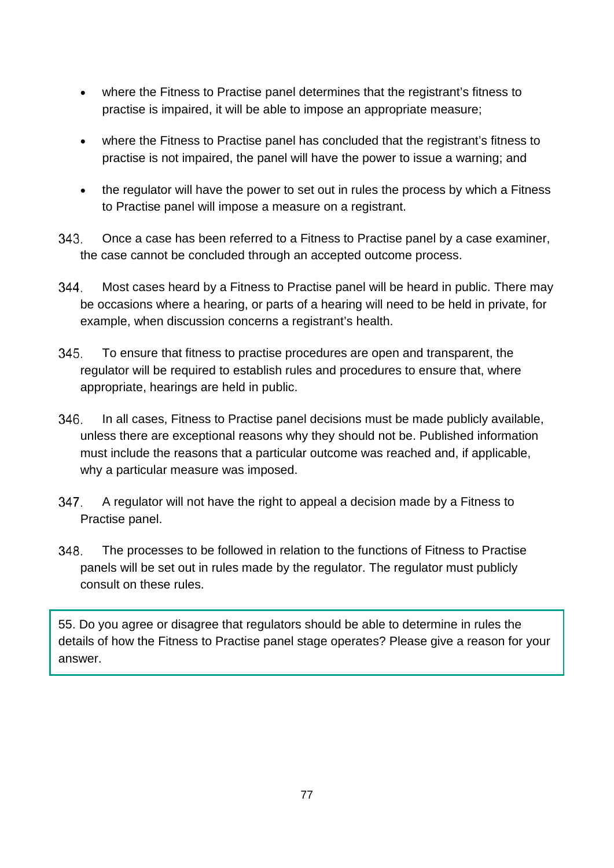- where the Fitness to Practise panel determines that the registrant's fitness to practise is impaired, it will be able to impose an appropriate measure;
- where the Fitness to Practise panel has concluded that the registrant's fitness to practise is not impaired, the panel will have the power to issue a warning; and
- the regulator will have the power to set out in rules the process by which a Fitness to Practise panel will impose a measure on a registrant.
- 343. Once a case has been referred to a Fitness to Practise panel by a case examiner, the case cannot be concluded through an accepted outcome process.
- 344. Most cases heard by a Fitness to Practise panel will be heard in public. There may be occasions where a hearing, or parts of a hearing will need to be held in private, for example, when discussion concerns a registrant's health.
- 345. To ensure that fitness to practise procedures are open and transparent, the regulator will be required to establish rules and procedures to ensure that, where appropriate, hearings are held in public.
- 346. In all cases, Fitness to Practise panel decisions must be made publicly available, unless there are exceptional reasons why they should not be. Published information must include the reasons that a particular outcome was reached and, if applicable, why a particular measure was imposed.
- 347. A regulator will not have the right to appeal a decision made by a Fitness to Practise panel.
- The processes to be followed in relation to the functions of Fitness to Practise 348. panels will be set out in rules made by the regulator. The regulator must publicly consult on these rules.

55. Do you agree or disagree that regulators should be able to determine in rules the details of how the Fitness to Practise panel stage operates? Please give a reason for your answer.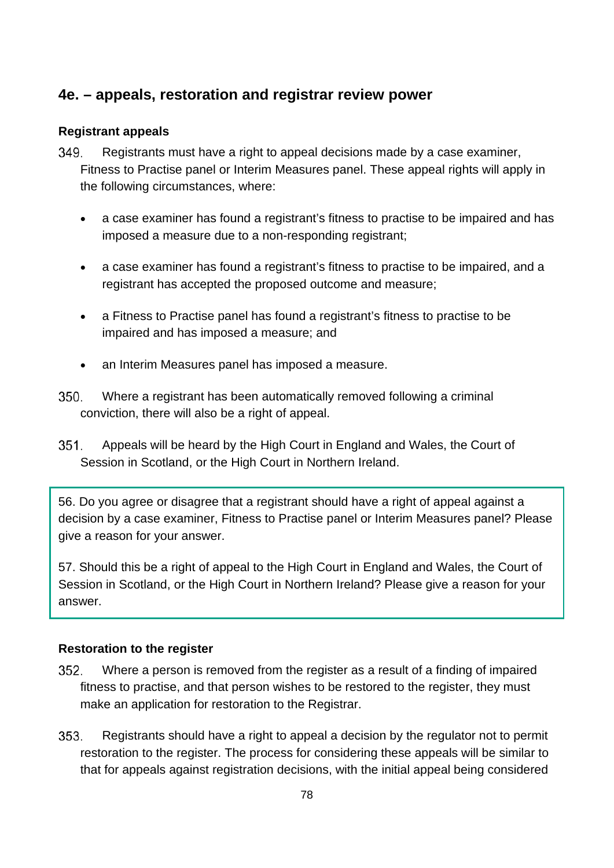### **4e. – appeals, restoration and registrar review power**

#### **Registrant appeals**

- 349. Registrants must have a right to appeal decisions made by a case examiner, Fitness to Practise panel or Interim Measures panel. These appeal rights will apply in the following circumstances, where:
	- a case examiner has found a registrant's fitness to practise to be impaired and has imposed a measure due to a non-responding registrant;
	- a case examiner has found a registrant's fitness to practise to be impaired, and a registrant has accepted the proposed outcome and measure;
	- a Fitness to Practise panel has found a registrant's fitness to practise to be impaired and has imposed a measure; and
	- an Interim Measures panel has imposed a measure.
- 350. Where a registrant has been automatically removed following a criminal conviction, there will also be a right of appeal.
- $351.$ Appeals will be heard by the High Court in England and Wales, the Court of Session in Scotland, or the High Court in Northern Ireland.

56. Do you agree or disagree that a registrant should have a right of appeal against a decision by a case examiner, Fitness to Practise panel or Interim Measures panel? Please give a reason for your answer.

57. Should this be a right of appeal to the High Court in England and Wales, the Court of Session in Scotland, or the High Court in Northern Ireland? Please give a reason for your answer.

#### **Restoration to the register**

- 352. Where a person is removed from the register as a result of a finding of impaired fitness to practise, and that person wishes to be restored to the register, they must make an application for restoration to the Registrar.
- 353. Registrants should have a right to appeal a decision by the regulator not to permit restoration to the register. The process for considering these appeals will be similar to that for appeals against registration decisions, with the initial appeal being considered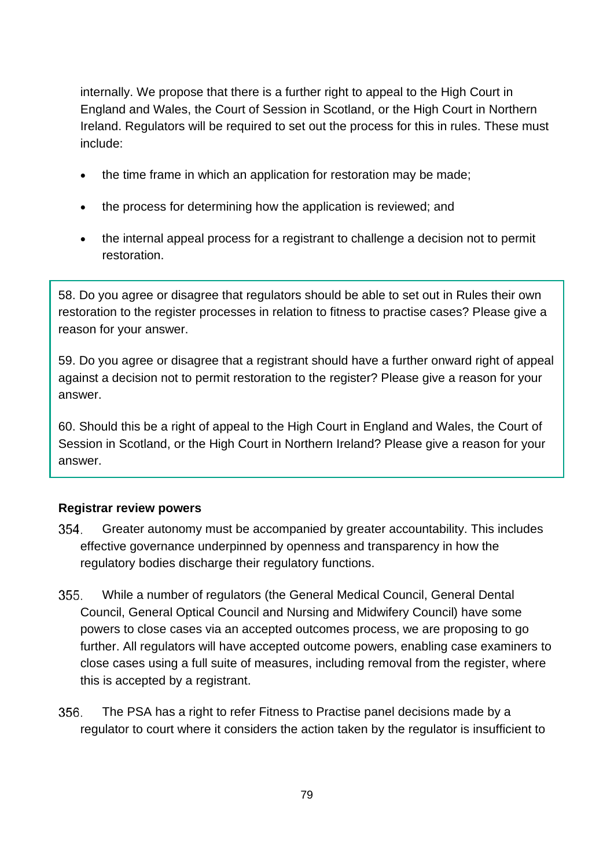internally. We propose that there is a further right to appeal to the High Court in England and Wales, the Court of Session in Scotland, or the High Court in Northern Ireland. Regulators will be required to set out the process for this in rules. These must include:

- the time frame in which an application for restoration may be made;
- the process for determining how the application is reviewed; and
- the internal appeal process for a registrant to challenge a decision not to permit restoration.

58. Do you agree or disagree that regulators should be able to set out in Rules their own restoration to the register processes in relation to fitness to practise cases? Please give a reason for your answer.

59. Do you agree or disagree that a registrant should have a further onward right of appeal against a decision not to permit restoration to the register? Please give a reason for your answer.

60. Should this be a right of appeal to the High Court in England and Wales, the Court of Session in Scotland, or the High Court in Northern Ireland? Please give a reason for your answer.

#### **Registrar review powers**

- 354. Greater autonomy must be accompanied by greater accountability. This includes effective governance underpinned by openness and transparency in how the regulatory bodies discharge their regulatory functions.
- While a number of regulators (the General Medical Council, General Dental  $355.$ Council, General Optical Council and Nursing and Midwifery Council) have some powers to close cases via an accepted outcomes process, we are proposing to go further. All regulators will have accepted outcome powers, enabling case examiners to close cases using a full suite of measures, including removal from the register, where this is accepted by a registrant.
- 356. The PSA has a right to refer Fitness to Practise panel decisions made by a regulator to court where it considers the action taken by the regulator is insufficient to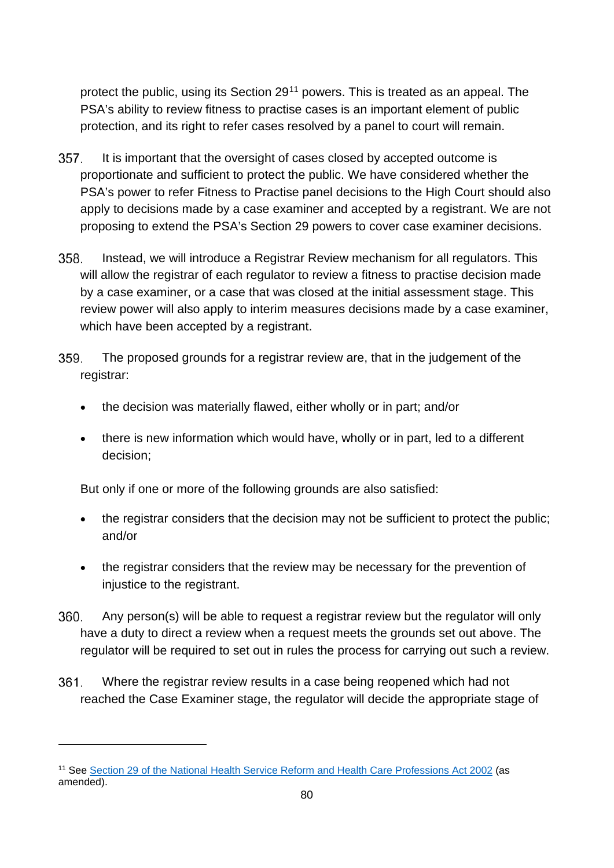protect the public, using its Section 29[11](#page-79-0) powers. This is treated as an appeal. The PSA's ability to review fitness to practise cases is an important element of public protection, and its right to refer cases resolved by a panel to court will remain.

- $357.$ It is important that the oversight of cases closed by accepted outcome is proportionate and sufficient to protect the public. We have considered whether the PSA's power to refer Fitness to Practise panel decisions to the High Court should also apply to decisions made by a case examiner and accepted by a registrant. We are not proposing to extend the PSA's Section 29 powers to cover case examiner decisions.
- 358. Instead, we will introduce a Registrar Review mechanism for all regulators. This will allow the registrar of each regulator to review a fitness to practise decision made by a case examiner, or a case that was closed at the initial assessment stage. This review power will also apply to interim measures decisions made by a case examiner, which have been accepted by a registrant.
- 359. The proposed grounds for a registrar review are, that in the judgement of the registrar:
	- the decision was materially flawed, either wholly or in part; and/or
	- there is new information which would have, wholly or in part, led to a different decision;

But only if one or more of the following grounds are also satisfied:

- the registrar considers that the decision may not be sufficient to protect the public; and/or
- the registrar considers that the review may be necessary for the prevention of injustice to the registrant.
- 360. Any person(s) will be able to request a registrar review but the regulator will only have a duty to direct a review when a request meets the grounds set out above. The regulator will be required to set out in rules the process for carrying out such a review.
- $361.$ Where the registrar review results in a case being reopened which had not reached the Case Examiner stage, the regulator will decide the appropriate stage of

<span id="page-79-0"></span><sup>11</sup> See [Section 29 of the National Health Service Reform and Health Care Professions Act 2002](https://www.legislation.gov.uk/ukpga/2002/17/section/29) (as amended).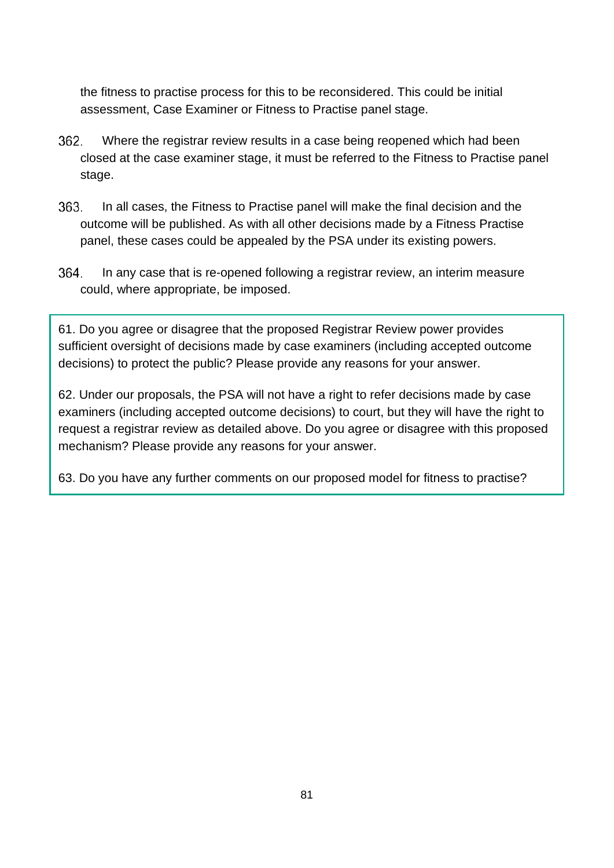the fitness to practise process for this to be reconsidered. This could be initial assessment, Case Examiner or Fitness to Practise panel stage.

- 362. Where the registrar review results in a case being reopened which had been closed at the case examiner stage, it must be referred to the Fitness to Practise panel stage.
- 363. In all cases, the Fitness to Practise panel will make the final decision and the outcome will be published. As with all other decisions made by a Fitness Practise panel, these cases could be appealed by the PSA under its existing powers.
- 364. In any case that is re-opened following a registrar review, an interim measure could, where appropriate, be imposed.

61. Do you agree or disagree that the proposed Registrar Review power provides sufficient oversight of decisions made by case examiners (including accepted outcome decisions) to protect the public? Please provide any reasons for your answer.

62. Under our proposals, the PSA will not have a right to refer decisions made by case examiners (including accepted outcome decisions) to court, but they will have the right to request a registrar review as detailed above. Do you agree or disagree with this proposed mechanism? Please provide any reasons for your answer.

63. Do you have any further comments on our proposed model for fitness to practise?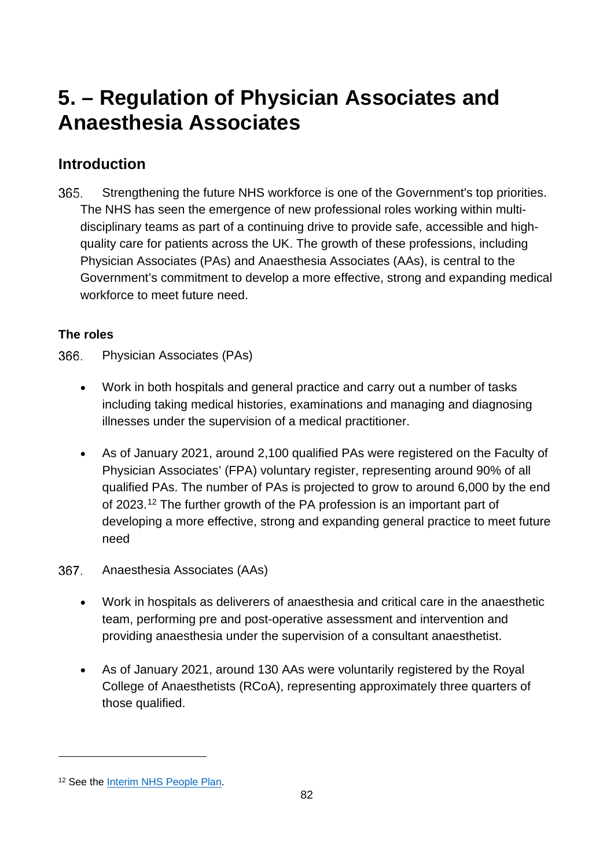# **5. – Regulation of Physician Associates and Anaesthesia Associates**

## **Introduction**

365. Strengthening the future NHS workforce is one of the Government's top priorities. The NHS has seen the emergence of new professional roles working within multidisciplinary teams as part of a continuing drive to provide safe, accessible and highquality care for patients across the UK. The growth of these professions, including Physician Associates (PAs) and Anaesthesia Associates (AAs), is central to the Government's commitment to develop a more effective, strong and expanding medical workforce to meet future need.

### **The roles**

366. Physician Associates (PAs)

- Work in both hospitals and general practice and carry out a number of tasks including taking medical histories, examinations and managing and diagnosing illnesses under the supervision of a medical practitioner.
- As of January 2021, around 2,100 qualified PAs were registered on the Faculty of Physician Associates' (FPA) voluntary register, representing around 90% of all qualified PAs. The number of PAs is projected to grow to around 6,000 by the end of 2023.[12](#page-81-0) The further growth of the PA profession is an important part of developing a more effective, strong and expanding general practice to meet future need
- 367. Anaesthesia Associates (AAs)
	- Work in hospitals as deliverers of anaesthesia and critical care in the anaesthetic team, performing pre and post-operative assessment and intervention and providing anaesthesia under the supervision of a consultant anaesthetist.
	- As of January 2021, around 130 AAs were voluntarily registered by the Royal College of Anaesthetists (RCoA), representing approximately three quarters of those qualified.

<span id="page-81-0"></span><sup>&</sup>lt;sup>12</sup> See the **Interim NHS People Plan**.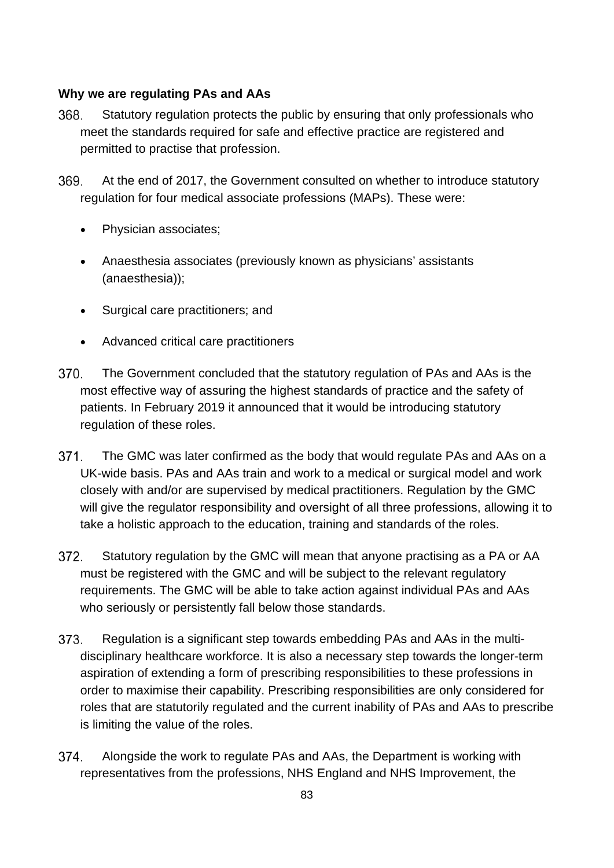#### **Why we are regulating PAs and AAs**

- Statutory regulation protects the public by ensuring that only professionals who 368. meet the standards required for safe and effective practice are registered and permitted to practise that profession.
- 369. At the end of 2017, the Government consulted on whether to introduce statutory regulation for four medical associate professions (MAPs). These were:
	- Physician associates;
	- Anaesthesia associates (previously known as physicians' assistants (anaesthesia));
	- Surgical care practitioners; and
	- Advanced critical care practitioners
- 370. The Government concluded that the statutory regulation of PAs and AAs is the most effective way of assuring the highest standards of practice and the safety of patients. In February 2019 [it announced that it would be introducing statutory](https://assets.publishing.service.gov.uk/government/uploads/system/uploads/attachment_data/file/777130/maps-consultation-report.pdf)  [regulation of these roles.](https://assets.publishing.service.gov.uk/government/uploads/system/uploads/attachment_data/file/777130/maps-consultation-report.pdf)
- 371. The GMC was later confirmed as the body that would regulate PAs and AAs on a UK-wide basis. PAs and AAs train and work to a medical or surgical model and work closely with and/or are supervised by medical practitioners. Regulation by the GMC will give the regulator responsibility and oversight of all three professions, allowing it to take a holistic approach to the education, training and standards of the roles.
- 372. Statutory regulation by the GMC will mean that anyone practising as a PA or AA must be registered with the GMC and will be subject to the relevant regulatory requirements. The GMC will be able to take action against individual PAs and AAs who seriously or persistently fall below those standards.
- 373. Regulation is a significant step towards embedding PAs and AAs in the multidisciplinary healthcare workforce. It is also a necessary step towards the longer-term aspiration of extending a form of prescribing responsibilities to these professions in order to maximise their capability. Prescribing responsibilities are only considered for roles that are statutorily regulated and the current inability of PAs and AAs to prescribe is limiting the value of the roles.
- 374. Alongside the work to regulate PAs and AAs, the Department is working with representatives from the professions, NHS England and NHS Improvement, the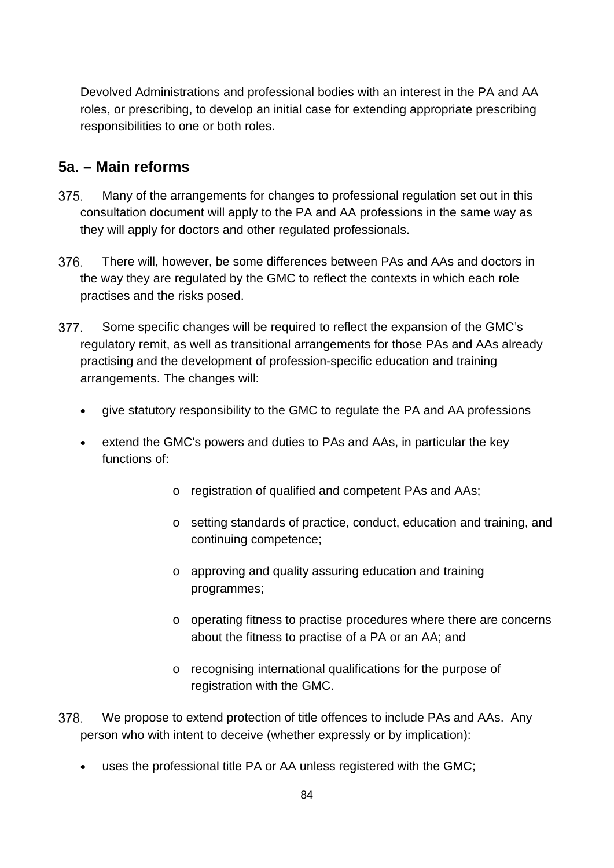Devolved Administrations and professional bodies with an interest in the PA and AA roles, or prescribing, to develop an initial case for extending appropriate prescribing responsibilities to one or both roles.

### **5a. – Main reforms**

- 375. Many of the arrangements for changes to professional regulation set out in this consultation document will apply to the PA and AA professions in the same way as they will apply for doctors and other regulated professionals.
- 376. There will, however, be some differences between PAs and AAs and doctors in the way they are regulated by the GMC to reflect the contexts in which each role practises and the risks posed.
- 377 Some specific changes will be required to reflect the expansion of the GMC's regulatory remit, as well as transitional arrangements for those PAs and AAs already practising and the development of profession-specific education and training arrangements. The changes will:
	- give statutory responsibility to the GMC to regulate the PA and AA professions
	- extend the GMC's powers and duties to PAs and AAs, in particular the key functions of:
		- o registration of qualified and competent PAs and AAs;
		- o setting standards of practice, conduct, education and training, and continuing competence;
		- o approving and quality assuring education and training programmes;
		- o operating fitness to practise procedures where there are concerns about the fitness to practise of a PA or an AA; and
		- o recognising international qualifications for the purpose of registration with the GMC.
- 378. We propose to extend protection of title offences to include PAs and AAs. Any person who with intent to deceive (whether expressly or by implication):
	- uses the professional title PA or AA unless registered with the GMC;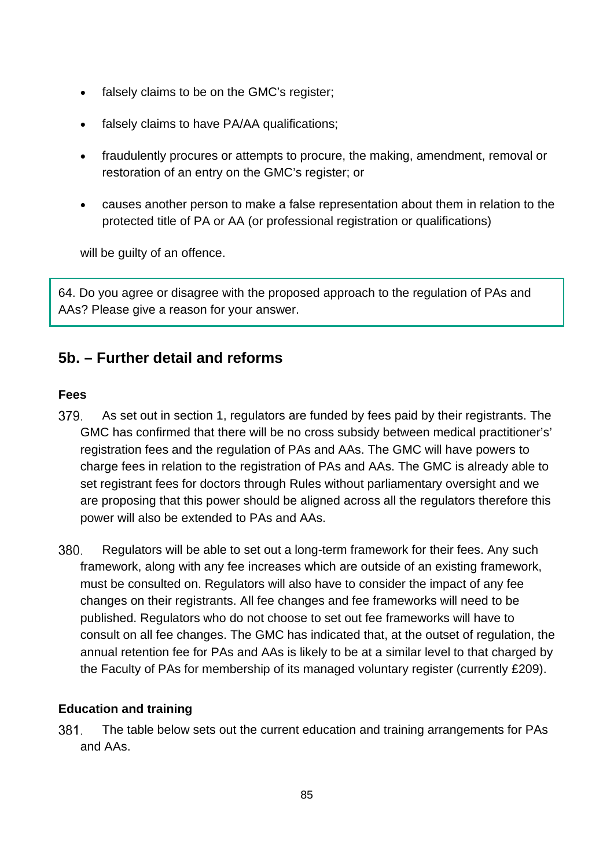- falsely claims to be on the GMC's register;
- falsely claims to have PA/AA qualifications;
- fraudulently procures or attempts to procure, the making, amendment, removal or restoration of an entry on the GMC's register; or
- causes another person to make a false representation about them in relation to the protected title of PA or AA (or professional registration or qualifications)

will be guilty of an offence.

64. Do you agree or disagree with the proposed approach to the regulation of PAs and AAs? Please give a reason for your answer.

### **5b. – Further detail and reforms**

#### **Fees**

- 379. As set out in section 1, regulators are funded by fees paid by their registrants. The GMC has confirmed that there will be no cross subsidy between medical practitioner's' registration fees and the regulation of PAs and AAs. The GMC will have powers to charge fees in relation to the registration of PAs and AAs. The GMC is already able to set registrant fees for doctors through Rules without parliamentary oversight and we are proposing that this power should be aligned across all the regulators therefore this power will also be extended to PAs and AAs.
- 380. Regulators will be able to set out a long-term framework for their fees. Any such framework, along with any fee increases which are outside of an existing framework, must be consulted on. Regulators will also have to consider the impact of any fee changes on their registrants. All fee changes and fee frameworks will need to be published. Regulators who do not choose to set out fee frameworks will have to consult on all fee changes. The GMC has indicated that, at the outset of regulation, the annual retention fee for PAs and AAs is likely to be at a similar level to that charged by the Faculty of PAs for membership of its managed voluntary register (currently £209).

#### **Education and training**

381. The table below sets out the current education and training arrangements for PAs and AAs.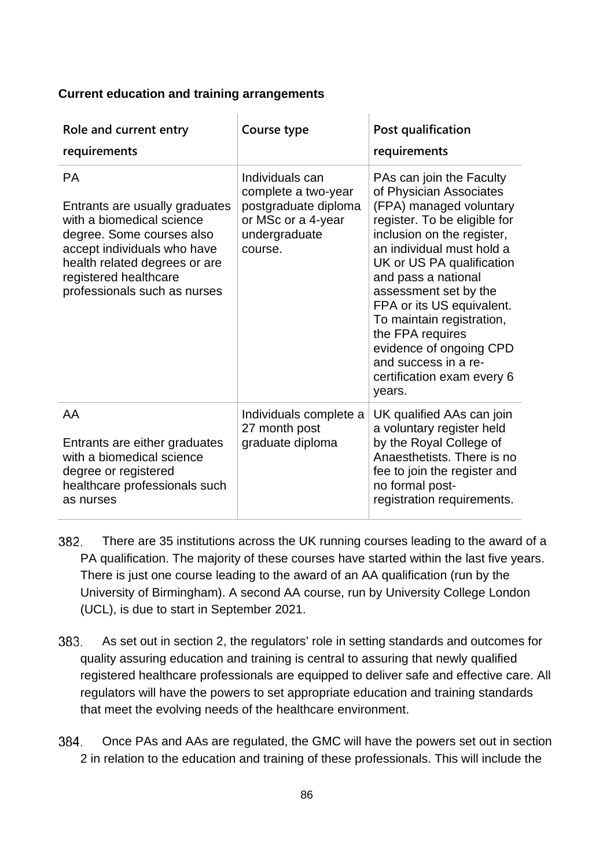#### **Current education and training arrangements**

| Role and current entry<br>requirements                                                                                                                                                                                         | Course type                                                                                                      | Post qualification<br>requirements                                                                                                                                                                                                                                                                                                                                                                                              |
|--------------------------------------------------------------------------------------------------------------------------------------------------------------------------------------------------------------------------------|------------------------------------------------------------------------------------------------------------------|---------------------------------------------------------------------------------------------------------------------------------------------------------------------------------------------------------------------------------------------------------------------------------------------------------------------------------------------------------------------------------------------------------------------------------|
| <b>PA</b><br>Entrants are usually graduates<br>with a biomedical science<br>degree. Some courses also<br>accept individuals who have<br>health related degrees or are<br>registered healthcare<br>professionals such as nurses | Individuals can<br>complete a two-year<br>postgraduate diploma<br>or MSc or a 4-year<br>undergraduate<br>course. | PAs can join the Faculty<br>of Physician Associates<br>(FPA) managed voluntary<br>register. To be eligible for<br>inclusion on the register,<br>an individual must hold a<br>UK or US PA qualification<br>and pass a national<br>assessment set by the<br>FPA or its US equivalent.<br>To maintain registration,<br>the FPA requires<br>evidence of ongoing CPD<br>and success in a re-<br>certification exam every 6<br>years. |
| AA<br>Entrants are either graduates<br>with a biomedical science<br>degree or registered<br>healthcare professionals such<br>as nurses                                                                                         | Individuals complete a<br>27 month post<br>graduate diploma                                                      | UK qualified AAs can join<br>a voluntary register held<br>by the Royal College of<br>Anaesthetists. There is no<br>fee to join the register and<br>no formal post-<br>registration requirements.                                                                                                                                                                                                                                |

- 382. There are 35 institutions across the UK running courses leading to the award of a PA qualification. The majority of these courses have started within the last five years. There is just one course leading to the award of an AA qualification (run by the University of Birmingham). A second AA course, run by University College London (UCL), is due to start in September 2021.
- 383. As set out in section 2, the regulators' role in setting standards and outcomes for quality assuring education and training is central to assuring that newly qualified registered healthcare professionals are equipped to deliver safe and effective care. All regulators will have the powers to set appropriate education and training standards that meet the evolving needs of the healthcare environment.
- 384. Once PAs and AAs are regulated, the GMC will have the powers set out in section 2 in relation to the education and training of these professionals. This will include the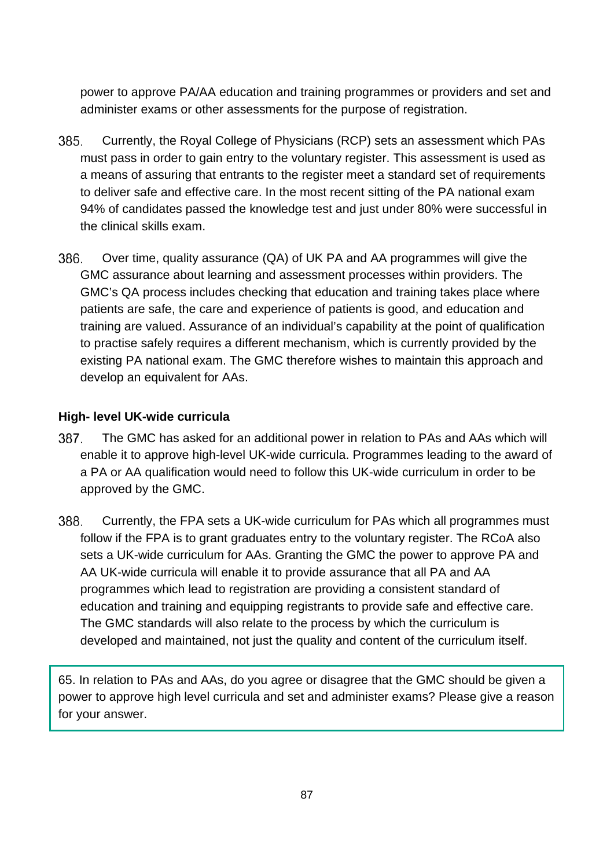power to approve PA/AA education and training programmes or providers and set and administer exams or other assessments for the purpose of registration.

- 385. Currently, the Royal College of Physicians (RCP) sets an assessment which PAs must pass in order to gain entry to the voluntary register. This assessment is used as a means of assuring that entrants to the register meet a standard set of requirements to deliver safe and effective care. In the most recent sitting of the PA national exam 94% of candidates passed the knowledge test and just under 80% were successful in the clinical skills exam.
- 386 Over time, quality assurance (QA) of UK PA and AA programmes will give the GMC assurance about learning and assessment processes within providers. The GMC's QA process includes checking that education and training takes place where patients are safe, the care and experience of patients is good, and education and training are valued. Assurance of an individual's capability at the point of qualification to practise safely requires a different mechanism, which is currently provided by the existing PA national exam. The GMC therefore wishes to maintain this approach and develop an equivalent for AAs.

#### **High- level UK-wide curricula**

- 387. The GMC has asked for an additional power in relation to PAs and AAs which will enable it to approve high-level UK-wide curricula. Programmes leading to the award of a PA or AA qualification would need to follow this UK-wide curriculum in order to be approved by the GMC.
- 388. Currently, the FPA sets a UK-wide curriculum for PAs which all programmes must follow if the FPA is to grant graduates entry to the voluntary register. The RCoA also sets a UK-wide curriculum for AAs. Granting the GMC the power to approve PA and AA UK-wide curricula will enable it to provide assurance that all PA and AA programmes which lead to registration are providing a consistent standard of education and training and equipping registrants to provide safe and effective care. The GMC standards will also relate to the process by which the curriculum is developed and maintained, not just the quality and content of the curriculum itself.

65. In relation to PAs and AAs, do you agree or disagree that the GMC should be given a power to approve high level curricula and set and administer exams? Please give a reason for your answer.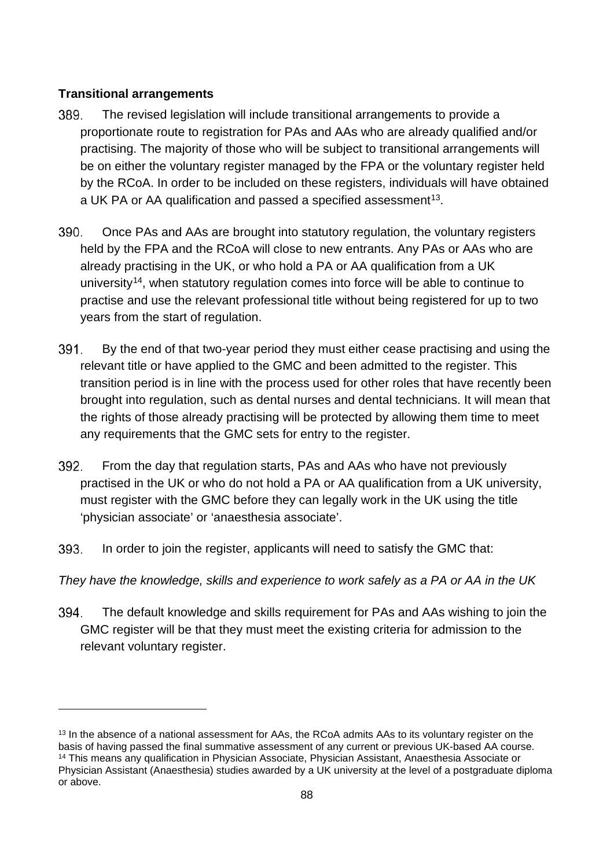#### **Transitional arrangements**

- The revised legislation will include transitional arrangements to provide a 389. proportionate route to registration for PAs and AAs who are already qualified and/or practising. The majority of those who will be subject to transitional arrangements will be on either the voluntary register managed by the FPA or the voluntary register held by the RCoA. In order to be included on these registers, individuals will have obtained a UK PA or AA qualification and passed a specified assessment<sup>13</sup>.
- 390. Once PAs and AAs are brought into statutory regulation, the voluntary registers held by the FPA and the RCoA will close to new entrants. Any PAs or AAs who are already practising in the UK, or who hold a PA or AA qualification from a UK university<sup>[14](#page-87-1)</sup>, when statutory regulation comes into force will be able to continue to practise and use the relevant professional title without being registered for up to two years from the start of regulation.
- 391. By the end of that two-year period they must either cease practising and using the relevant title or have applied to the GMC and been admitted to the register. This transition period is in line with the process used for other roles that have recently been brought into regulation, such as dental nurses and dental technicians. It will mean that the rights of those already practising will be protected by allowing them time to meet any requirements that the GMC sets for entry to the register.
- 392. From the day that regulation starts, PAs and AAs who have not previously practised in the UK or who do not hold a PA or AA qualification from a UK university, must register with the GMC before they can legally work in the UK using the title 'physician associate' or 'anaesthesia associate'.
- 393. In order to join the register, applicants will need to satisfy the GMC that:
- *They have the knowledge, skills and experience to work safely as a PA or AA in the UK*
- 394. The default knowledge and skills requirement for PAs and AAs wishing to join the GMC register will be that they must meet the existing criteria for admission to the relevant voluntary register.

<span id="page-87-1"></span><span id="page-87-0"></span><sup>&</sup>lt;sup>13</sup> In the absence of a national assessment for AAs, the RCoA admits AAs to its voluntary register on the basis of having passed the final summative assessment of any current or previous UK-based AA course. <sup>14</sup> This means any qualification in Physician Associate, Physician Assistant, Anaesthesia Associate or Physician Assistant (Anaesthesia) studies awarded by a UK university at the level of a postgraduate diploma or above.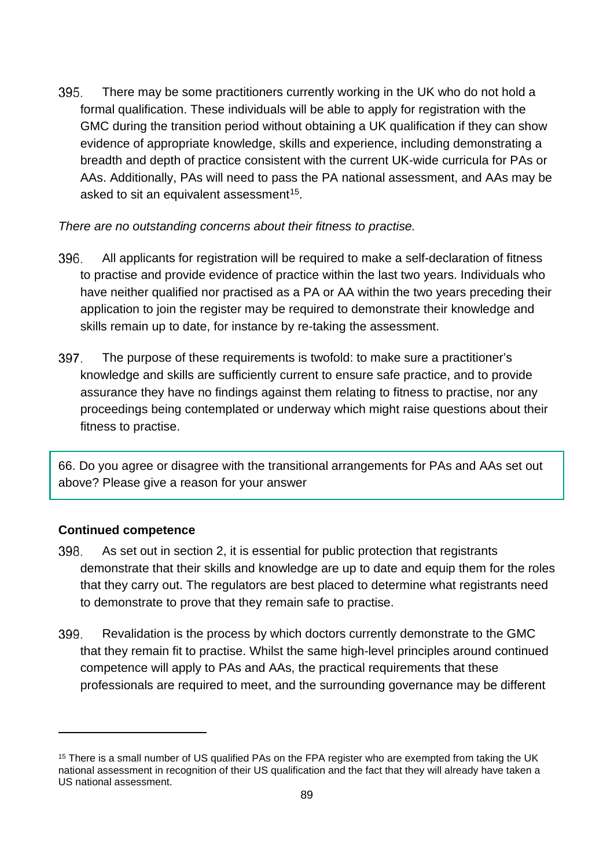395. There may be some practitioners currently working in the UK who do not hold a formal qualification. These individuals will be able to apply for registration with the GMC during the transition period without obtaining a UK qualification if they can show evidence of appropriate knowledge, skills and experience, including demonstrating a breadth and depth of practice consistent with the current UK-wide curricula for PAs or AAs. Additionally, PAs will need to pass the PA national assessment, and AAs may be asked to sit an equivalent assessment<sup>[15](#page-88-0)</sup>.

*There are no outstanding concerns about their fitness to practise.*

- 396. All applicants for registration will be required to make a self-declaration of fitness to practise and provide evidence of practice within the last two years. Individuals who have neither qualified nor practised as a PA or AA within the two years preceding their application to join the register may be required to demonstrate their knowledge and skills remain up to date, for instance by re-taking the assessment.
- 397. The purpose of these requirements is twofold: to make sure a practitioner's knowledge and skills are sufficiently current to ensure safe practice, and to provide assurance they have no findings against them relating to fitness to practise, nor any proceedings being contemplated or underway which might raise questions about their fitness to practise.

66. Do you agree or disagree with the transitional arrangements for PAs and AAs set out above? Please give a reason for your answer

#### **Continued competence**

- 398. As set out in section 2, it is essential for public protection that registrants demonstrate that their skills and knowledge are up to date and equip them for the roles that they carry out. The regulators are best placed to determine what registrants need to demonstrate to prove that they remain safe to practise.
- 399. Revalidation is the process by which doctors currently demonstrate to the GMC that they remain fit to practise. Whilst the same high-level principles around continued competence will apply to PAs and AAs, the practical requirements that these professionals are required to meet, and the surrounding governance may be different

<span id="page-88-0"></span><sup>&</sup>lt;sup>15</sup> There is a small number of US qualified PAs on the FPA register who are exempted from taking the UK national assessment in recognition of their US qualification and the fact that they will already have taken a US national assessment.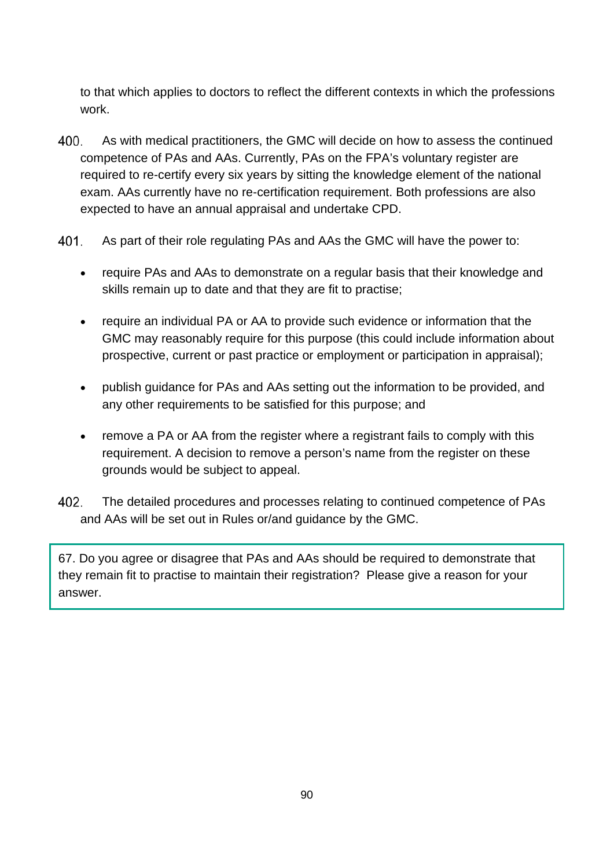to that which applies to doctors to reflect the different contexts in which the professions work.

- 400. As with medical practitioners, the GMC will decide on how to assess the continued competence of PAs and AAs. Currently, PAs on the FPA's voluntary register are required to re-certify every six years by sitting the knowledge element of the national exam. AAs currently have no re-certification requirement. Both professions are also expected to have an annual appraisal and undertake CPD.
- 401. As part of their role regulating PAs and AAs the GMC will have the power to:
	- require PAs and AAs to demonstrate on a regular basis that their knowledge and skills remain up to date and that they are fit to practise;
	- require an individual PA or AA to provide such evidence or information that the GMC may reasonably require for this purpose (this could include information about prospective, current or past practice or employment or participation in appraisal);
	- publish guidance for PAs and AAs setting out the information to be provided, and any other requirements to be satisfied for this purpose; and
	- remove a PA or AA from the register where a registrant fails to comply with this requirement. A decision to remove a person's name from the register on these grounds would be subject to appeal.
- 402. The detailed procedures and processes relating to continued competence of PAs and AAs will be set out in Rules or/and guidance by the GMC.

67. Do you agree or disagree that PAs and AAs should be required to demonstrate that they remain fit to practise to maintain their registration? Please give a reason for your answer.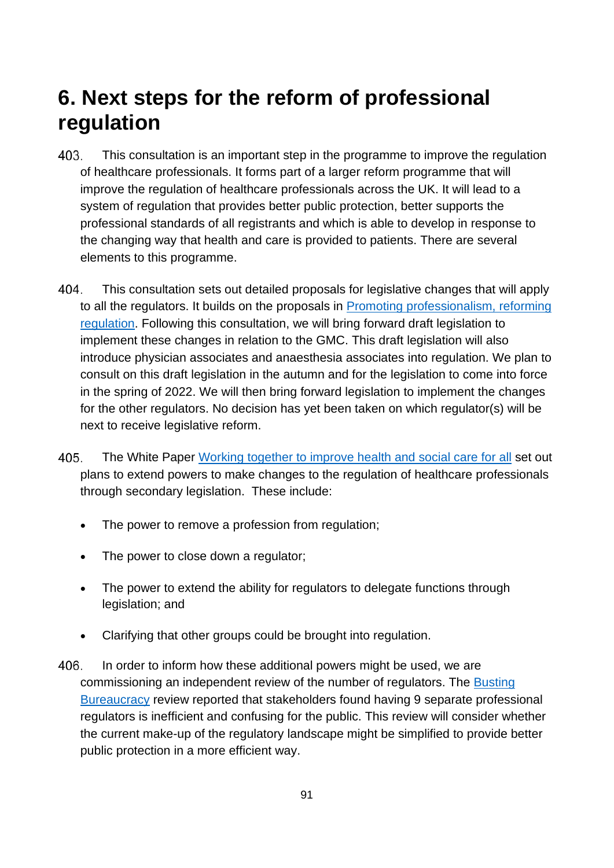## **6. Next steps for the reform of professional regulation**

- 403. This consultation is an important step in the programme to improve the regulation of healthcare professionals. It forms part of a larger reform programme that will improve the regulation of healthcare professionals across the UK. It will lead to a system of regulation that provides better public protection, better supports the professional standards of all registrants and which is able to develop in response to the changing way that health and care is provided to patients. There are several elements to this programme.
- $404$ This consultation sets out detailed proposals for legislative changes that will apply to all the regulators. It builds on the proposals in [Promoting professionalism, reforming](http://lawcom.gov.uk/app/uploads/2015/03/lc345_regulation_of_healthcare_professionals.pdf)  [regulation.](http://lawcom.gov.uk/app/uploads/2015/03/lc345_regulation_of_healthcare_professionals.pdf) Following this consultation, we will bring forward draft legislation to implement these changes in relation to the GMC. This draft legislation will also introduce physician associates and anaesthesia associates into regulation. We plan to consult on this draft legislation in the autumn and for the legislation to come into force in the spring of 2022. We will then bring forward legislation to implement the changes for the other regulators. No decision has yet been taken on which regulator(s) will be next to receive legislative reform.
- 405. The White Paper [Working together to improve health and social care for all](https://www.gov.uk/government/publications/working-together-to-improve-health-and-social-care-for-all) set out plans to extend powers to make changes to the regulation of healthcare professionals through secondary legislation. These include:
	- The power to remove a profession from regulation;
	- The power to close down a regulator;
	- The power to extend the ability for regulators to delegate functions through legislation; and
	- Clarifying that other groups could be brought into regulation.
- 406. In order to inform how these additional powers might be used, we are commissioning an independent review of the number of regulators. The [Busting](https://www.gov.uk/government/consultations/reducing-bureaucracy-in-the-health-and-social-care-system-call-for-evidence/outcome/busting-bureaucracy-empowering-frontline-staff-by-reducing-excess-bureaucracy-in-the-health-and-care-system-in-england)  [Bureaucracy](https://www.gov.uk/government/consultations/reducing-bureaucracy-in-the-health-and-social-care-system-call-for-evidence/outcome/busting-bureaucracy-empowering-frontline-staff-by-reducing-excess-bureaucracy-in-the-health-and-care-system-in-england) review reported that stakeholders found having 9 separate professional regulators is inefficient and confusing for the public. This review will consider whether the current make-up of the regulatory landscape might be simplified to provide better public protection in a more efficient way.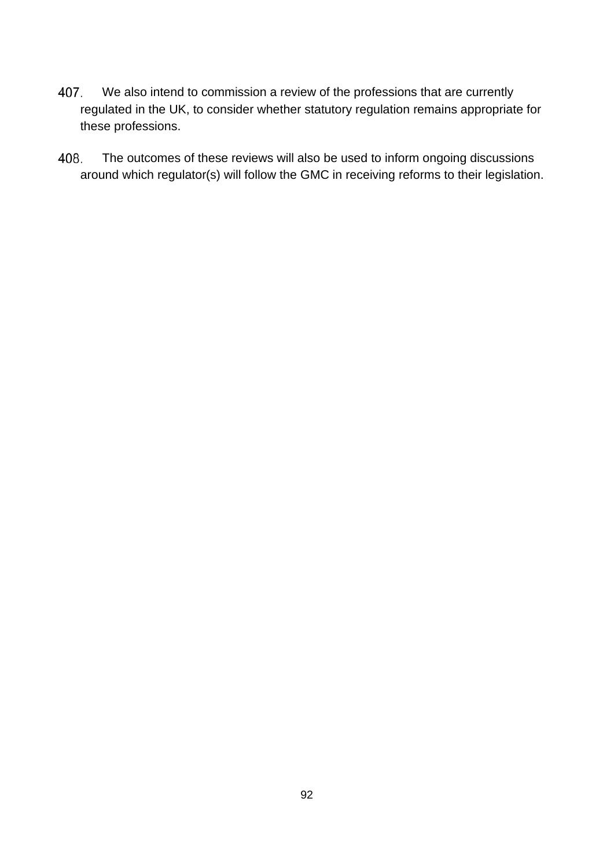- 407. We also intend to commission a review of the professions that are currently regulated in the UK, to consider whether statutory regulation remains appropriate for these professions.
- The outcomes of these reviews will also be used to inform ongoing discussions 408. around which regulator(s) will follow the GMC in receiving reforms to their legislation.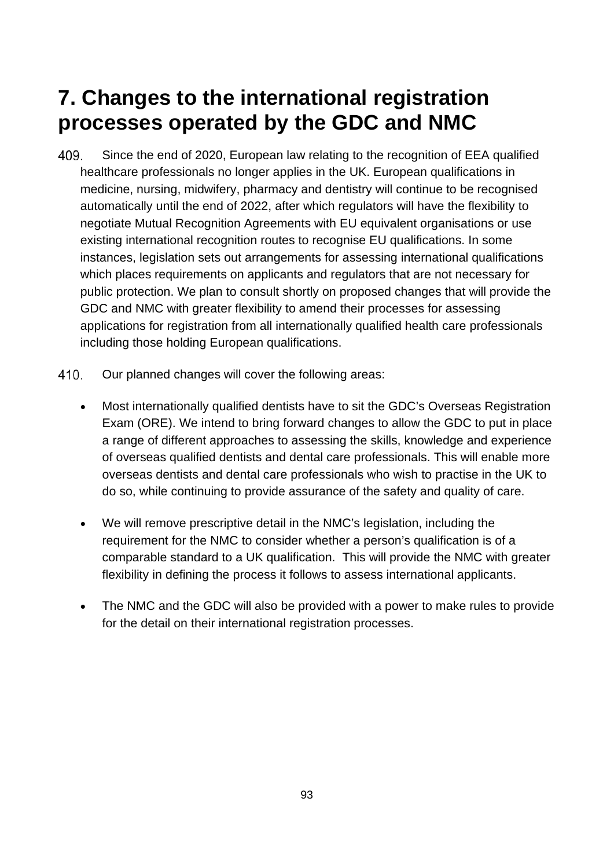## **7. Changes to the international registration processes operated by the GDC and NMC**

- Since the end of 2020, European law relating to the recognition of EEA qualified 409. healthcare professionals no longer applies in the UK. European qualifications in medicine, nursing, midwifery, pharmacy and dentistry will continue to be recognised automatically until the end of 2022, after which regulators will have the flexibility to negotiate Mutual Recognition Agreements with EU equivalent organisations or use existing international recognition routes to recognise EU qualifications. In some instances, legislation sets out arrangements for assessing international qualifications which places requirements on applicants and regulators that are not necessary for public protection. We plan to consult shortly on proposed changes that will provide the GDC and NMC with greater flexibility to amend their processes for assessing applications for registration from all internationally qualified health care professionals including those holding European qualifications.
- 410. Our planned changes will cover the following areas:
	- Most internationally qualified dentists have to sit the GDC's Overseas Registration Exam (ORE). We intend to bring forward changes to allow the GDC to put in place a range of different approaches to assessing the skills, knowledge and experience of overseas qualified dentists and dental care professionals. This will enable more overseas dentists and dental care professionals who wish to practise in the UK to do so, while continuing to provide assurance of the safety and quality of care.
	- We will remove prescriptive detail in the NMC's legislation, including the requirement for the NMC to consider whether a person's qualification is of a comparable standard to a UK qualification. This will provide the NMC with greater flexibility in defining the process it follows to assess international applicants.
	- The NMC and the GDC will also be provided with a power to make rules to provide for the detail on their international registration processes.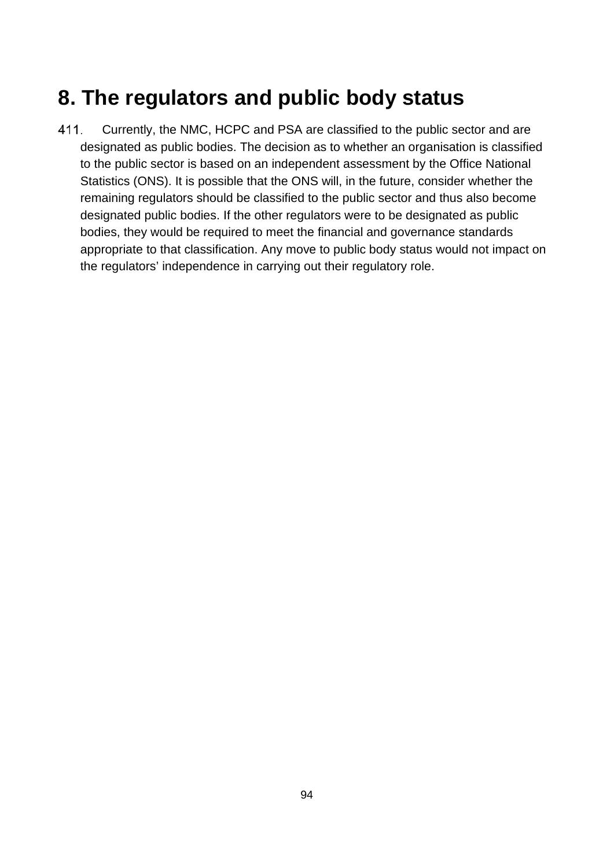## **8. The regulators and public body status**

411. Currently, the NMC, HCPC and PSA are classified to the public sector and are designated as public bodies. The decision as to whether an organisation is classified to the public sector is based on an independent assessment by the Office National Statistics (ONS). It is possible that the ONS will, in the future, consider whether the remaining regulators should be classified to the public sector and thus also become designated public bodies. If the other regulators were to be designated as public bodies, they would be required to meet the financial and governance standards appropriate to that classification. Any move to public body status would not impact on the regulators' independence in carrying out their regulatory role.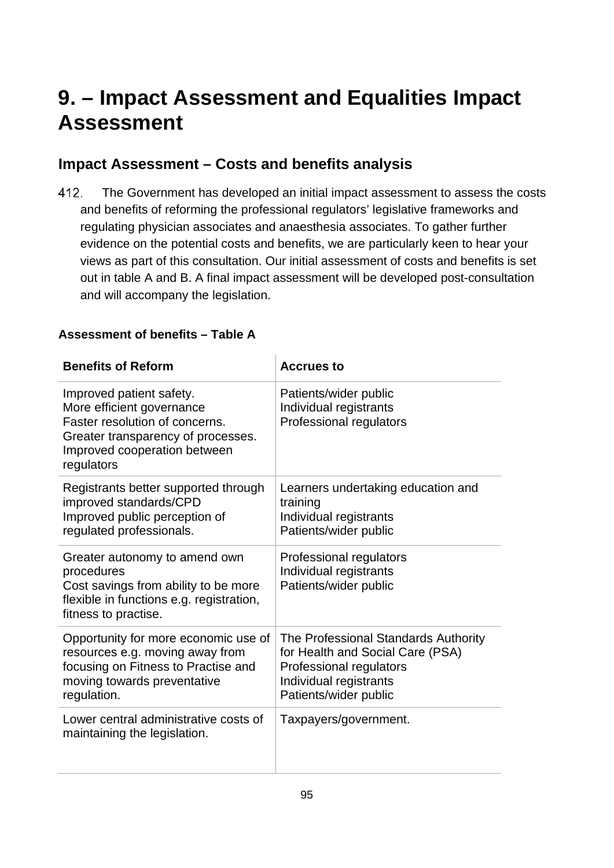# **9. – Impact Assessment and Equalities Impact Assessment**

## **Impact Assessment – Costs and benefits analysis**

412. The Government has developed an initial impact assessment to assess the costs and benefits of reforming the professional regulators' legislative frameworks and regulating physician associates and anaesthesia associates. To gather further evidence on the potential costs and benefits, we are particularly keen to hear your views as part of this consultation. Our initial assessment of costs and benefits is set out in table A and B. A final impact assessment will be developed post-consultation and will accompany the legislation.

#### **Assessment of benefits – Table A**

| <b>Benefits of Reform</b>                                                                                                                                                   | <b>Accrues to</b>                                                                                                                                      |
|-----------------------------------------------------------------------------------------------------------------------------------------------------------------------------|--------------------------------------------------------------------------------------------------------------------------------------------------------|
| Improved patient safety.<br>More efficient governance<br>Faster resolution of concerns.<br>Greater transparency of processes.<br>Improved cooperation between<br>regulators | Patients/wider public<br>Individual registrants<br>Professional regulators                                                                             |
| Registrants better supported through<br>improved standards/CPD<br>Improved public perception of<br>regulated professionals.                                                 | Learners undertaking education and<br>training<br>Individual registrants<br>Patients/wider public                                                      |
| Greater autonomy to amend own<br>procedures<br>Cost savings from ability to be more<br>flexible in functions e.g. registration,<br>fitness to practise.                     | Professional regulators<br>Individual registrants<br>Patients/wider public                                                                             |
| Opportunity for more economic use of<br>resources e.g. moving away from<br>focusing on Fitness to Practise and<br>moving towards preventative<br>regulation.                | The Professional Standards Authority<br>for Health and Social Care (PSA)<br>Professional regulators<br>Individual registrants<br>Patients/wider public |
| Lower central administrative costs of<br>maintaining the legislation.                                                                                                       | Taxpayers/government.                                                                                                                                  |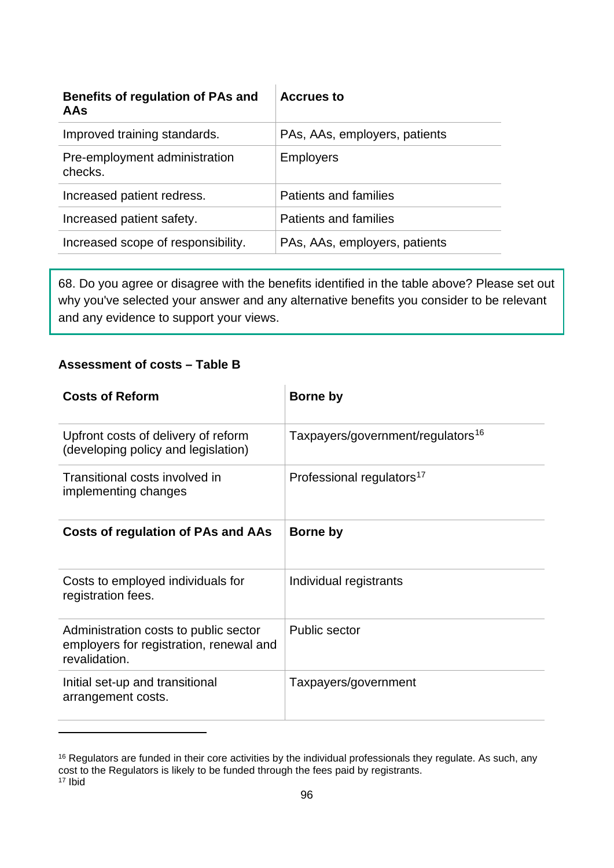| Benefits of regulation of PAs and<br>AAs | <b>Accrues to</b>             |
|------------------------------------------|-------------------------------|
| Improved training standards.             | PAs, AAs, employers, patients |
| Pre-employment administration<br>checks. | <b>Employers</b>              |
| Increased patient redress.               | Patients and families         |
| Increased patient safety.                | Patients and families         |
| Increased scope of responsibility.       | PAs, AAs, employers, patients |

68. Do you agree or disagree with the benefits identified in the table above? Please set out why you've selected your answer and any alternative benefits you consider to be relevant and any evidence to support your views.

#### **Assessment of costs – Table B**

| <b>Costs of Reform</b>                                                                            | Borne by                                      |
|---------------------------------------------------------------------------------------------------|-----------------------------------------------|
| Upfront costs of delivery of reform<br>(developing policy and legislation)                        | Taxpayers/government/regulators <sup>16</sup> |
| Transitional costs involved in<br>implementing changes                                            | Professional regulators <sup>17</sup>         |
| <b>Costs of regulation of PAs and AAs</b>                                                         | Borne by                                      |
| Costs to employed individuals for<br>registration fees.                                           | Individual registrants                        |
| Administration costs to public sector<br>employers for registration, renewal and<br>revalidation. | <b>Public sector</b>                          |
| Initial set-up and transitional<br>arrangement costs.                                             | Taxpayers/government                          |

<span id="page-95-1"></span><span id="page-95-0"></span><sup>16</sup> Regulators are funded in their core activities by the individual professionals they regulate. As such, any cost to the Regulators is likely to be funded through the fees paid by registrants. <sup>17</sup> Ibid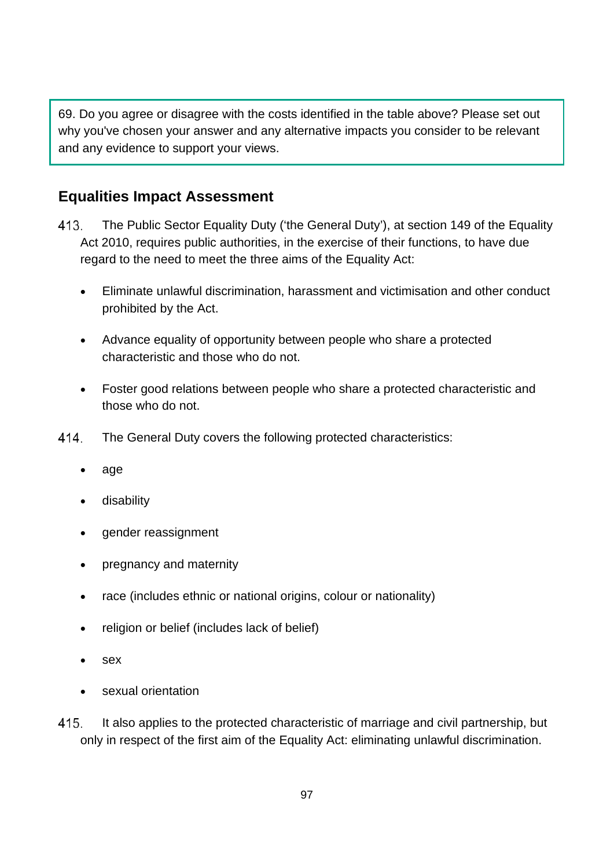69. Do you agree or disagree with the costs identified in the table above? Please set out why you've chosen your answer and any alternative impacts you consider to be relevant and any evidence to support your views.

### **Equalities Impact Assessment**

- 413. The Public Sector Equality Duty ('the General Duty'), at section 149 of the Equality Act 2010, requires public authorities, in the exercise of their functions, to have due regard to the need to meet the three aims of the Equality Act:
	- Eliminate unlawful discrimination, harassment and victimisation and other conduct prohibited by the Act.
	- Advance equality of opportunity between people who share a protected characteristic and those who do not.
	- Foster good relations between people who share a protected characteristic and those who do not.
- 414 The General Duty covers the following protected characteristics:
	- age
	- disability
	- gender reassignment
	- pregnancy and maternity
	- race (includes ethnic or national origins, colour or nationality)
	- religion or belief (includes lack of belief)
	- sex
	- sexual orientation
- 415. It also applies to the protected characteristic of marriage and civil partnership, but only in respect of the first aim of the Equality Act: eliminating unlawful discrimination.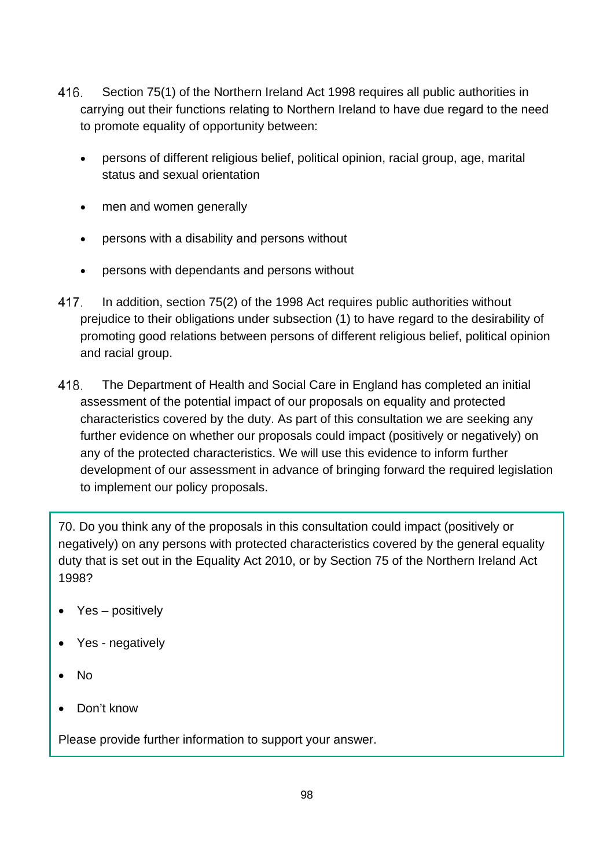- 416. Section 75(1) of the Northern Ireland Act 1998 requires all public authorities in carrying out their functions relating to Northern Ireland to have due regard to the need to promote equality of opportunity between:
	- persons of different religious belief, political opinion, racial group, age, marital status and sexual orientation
	- men and women generally
	- persons with a disability and persons without
	- persons with dependants and persons without
- 417. In addition, section 75(2) of the 1998 Act requires public authorities without prejudice to their obligations under subsection (1) to have regard to the desirability of promoting good relations between persons of different religious belief, political opinion and racial group.
- 418. The Department of Health and Social Care in England has completed an initial assessment of the potential impact of our proposals on equality and protected characteristics covered by the duty. As part of this consultation we are seeking any further evidence on whether our proposals could impact (positively or negatively) on any of the protected characteristics. We will use this evidence to inform further development of our assessment in advance of bringing forward the required legislation to implement our policy proposals.

70. Do you think any of the proposals in this consultation could impact (positively or negatively) on any persons with protected characteristics covered by the general equality duty that is set out in the Equality Act 2010, or by Section 75 of the Northern Ireland Act 1998?

- Yes positively
- Yes negatively
- No
- Don't know

Please provide further information to support your answer.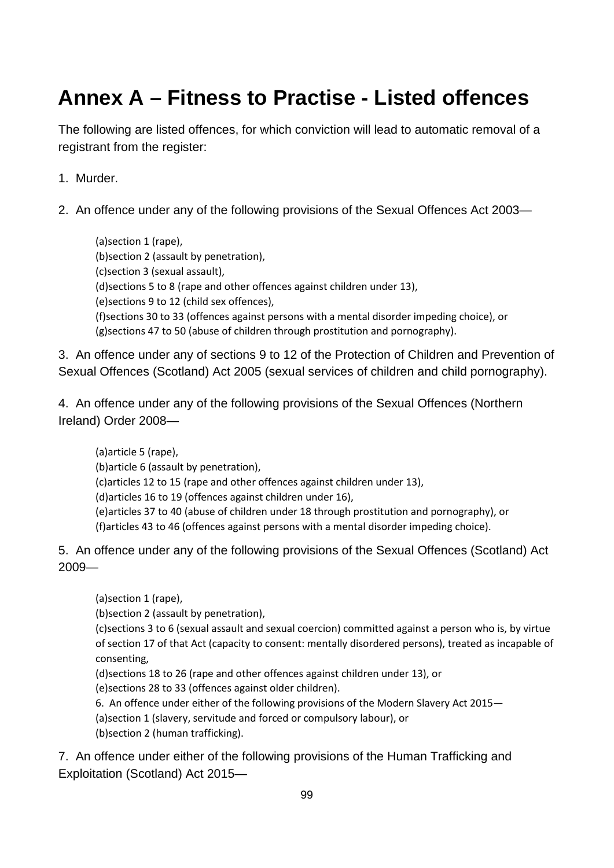# **Annex A – Fitness to Practise - Listed offences**

The following are listed offences, for which conviction will lead to automatic removal of a registrant from the register:

- 1. Murder.
- 2. An offence under any of the following provisions of the Sexual Offences Act 2003—

(a)section 1 (rape), (b)section 2 (assault by penetration), (c)section 3 (sexual assault), (d)sections 5 to 8 (rape and other offences against children under 13), (e)sections 9 to 12 (child sex offences), (f)sections 30 to 33 (offences against persons with a mental disorder impeding choice), or (g)sections 47 to 50 (abuse of children through prostitution and pornography).

3. An offence under any of sections 9 to 12 of the Protection of Children and Prevention of Sexual Offences (Scotland) Act 2005 (sexual services of children and child pornography).

4. An offence under any of the following provisions of the Sexual Offences (Northern Ireland) Order 2008—

(a)article 5 (rape), (b)article 6 (assault by penetration), (c)articles 12 to 15 (rape and other offences against children under 13), (d)articles 16 to 19 (offences against children under 16), (e)articles 37 to 40 (abuse of children under 18 through prostitution and pornography), or (f)articles 43 to 46 (offences against persons with a mental disorder impeding choice).

5. An offence under any of the following provisions of the Sexual Offences (Scotland) Act 2009—

(a)section 1 (rape),

(b)section 2 (assault by penetration),

(c)sections 3 to 6 (sexual assault and sexual coercion) committed against a person who is, by virtue of section 17 of that Act (capacity to consent: mentally disordered persons), treated as incapable of consenting,

(d)sections 18 to 26 (rape and other offences against children under 13), or

(e)sections 28 to 33 (offences against older children).

6. An offence under either of the following provisions of the Modern Slavery Act 2015—

(a)section 1 (slavery, servitude and forced or compulsory labour), or (b)section 2 (human trafficking).

7. An offence under either of the following provisions of the Human Trafficking and Exploitation (Scotland) Act 2015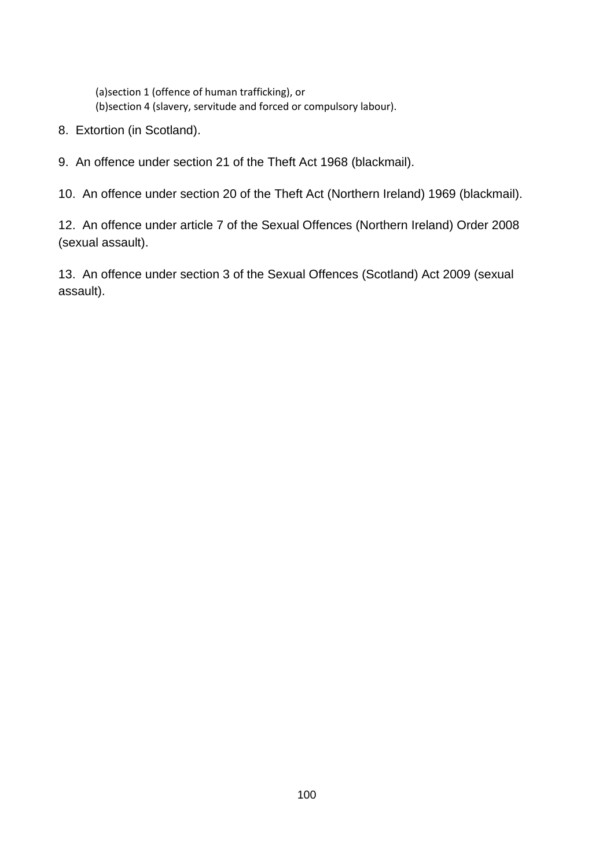(a)section 1 (offence of human trafficking), or (b)section 4 (slavery, servitude and forced or compulsory labour).

- 8. Extortion (in Scotland).
- 9. An offence under section 21 of the Theft Act 1968 (blackmail).
- 10. An offence under section 20 of the Theft Act (Northern Ireland) 1969 (blackmail).

12. An offence under article 7 of the Sexual Offences (Northern Ireland) Order 2008 (sexual assault).

13. An offence under section 3 of the Sexual Offences (Scotland) Act 2009 (sexual assault).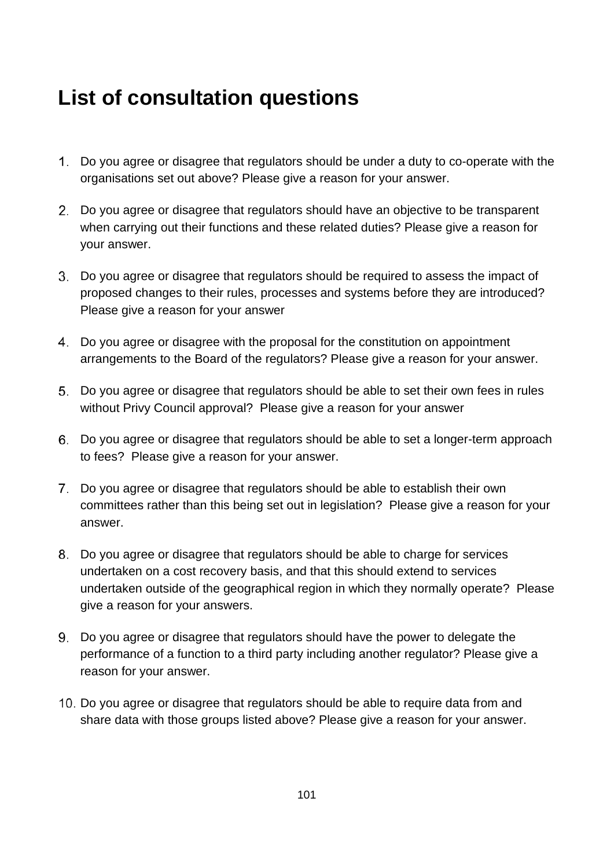## **List of consultation questions**

- Do you agree or disagree that regulators should be under a duty to co-operate with the organisations set out above? Please give a reason for your answer.
- Do you agree or disagree that regulators should have an objective to be transparent when carrying out their functions and these related duties? Please give a reason for your answer.
- Do you agree or disagree that regulators should be required to assess the impact of proposed changes to their rules, processes and systems before they are introduced? Please give a reason for your answer
- Do you agree or disagree with the proposal for the constitution on appointment arrangements to the Board of the regulators? Please give a reason for your answer.
- Do you agree or disagree that regulators should be able to set their own fees in rules without Privy Council approval? Please give a reason for your answer
- Do you agree or disagree that regulators should be able to set a longer-term approach to fees? Please give a reason for your answer.
- Do you agree or disagree that regulators should be able to establish their own committees rather than this being set out in legislation? Please give a reason for your answer.
- Do you agree or disagree that regulators should be able to charge for services undertaken on a cost recovery basis, and that this should extend to services undertaken outside of the geographical region in which they normally operate? Please give a reason for your answers.
- Do you agree or disagree that regulators should have the power to delegate the performance of a function to a third party including another regulator? Please give a reason for your answer.
- 10. Do you agree or disagree that regulators should be able to require data from and share data with those groups listed above? Please give a reason for your answer.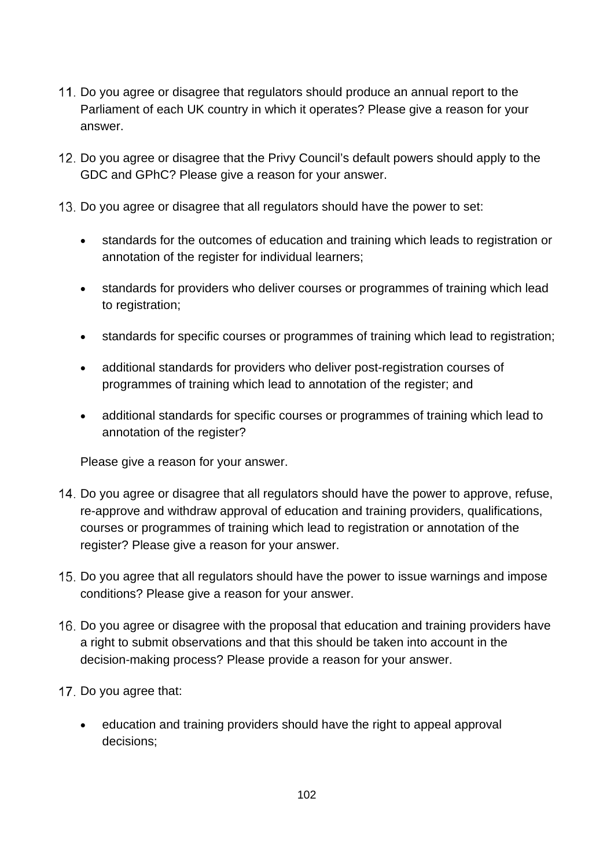- 11. Do you agree or disagree that regulators should produce an annual report to the Parliament of each UK country in which it operates? Please give a reason for your answer.
- 12. Do you agree or disagree that the Privy Council's default powers should apply to the GDC and GPhC? Please give a reason for your answer.
- 13. Do you agree or disagree that all regulators should have the power to set:
	- standards for the outcomes of education and training which leads to registration or annotation of the register for individual learners;
	- standards for providers who deliver courses or programmes of training which lead to registration;
	- standards for specific courses or programmes of training which lead to registration;
	- additional standards for providers who deliver post-registration courses of programmes of training which lead to annotation of the register; and
	- additional standards for specific courses or programmes of training which lead to annotation of the register?

Please give a reason for your answer.

- 14. Do you agree or disagree that all regulators should have the power to approve, refuse, re-approve and withdraw approval of education and training providers, qualifications, courses or programmes of training which lead to registration or annotation of the register? Please give a reason for your answer.
- 15. Do you agree that all regulators should have the power to issue warnings and impose conditions? Please give a reason for your answer.
- 16. Do you agree or disagree with the proposal that education and training providers have a right to submit observations and that this should be taken into account in the decision-making process? Please provide a reason for your answer.
- 17. Do you agree that:
	- education and training providers should have the right to appeal approval decisions;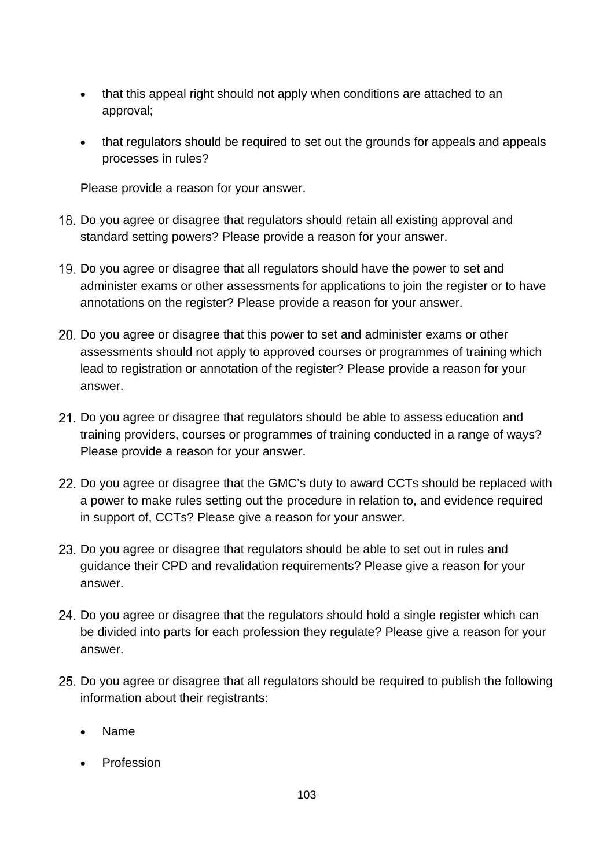- that this appeal right should not apply when conditions are attached to an approval;
- that regulators should be required to set out the grounds for appeals and appeals processes in rules?

Please provide a reason for your answer.

- 18. Do you agree or disagree that regulators should retain all existing approval and standard setting powers? Please provide a reason for your answer.
- Do you agree or disagree that all regulators should have the power to set and administer exams or other assessments for applications to join the register or to have annotations on the register? Please provide a reason for your answer.
- Do you agree or disagree that this power to set and administer exams or other assessments should not apply to approved courses or programmes of training which lead to registration or annotation of the register? Please provide a reason for your answer.
- 21. Do you agree or disagree that regulators should be able to assess education and training providers, courses or programmes of training conducted in a range of ways? Please provide a reason for your answer.
- 22. Do you agree or disagree that the GMC's duty to award CCTs should be replaced with a power to make rules setting out the procedure in relation to, and evidence required in support of, CCTs? Please give a reason for your answer.
- 23. Do you agree or disagree that regulators should be able to set out in rules and guidance their CPD and revalidation requirements? Please give a reason for your answer.
- 24. Do you agree or disagree that the regulators should hold a single register which can be divided into parts for each profession they regulate? Please give a reason for your answer.
- 25. Do you agree or disagree that all regulators should be required to publish the following information about their registrants:
	- Name
	- Profession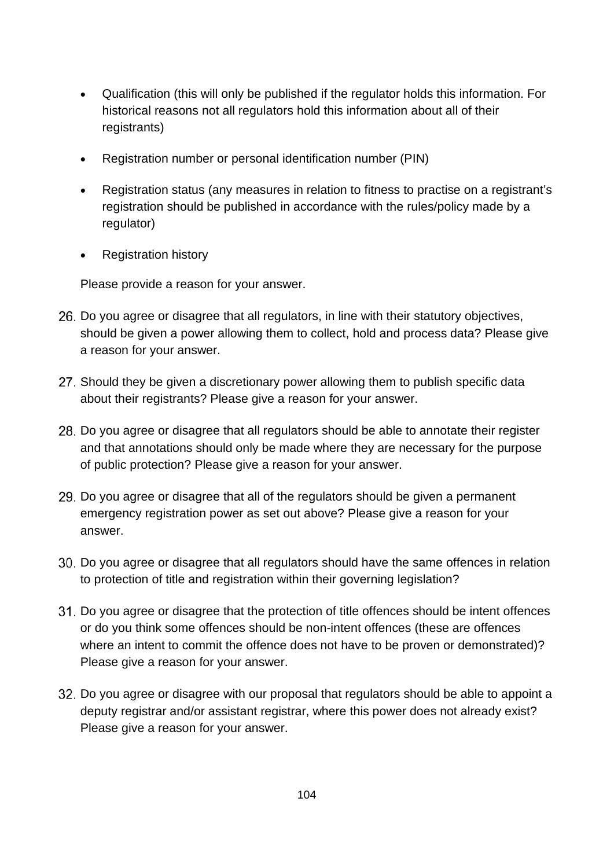- Qualification (this will only be published if the regulator holds this information. For historical reasons not all regulators hold this information about all of their registrants)
- Registration number or personal identification number (PIN)
- Registration status (any measures in relation to fitness to practise on a registrant's registration should be published in accordance with the rules/policy made by a regulator)
- Registration history

Please provide a reason for your answer.

- 26. Do you agree or disagree that all regulators, in line with their statutory objectives, should be given a power allowing them to collect, hold and process data? Please give a reason for your answer.
- 27. Should they be given a discretionary power allowing them to publish specific data about their registrants? Please give a reason for your answer.
- 28. Do you agree or disagree that all regulators should be able to annotate their register and that annotations should only be made where they are necessary for the purpose of public protection? Please give a reason for your answer.
- 29. Do you agree or disagree that all of the regulators should be given a permanent emergency registration power as set out above? Please give a reason for your answer.
- Do you agree or disagree that all regulators should have the same offences in relation to protection of title and registration within their governing legislation?
- 31. Do you agree or disagree that the protection of title offences should be intent offences or do you think some offences should be non-intent offences (these are offences where an intent to commit the offence does not have to be proven or demonstrated)? Please give a reason for your answer.
- Do you agree or disagree with our proposal that regulators should be able to appoint a deputy registrar and/or assistant registrar, where this power does not already exist? Please give a reason for your answer.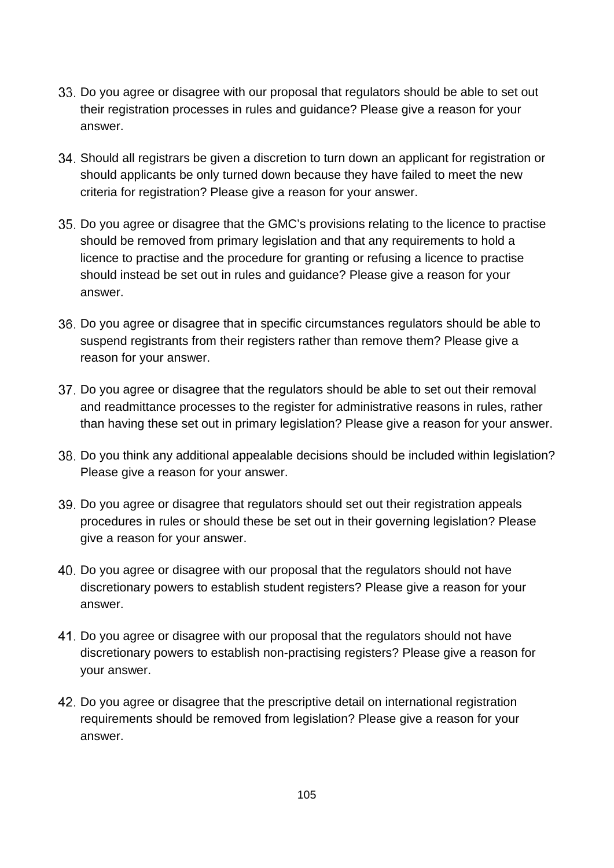- Do you agree or disagree with our proposal that regulators should be able to set out their registration processes in rules and guidance? Please give a reason for your answer.
- Should all registrars be given a discretion to turn down an applicant for registration or should applicants be only turned down because they have failed to meet the new criteria for registration? Please give a reason for your answer.
- Do you agree or disagree that the GMC's provisions relating to the licence to practise should be removed from primary legislation and that any requirements to hold a licence to practise and the procedure for granting or refusing a licence to practise should instead be set out in rules and guidance? Please give a reason for your answer.
- Do you agree or disagree that in specific circumstances regulators should be able to suspend registrants from their registers rather than remove them? Please give a reason for your answer.
- 37. Do you agree or disagree that the regulators should be able to set out their removal and readmittance processes to the register for administrative reasons in rules, rather than having these set out in primary legislation? Please give a reason for your answer.
- 38. Do you think any additional appealable decisions should be included within legislation? Please give a reason for your answer.
- Do you agree or disagree that regulators should set out their registration appeals procedures in rules or should these be set out in their governing legislation? Please give a reason for your answer.
- Do you agree or disagree with our proposal that the regulators should not have discretionary powers to establish student registers? Please give a reason for your answer.
- 41. Do you agree or disagree with our proposal that the regulators should not have discretionary powers to establish non-practising registers? Please give a reason for your answer.
- Do you agree or disagree that the prescriptive detail on international registration requirements should be removed from legislation? Please give a reason for your answer.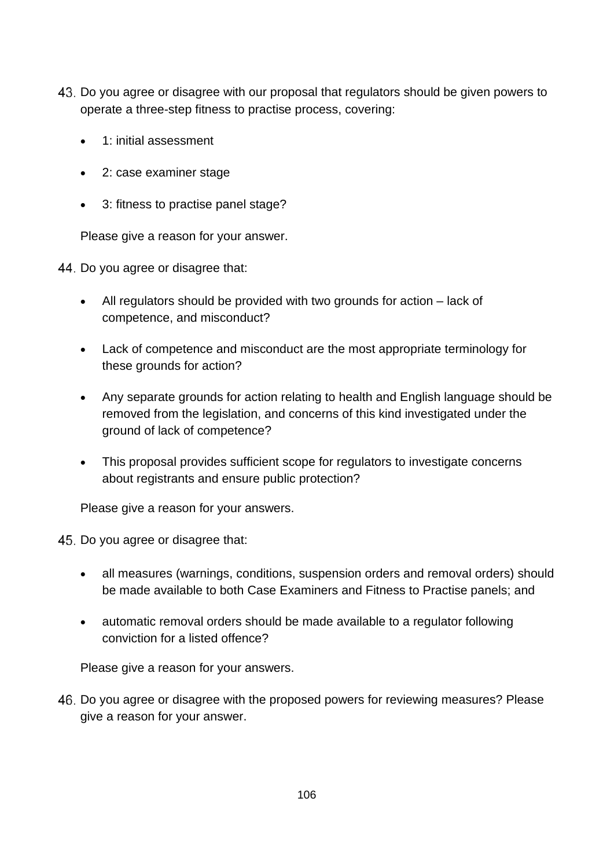- Do you agree or disagree with our proposal that regulators should be given powers to operate a three-step fitness to practise process, covering:
	- 1: initial assessment
	- 2: case examiner stage
	- 3: fitness to practise panel stage?

Please give a reason for your answer.

44. Do you agree or disagree that:

- All regulators should be provided with two grounds for action lack of competence, and misconduct?
- Lack of competence and misconduct are the most appropriate terminology for these grounds for action?
- Any separate grounds for action relating to health and English language should be removed from the legislation, and concerns of this kind investigated under the ground of lack of competence?
- This proposal provides sufficient scope for regulators to investigate concerns about registrants and ensure public protection?

Please give a reason for your answers.

45. Do you agree or disagree that:

- all measures (warnings, conditions, suspension orders and removal orders) should be made available to both Case Examiners and Fitness to Practise panels; and
- automatic removal orders should be made available to a regulator following conviction for a listed offence?

Please give a reason for your answers.

Do you agree or disagree with the proposed powers for reviewing measures? Please give a reason for your answer.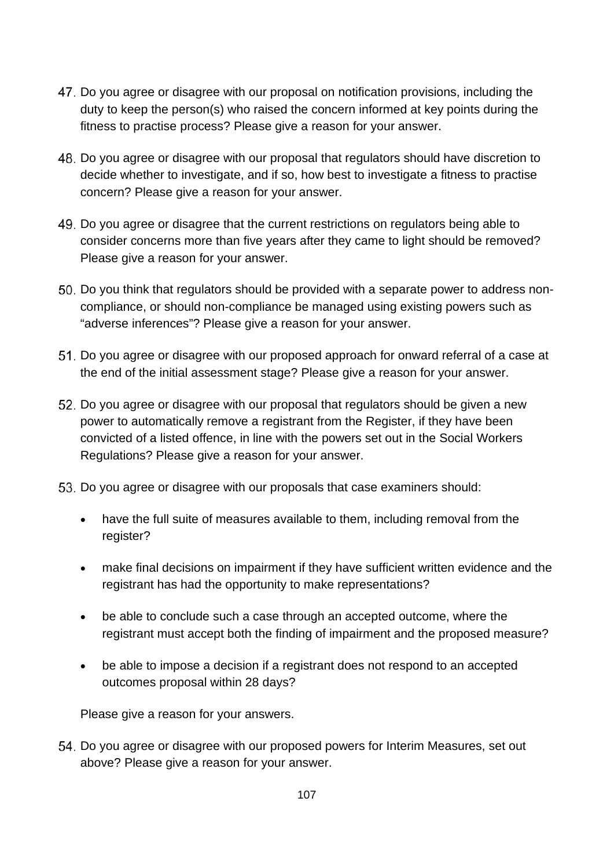- Do you agree or disagree with our proposal on notification provisions, including the duty to keep the person(s) who raised the concern informed at key points during the fitness to practise process? Please give a reason for your answer.
- Do you agree or disagree with our proposal that regulators should have discretion to decide whether to investigate, and if so, how best to investigate a fitness to practise concern? Please give a reason for your answer.
- Do you agree or disagree that the current restrictions on regulators being able to consider concerns more than five years after they came to light should be removed? Please give a reason for your answer.
- Do you think that regulators should be provided with a separate power to address noncompliance, or should non-compliance be managed using existing powers such as "adverse inferences"? Please give a reason for your answer.
- Do you agree or disagree with our proposed approach for onward referral of a case at the end of the initial assessment stage? Please give a reason for your answer.
- Do you agree or disagree with our proposal that regulators should be given a new power to automatically remove a registrant from the Register, if they have been convicted of a listed offence, in line with the powers set out in the Social Workers Regulations? Please give a reason for your answer.
- 53. Do you agree or disagree with our proposals that case examiners should:
	- have the full suite of measures available to them, including removal from the register?
	- make final decisions on impairment if they have sufficient written evidence and the registrant has had the opportunity to make representations?
	- be able to conclude such a case through an accepted outcome, where the registrant must accept both the finding of impairment and the proposed measure?
	- be able to impose a decision if a registrant does not respond to an accepted outcomes proposal within 28 days?

Please give a reason for your answers.

Do you agree or disagree with our proposed powers for Interim Measures, set out above? Please give a reason for your answer.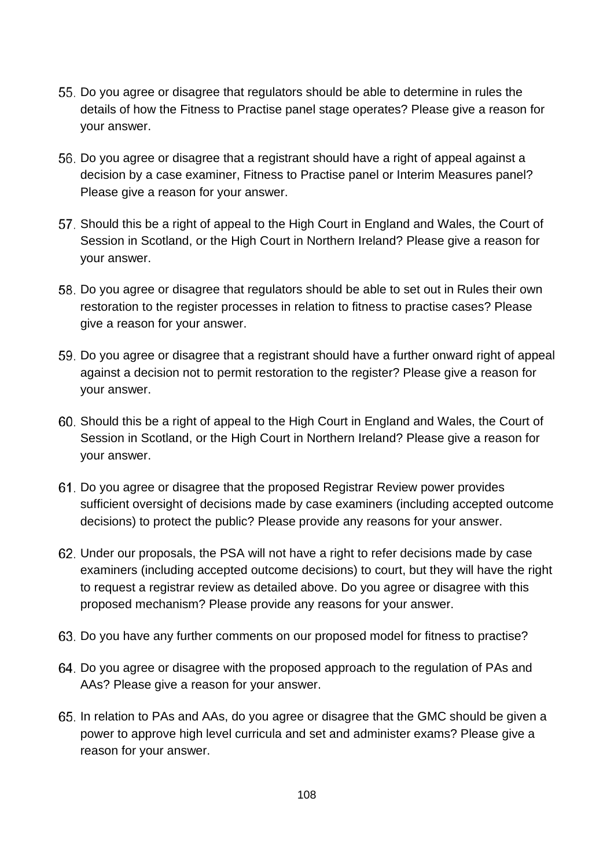- Do you agree or disagree that regulators should be able to determine in rules the details of how the Fitness to Practise panel stage operates? Please give a reason for your answer.
- Do you agree or disagree that a registrant should have a right of appeal against a decision by a case examiner, Fitness to Practise panel or Interim Measures panel? Please give a reason for your answer.
- 57. Should this be a right of appeal to the High Court in England and Wales, the Court of Session in Scotland, or the High Court in Northern Ireland? Please give a reason for your answer.
- Do you agree or disagree that regulators should be able to set out in Rules their own restoration to the register processes in relation to fitness to practise cases? Please give a reason for your answer.
- Do you agree or disagree that a registrant should have a further onward right of appeal against a decision not to permit restoration to the register? Please give a reason for your answer.
- Should this be a right of appeal to the High Court in England and Wales, the Court of Session in Scotland, or the High Court in Northern Ireland? Please give a reason for your answer.
- Do you agree or disagree that the proposed Registrar Review power provides sufficient oversight of decisions made by case examiners (including accepted outcome decisions) to protect the public? Please provide any reasons for your answer.
- Under our proposals, the PSA will not have a right to refer decisions made by case examiners (including accepted outcome decisions) to court, but they will have the right to request a registrar review as detailed above. Do you agree or disagree with this proposed mechanism? Please provide any reasons for your answer.
- 63. Do you have any further comments on our proposed model for fitness to practise?
- Do you agree or disagree with the proposed approach to the regulation of PAs and AAs? Please give a reason for your answer.
- In relation to PAs and AAs, do you agree or disagree that the GMC should be given a power to approve high level curricula and set and administer exams? Please give a reason for your answer.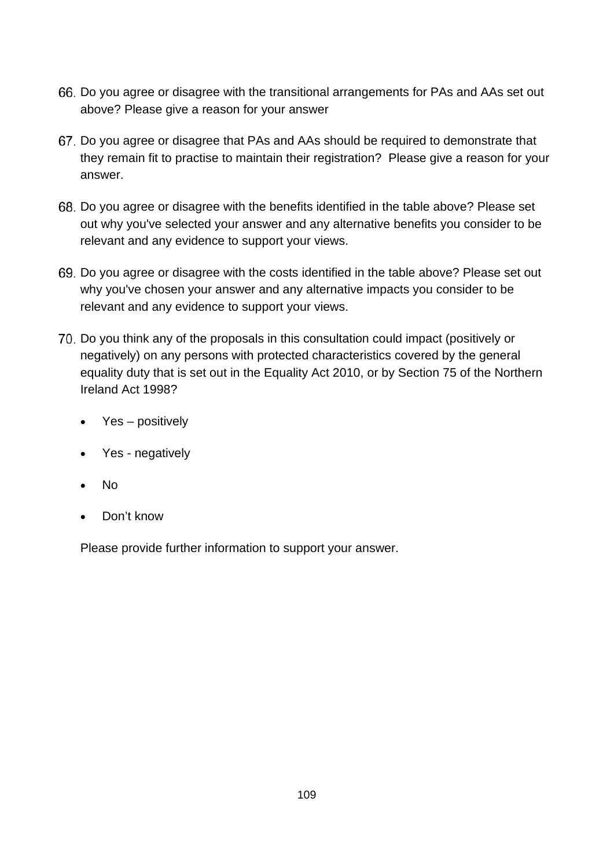- Do you agree or disagree with the transitional arrangements for PAs and AAs set out above? Please give a reason for your answer
- Do you agree or disagree that PAs and AAs should be required to demonstrate that they remain fit to practise to maintain their registration? Please give a reason for your answer.
- Do you agree or disagree with the benefits identified in the table above? Please set out why you've selected your answer and any alternative benefits you consider to be relevant and any evidence to support your views.
- Do you agree or disagree with the costs identified in the table above? Please set out why you've chosen your answer and any alternative impacts you consider to be relevant and any evidence to support your views.
- Do you think any of the proposals in this consultation could impact (positively or negatively) on any persons with protected characteristics covered by the general equality duty that is set out in the Equality Act 2010, or by Section 75 of the Northern Ireland Act 1998?
	- Yes positively
	- Yes negatively
	- No
	- Don't know

Please provide further information to support your answer.